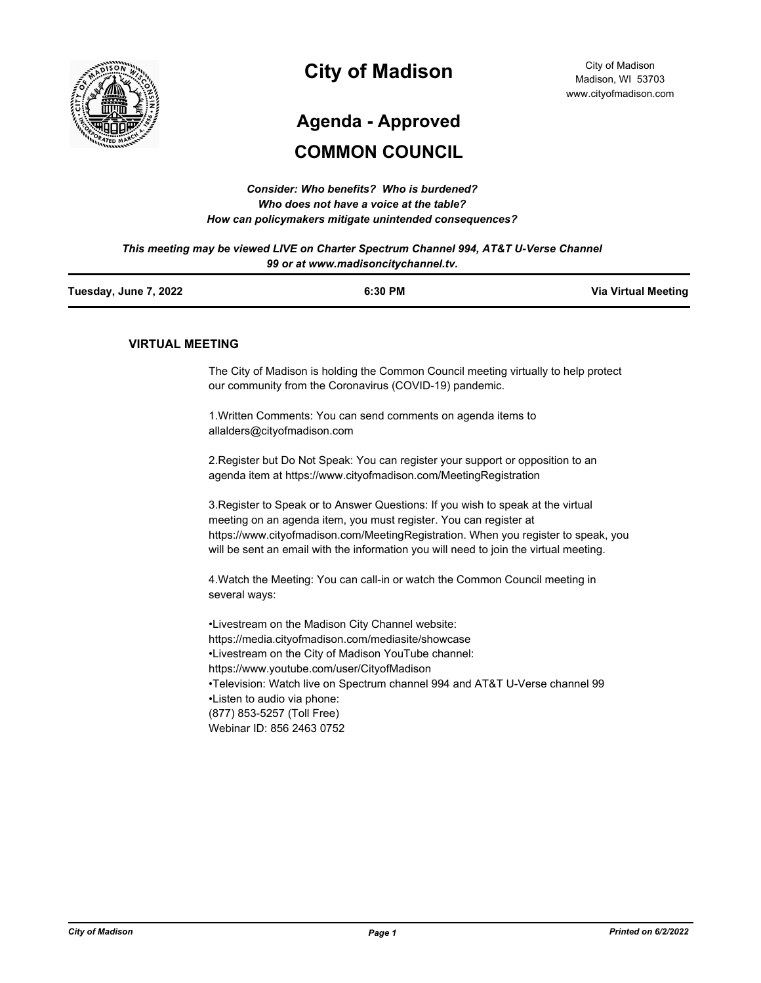

## **City of Madison**

# **Agenda - Approved**

## **COMMON COUNCIL**

| Consider: Who benefits? Who is burdened?               |
|--------------------------------------------------------|
| Who does not have a voice at the table?                |
| How can policymakers mitigate unintended consequences? |

*This meeting may be viewed LIVE on Charter Spectrum Channel 994, AT&T U-Verse Channel 99 or at www.madisoncitychannel.tv.*

| Tuesday, June 7, 2022 | 6:30 PM | <b>Via Virtual Meeting</b> |
|-----------------------|---------|----------------------------|
|                       |         |                            |

#### **VIRTUAL MEETING**

The City of Madison is holding the Common Council meeting virtually to help protect our community from the Coronavirus (COVID-19) pandemic.

1.Written Comments: You can send comments on agenda items to allalders@cityofmadison.com

2.Register but Do Not Speak: You can register your support or opposition to an agenda item at https://www.cityofmadison.com/MeetingRegistration

3.Register to Speak or to Answer Questions: If you wish to speak at the virtual meeting on an agenda item, you must register. You can register at https://www.cityofmadison.com/MeetingRegistration. When you register to speak, you will be sent an email with the information you will need to join the virtual meeting.

4.Watch the Meeting: You can call-in or watch the Common Council meeting in several ways:

•Livestream on the Madison City Channel website: https://media.cityofmadison.com/mediasite/showcase •Livestream on the City of Madison YouTube channel: https://www.youtube.com/user/CityofMadison •Television: Watch live on Spectrum channel 994 and AT&T U-Verse channel 99 •Listen to audio via phone: (877) 853-5257 (Toll Free) Webinar ID: 856 2463 0752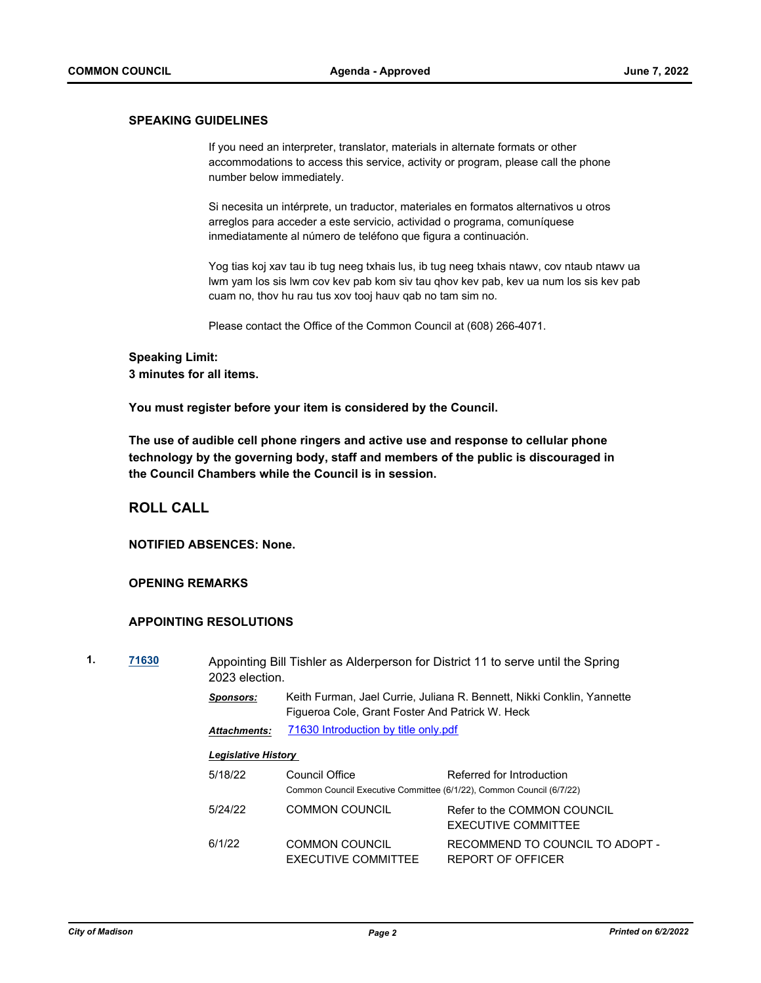#### **SPEAKING GUIDELINES**

If you need an interpreter, translator, materials in alternate formats or other accommodations to access this service, activity or program, please call the phone number below immediately.

Si necesita un intérprete, un traductor, materiales en formatos alternativos u otros arreglos para acceder a este servicio, actividad o programa, comuníquese inmediatamente al número de teléfono que figura a continuación.

Yog tias koj xav tau ib tug neeg txhais lus, ib tug neeg txhais ntawv, cov ntaub ntawv ua lwm yam los sis lwm cov kev pab kom siv tau qhov kev pab, kev ua num los sis kev pab cuam no, thov hu rau tus xov tooj hauv qab no tam sim no.

Please contact the Office of the Common Council at (608) 266-4071.

#### **Speaking Limit: 3 minutes for all items.**

**You must register before your item is considered by the Council.**

**The use of audible cell phone ringers and active use and response to cellular phone technology by the governing body, staff and members of the public is discouraged in the Council Chambers while the Council is in session.**

## **ROLL CALL**

**NOTIFIED ABSENCES: None.**

#### **OPENING REMARKS**

## **APPOINTING RESOLUTIONS**

| 1. | 71630 | 2023 election.      | Appointing Bill Tishler as Alderperson for District 11 to serve until the Spring                                          |
|----|-------|---------------------|---------------------------------------------------------------------------------------------------------------------------|
|    |       | Sponsors:           | Keith Furman, Jael Currie, Juliana R. Bennett, Nikki Conklin, Yannette<br>Figueroa Cole, Grant Foster And Patrick W. Heck |
|    |       | <b>Attachments:</b> | 71630 Introduction by title only.pdf                                                                                      |

| 5/18/22 | Council Office                                                       | Referred for Introduction                            |
|---------|----------------------------------------------------------------------|------------------------------------------------------|
|         | Common Council Executive Committee (6/1/22), Common Council (6/7/22) |                                                      |
| 5/24/22 | COMMON COUNCIL                                                       | Refer to the COMMON COUNCIL<br>EXECUTIVE COMMITTEE   |
| 6/1/22  | <b>COMMON COUNCIL</b><br>EXECUTIVE COMMITTEE                         | RECOMMEND TO COUNCIL TO ADOPT -<br>REPORT OF OFFICER |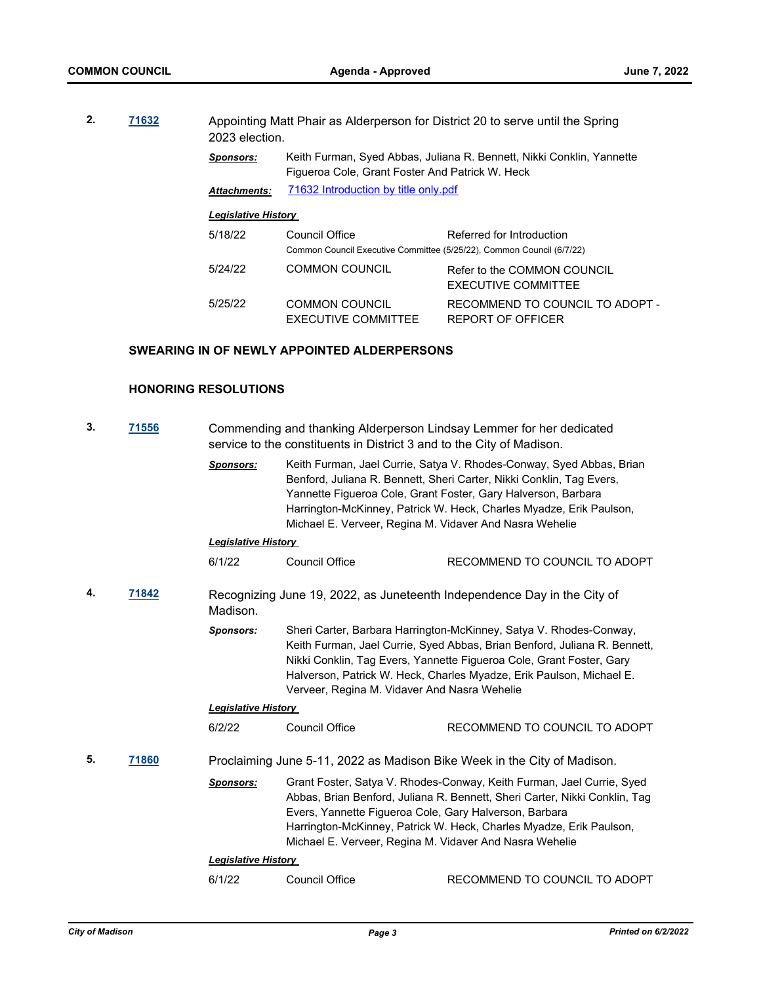| 2.<br>71632 | 2023 election.             |                                                                                                                          | Appointing Matt Phair as Alderperson for District 20 to serve until the Spring |                                                           |
|-------------|----------------------------|--------------------------------------------------------------------------------------------------------------------------|--------------------------------------------------------------------------------|-----------------------------------------------------------|
|             | <b>Sponsors:</b>           | Keith Furman, Syed Abbas, Juliana R. Bennett, Nikki Conklin, Yannette<br>Figueroa Cole, Grant Foster And Patrick W. Heck |                                                                                |                                                           |
|             | <b>Attachments:</b>        | 71632 Introduction by title only.pdf                                                                                     |                                                                                |                                                           |
|             | <b>Legislative History</b> |                                                                                                                          |                                                                                |                                                           |
|             | 5/18/22                    | Council Office<br>Common Council Executive Committee (5/25/22), Common Council (6/7/22)                                  | Referred for Introduction                                                      |                                                           |
|             |                            | 5/24/22                                                                                                                  | <b>COMMON COUNCIL</b>                                                          | Refer to the COMMON COUNCIL<br><b>EXECUTIVE COMMITTEE</b> |
|             |                            | 5/25/22                                                                                                                  | <b>COMMON COUNCIL</b><br>EXECUTIVE COMMITTEE                                   | RECOMMEND TO COUNCIL TO ADOPT -<br>REPORT OF OFFICER      |

## **SWEARING IN OF NEWLY APPOINTED ALDERPERSONS**

## **HONORING RESOLUTIONS**

| 3.<br><u>71556</u> |       | Commending and thanking Alderperson Lindsay Lemmer for her dedicated<br>service to the constituents in District 3 and to the City of Madison. |                                                                                                                                                                                                                                                                                                                                                 |                                                                          |  |
|--------------------|-------|-----------------------------------------------------------------------------------------------------------------------------------------------|-------------------------------------------------------------------------------------------------------------------------------------------------------------------------------------------------------------------------------------------------------------------------------------------------------------------------------------------------|--------------------------------------------------------------------------|--|
|                    |       | <b>Sponsors:</b>                                                                                                                              | Keith Furman, Jael Currie, Satya V. Rhodes-Conway, Syed Abbas, Brian<br>Benford, Juliana R. Bennett, Sheri Carter, Nikki Conklin, Tag Evers,<br>Yannette Figueroa Cole, Grant Foster, Gary Halverson, Barbara<br>Harrington-McKinney, Patrick W. Heck, Charles Myadze, Erik Paulson,<br>Michael E. Verveer, Regina M. Vidaver And Nasra Wehelie |                                                                          |  |
|                    |       | <b>Legislative History</b>                                                                                                                    |                                                                                                                                                                                                                                                                                                                                                 |                                                                          |  |
|                    |       | 6/1/22                                                                                                                                        | Council Office                                                                                                                                                                                                                                                                                                                                  | RECOMMEND TO COUNCIL TO ADOPT                                            |  |
| 4.<br>71842        |       | Madison.                                                                                                                                      |                                                                                                                                                                                                                                                                                                                                                 | Recognizing June 19, 2022, as Juneteenth Independence Day in the City of |  |
|                    |       | <b>Sponsors:</b>                                                                                                                              | Sheri Carter, Barbara Harrington-McKinney, Satya V. Rhodes-Conway,<br>Keith Furman, Jael Currie, Syed Abbas, Brian Benford, Juliana R. Bennett,<br>Nikki Conklin, Tag Evers, Yannette Figueroa Cole, Grant Foster, Gary<br>Halverson, Patrick W. Heck, Charles Myadze, Erik Paulson, Michael E.<br>Verveer, Regina M. Vidaver And Nasra Wehelie |                                                                          |  |
|                    |       | <b>Legislative History</b>                                                                                                                    |                                                                                                                                                                                                                                                                                                                                                 |                                                                          |  |
|                    |       | 6/2/22                                                                                                                                        | <b>Council Office</b>                                                                                                                                                                                                                                                                                                                           | RECOMMEND TO COUNCIL TO ADOPT                                            |  |
| 5.                 | 71860 |                                                                                                                                               |                                                                                                                                                                                                                                                                                                                                                 | Proclaiming June 5-11, 2022 as Madison Bike Week in the City of Madison. |  |
|                    |       | <b>Sponsors:</b>                                                                                                                              | Grant Foster, Satya V. Rhodes-Conway, Keith Furman, Jael Currie, Syed<br>Abbas, Brian Benford, Juliana R. Bennett, Sheri Carter, Nikki Conklin, Tag<br>Evers, Yannette Figueroa Cole, Gary Halverson, Barbara<br>Harrington-McKinney, Patrick W. Heck, Charles Myadze, Erik Paulson,<br>Michael E. Verveer, Regina M. Vidaver And Nasra Wehelie |                                                                          |  |
|                    |       | <b>Legislative History</b>                                                                                                                    |                                                                                                                                                                                                                                                                                                                                                 |                                                                          |  |
|                    |       | 6/1/22                                                                                                                                        | Council Office                                                                                                                                                                                                                                                                                                                                  | RECOMMEND TO COUNCIL TO ADOPT                                            |  |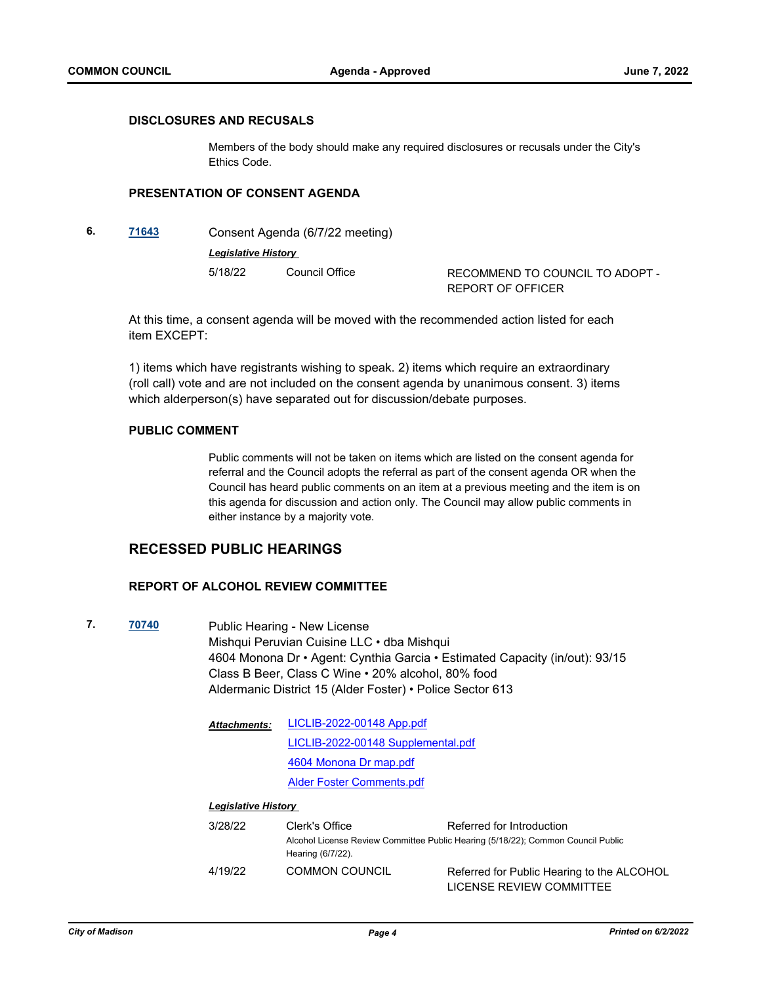## **DISCLOSURES AND RECUSALS**

Members of the body should make any required disclosures or recusals under the City's Ethics Code.

## **PRESENTATION OF CONSENT AGENDA**

**6. [71643](http://madison.legistar.com/gateway.aspx?m=l&id=/matter.aspx?key=83513)** Consent Agenda (6/7/22 meeting) *Legislative History*  5/18/22 Council Office RECOMMEND TO COUNCIL TO ADOPT -REPORT OF OFFICER

At this time, a consent agenda will be moved with the recommended action listed for each item EXCEPT:

1) items which have registrants wishing to speak. 2) items which require an extraordinary (roll call) vote and are not included on the consent agenda by unanimous consent. 3) items which alderperson(s) have separated out for discussion/debate purposes.

### **PUBLIC COMMENT**

Public comments will not be taken on items which are listed on the consent agenda for referral and the Council adopts the referral as part of the consent agenda OR when the Council has heard public comments on an item at a previous meeting and the item is on this agenda for discussion and action only. The Council may allow public comments in either instance by a majority vote.

## **RECESSED PUBLIC HEARINGS**

#### **REPORT OF ALCOHOL REVIEW COMMITTEE**

**7. [70740](http://madison.legistar.com/gateway.aspx?m=l&id=/matter.aspx?key=82754)** Public Hearing - New License Mishqui Peruvian Cuisine LLC • dba Mishqui 4604 Monona Dr • Agent: Cynthia Garcia • Estimated Capacity (in/out): 93/15 Class B Beer, Class C Wine • 20% alcohol, 80% food Aldermanic District 15 (Alder Foster) • Police Sector 613

| <b>Attachments:</b> | <b>LICLIB-2022-00148 App.pdf</b>   |
|---------------------|------------------------------------|
|                     | LICLIB-2022-00148 Supplemental.pdf |
|                     | 4604 Monona Dr map.pdf             |
|                     | <b>Alder Foster Comments.pdf</b>   |
|                     |                                    |

| 3/28/22 | Clerk's Office        | Referred for Introduction                                                        |  |
|---------|-----------------------|----------------------------------------------------------------------------------|--|
|         | Hearing (6/7/22).     | Alcohol License Review Committee Public Hearing (5/18/22); Common Council Public |  |
| 4/19/22 | <b>COMMON COUNCIL</b> | Referred for Public Hearing to the ALCOHOL<br>LICENSE REVIEW COMMITTEE           |  |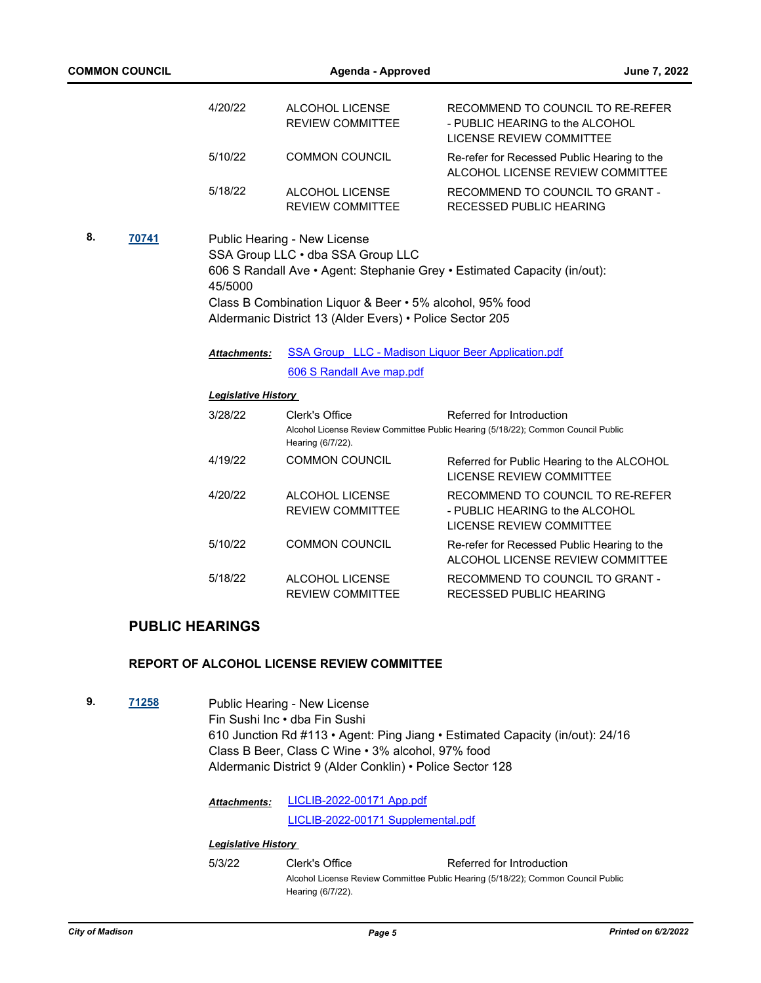| <b>COMMON COUNCIL</b> |                                                                                                                                                                                                                                                                                  | Agenda - Approved                                                                       |                                                                                                               | <b>June 7, 2022</b> |
|-----------------------|----------------------------------------------------------------------------------------------------------------------------------------------------------------------------------------------------------------------------------------------------------------------------------|-----------------------------------------------------------------------------------------|---------------------------------------------------------------------------------------------------------------|---------------------|
|                       | 4/20/22                                                                                                                                                                                                                                                                          | ALCOHOL LICENSE<br><b>REVIEW COMMITTEE</b>                                              | RECOMMEND TO COUNCIL TO RE-REFER<br>- PUBLIC HEARING to the ALCOHOL<br>LICENSE REVIEW COMMITTEE               |                     |
|                       | 5/10/22                                                                                                                                                                                                                                                                          | <b>COMMON COUNCIL</b>                                                                   | Re-refer for Recessed Public Hearing to the<br>ALCOHOL LICENSE REVIEW COMMITTEE                               |                     |
|                       | 5/18/22                                                                                                                                                                                                                                                                          | ALCOHOL LICENSE<br><b>REVIEW COMMITTEE</b>                                              | RECOMMEND TO COUNCIL TO GRANT -<br><b>RECESSED PUBLIC HEARING</b>                                             |                     |
| 8.<br>70741           | Public Hearing - New License<br>SSA Group LLC . dba SSA Group LLC<br>606 S Randall Ave • Agent: Stephanie Grey • Estimated Capacity (in/out):<br>45/5000<br>Class B Combination Liquor & Beer • 5% alcohol, 95% food<br>Aldermanic District 13 (Alder Evers) • Police Sector 205 |                                                                                         |                                                                                                               |                     |
|                       | <b>Attachments:</b>                                                                                                                                                                                                                                                              | <b>SSA Group LLC - Madison Liquor Beer Application.pdf</b><br>606 S Randall Ave map.pdf |                                                                                                               |                     |
|                       | <b>Legislative History</b>                                                                                                                                                                                                                                                       |                                                                                         |                                                                                                               |                     |
|                       | 3/28/22                                                                                                                                                                                                                                                                          | Clerk's Office<br>Hearing (6/7/22).                                                     | Referred for Introduction<br>Alcohol License Review Committee Public Hearing (5/18/22); Common Council Public |                     |
|                       | 4/19/22                                                                                                                                                                                                                                                                          | <b>COMMON COUNCIL</b>                                                                   | Referred for Public Hearing to the ALCOHOL<br>LICENSE REVIEW COMMITTEE                                        |                     |
|                       |                                                                                                                                                                                                                                                                                  |                                                                                         |                                                                                                               |                     |

## **PUBLIC HEARINGS**

## **REPORT OF ALCOHOL LICENSE REVIEW COMMITTEE**

**9. [71258](http://madison.legistar.com/gateway.aspx?m=l&id=/matter.aspx?key=83199)** Public Hearing - New License Fin Sushi Inc • dba Fin Sushi 610 Junction Rd #113 • Agent: Ping Jiang • Estimated Capacity (in/out): 24/16 Class B Beer, Class C Wine • 3% alcohol, 97% food Aldermanic District 9 (Alder Conklin) • Police Sector 128

> [LICLIB-2022-00171 App.pdf](http://madison.legistar.com/gateway.aspx?M=F&ID=3ea35b43-557f-4350-98ce-beb03286bbd8.pdf) [LICLIB-2022-00171 Supplemental.pdf](http://madison.legistar.com/gateway.aspx?M=F&ID=d5f5d238-7bc1-4a0d-b450-6f53f5eb3cb6.pdf) *Attachments:*

### *Legislative History*

5/3/22 Clerk's Office Referred for Introduction Alcohol License Review Committee Public Hearing (5/18/22); Common Council Public Hearing (6/7/22).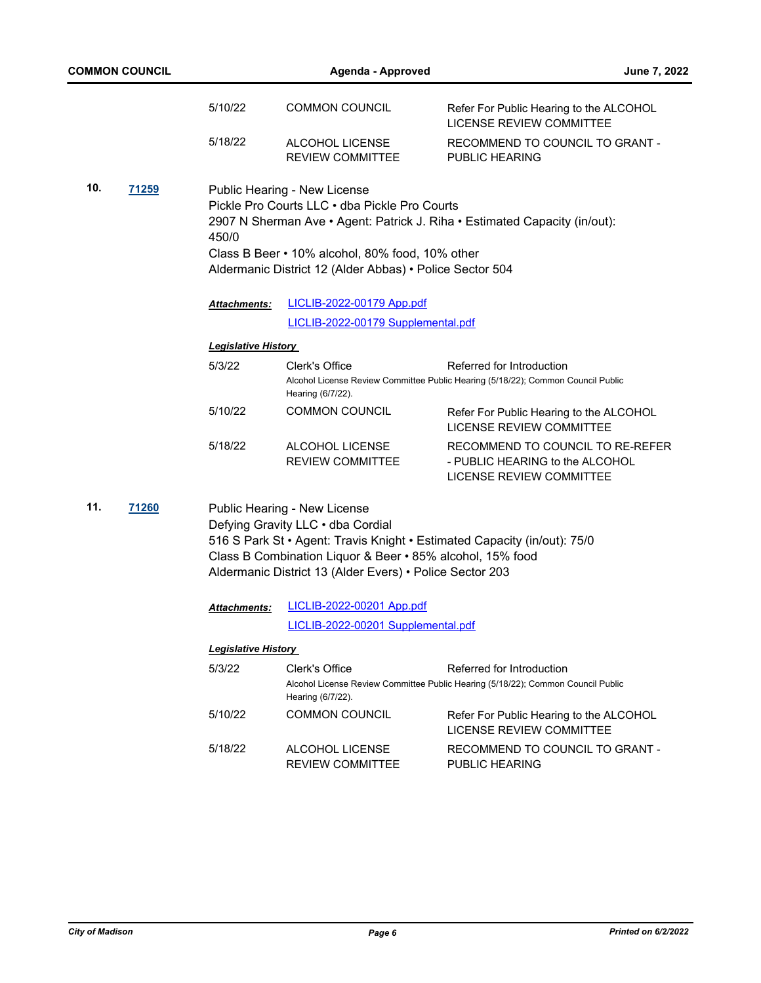|     | <b>COMMON COUNCIL</b> |                            | Agenda - Approved                                                                                                                                                                                                                                                      | June 7, 2022                                                                                                  |
|-----|-----------------------|----------------------------|------------------------------------------------------------------------------------------------------------------------------------------------------------------------------------------------------------------------------------------------------------------------|---------------------------------------------------------------------------------------------------------------|
|     |                       | 5/10/22                    | <b>COMMON COUNCIL</b>                                                                                                                                                                                                                                                  | Refer For Public Hearing to the ALCOHOL<br><b>LICENSE REVIEW COMMITTEE</b>                                    |
|     |                       | 5/18/22                    | ALCOHOL LICENSE<br><b>REVIEW COMMITTEE</b>                                                                                                                                                                                                                             | RECOMMEND TO COUNCIL TO GRANT -<br>PUBLIC HEARING                                                             |
| 10. | <u>71259</u>          | 450/0                      | Public Hearing - New License<br>Pickle Pro Courts LLC . dba Pickle Pro Courts<br>Class B Beer • 10% alcohol, 80% food, 10% other<br>Aldermanic District 12 (Alder Abbas) • Police Sector 504                                                                           | 2907 N Sherman Ave • Agent: Patrick J. Riha • Estimated Capacity (in/out):                                    |
|     |                       | Attachments:               | LICLIB-2022-00179 App.pdf                                                                                                                                                                                                                                              |                                                                                                               |
|     |                       |                            | LICLIB-2022-00179 Supplemental.pdf                                                                                                                                                                                                                                     |                                                                                                               |
|     |                       | <b>Legislative History</b> |                                                                                                                                                                                                                                                                        |                                                                                                               |
|     |                       | 5/3/22                     | Clerk's Office<br>Hearing (6/7/22).                                                                                                                                                                                                                                    | Referred for Introduction<br>Alcohol License Review Committee Public Hearing (5/18/22); Common Council Public |
|     |                       | 5/10/22                    | <b>COMMON COUNCIL</b>                                                                                                                                                                                                                                                  | Refer For Public Hearing to the ALCOHOL<br><b>LICENSE REVIEW COMMITTEE</b>                                    |
|     |                       | 5/18/22                    | ALCOHOL LICENSE<br><b>REVIEW COMMITTEE</b>                                                                                                                                                                                                                             | RECOMMEND TO COUNCIL TO RE-REFER<br>- PUBLIC HEARING to the ALCOHOL<br>LICENSE REVIEW COMMITTEE               |
| 11. | <b>71260</b>          |                            | Public Hearing - New License<br>Defying Gravity LLC . dba Cordial<br>516 S Park St · Agent: Travis Knight · Estimated Capacity (in/out): 75/0<br>Class B Combination Liquor & Beer • 85% alcohol, 15% food<br>Aldermanic District 13 (Alder Evers) • Police Sector 203 |                                                                                                               |
|     |                       | <b>Attachments:</b>        | LICLIB-2022-00201 App.pdf                                                                                                                                                                                                                                              |                                                                                                               |
|     |                       |                            | LICLIB-2022-00201 Supplemental.pdf                                                                                                                                                                                                                                     |                                                                                                               |
|     |                       | <b>Legislative History</b> |                                                                                                                                                                                                                                                                        |                                                                                                               |
|     |                       | 5/3/22                     | Clerk's Office<br>Hearing (6/7/22).                                                                                                                                                                                                                                    | Referred for Introduction<br>Alcohol License Review Committee Public Hearing (5/18/22); Common Council Public |
|     |                       | 5/10/22                    | <b>COMMON COUNCIL</b>                                                                                                                                                                                                                                                  | Refer For Public Hearing to the ALCOHOL<br><b>LICENSE REVIEW COMMITTEE</b>                                    |
|     |                       | 5/18/22                    | ALCOHOL LICENSE<br><b>REVIEW COMMITTEE</b>                                                                                                                                                                                                                             | RECOMMEND TO COUNCIL TO GRANT -<br>PUBLIC HEARING                                                             |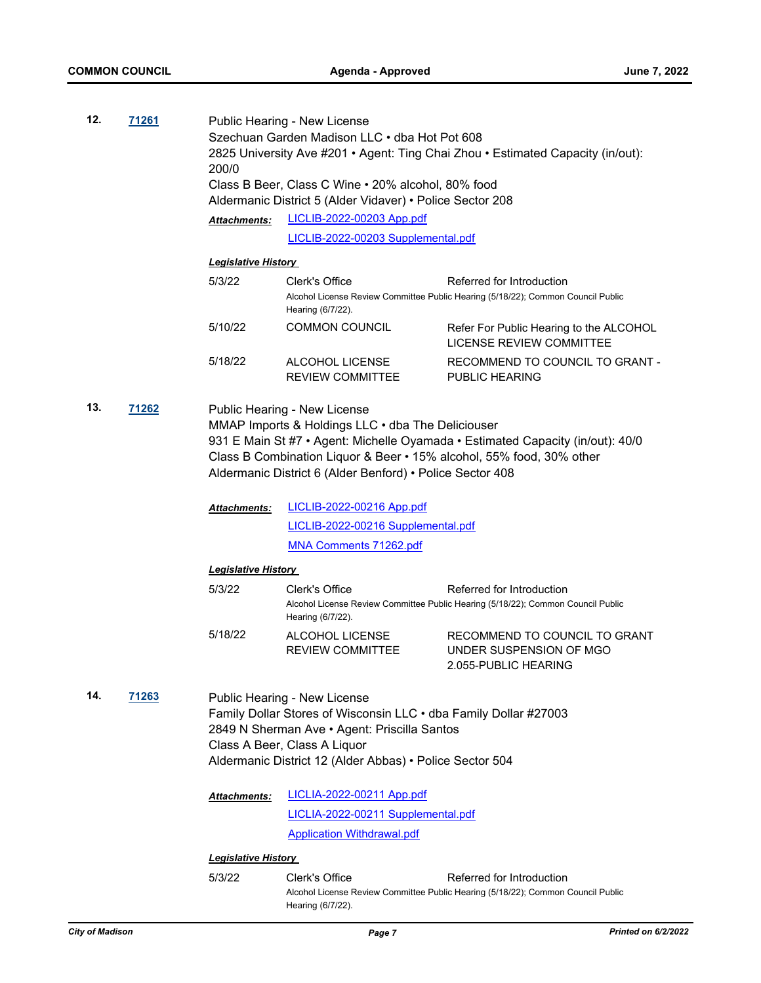| 12.          | <u>71261</u> |                             | Public Hearing - New License<br>Szechuan Garden Madison LLC · dba Hot Pot 608<br>2825 University Ave #201 • Agent: Ting Chai Zhou • Estimated Capacity (in/out):                                                                             |                                                                                                                                                        |  |
|--------------|--------------|-----------------------------|----------------------------------------------------------------------------------------------------------------------------------------------------------------------------------------------------------------------------------------------|--------------------------------------------------------------------------------------------------------------------------------------------------------|--|
|              |              | 200/0                       |                                                                                                                                                                                                                                              |                                                                                                                                                        |  |
|              |              |                             | Class B Beer, Class C Wine . 20% alcohol, 80% food<br>Aldermanic District 5 (Alder Vidaver) • Police Sector 208                                                                                                                              |                                                                                                                                                        |  |
|              |              | <b>Attachments:</b>         | LICLIB-2022-00203 App.pdf                                                                                                                                                                                                                    |                                                                                                                                                        |  |
|              |              |                             | LICLIB-2022-00203 Supplemental.pdf                                                                                                                                                                                                           |                                                                                                                                                        |  |
|              |              | <b>Legislative History</b>  |                                                                                                                                                                                                                                              |                                                                                                                                                        |  |
|              |              | 5/3/22                      | Clerk's Office<br>Hearing (6/7/22).                                                                                                                                                                                                          | Referred for Introduction<br>Alcohol License Review Committee Public Hearing (5/18/22); Common Council Public                                          |  |
|              |              | 5/10/22                     | <b>COMMON COUNCIL</b>                                                                                                                                                                                                                        | Refer For Public Hearing to the ALCOHOL<br><b>LICENSE REVIEW COMMITTEE</b>                                                                             |  |
|              |              | 5/18/22                     | ALCOHOL LICENSE<br><b>REVIEW COMMITTEE</b>                                                                                                                                                                                                   | RECOMMEND TO COUNCIL TO GRANT -<br>PUBLIC HEARING                                                                                                      |  |
| 13.<br>71262 |              |                             | Public Hearing - New License<br>MMAP Imports & Holdings LLC . dba The Deliciouser<br>Aldermanic District 6 (Alder Benford) • Police Sector 408                                                                                               | 931 E Main St #7 • Agent: Michelle Oyamada • Estimated Capacity (in/out): 40/0<br>Class B Combination Liquor & Beer • 15% alcohol, 55% food, 30% other |  |
|              |              | Attachments:                | <b>LICLIB-2022-00216 App.pdf</b>                                                                                                                                                                                                             |                                                                                                                                                        |  |
|              |              |                             | LICLIB-2022-00216 Supplemental.pdf                                                                                                                                                                                                           |                                                                                                                                                        |  |
|              |              |                             | <b>MNA Comments 71262.pdf</b>                                                                                                                                                                                                                |                                                                                                                                                        |  |
|              |              | <b>Legislative History</b>  |                                                                                                                                                                                                                                              |                                                                                                                                                        |  |
|              |              | 5/3/22                      | Clerk's Office<br>Hearing (6/7/22).                                                                                                                                                                                                          | Referred for Introduction<br>Alcohol License Review Committee Public Hearing (5/18/22); Common Council Public                                          |  |
|              |              | 5/18/22                     | ALCOHOL LICENSE<br><b>REVIEW COMMITTEE</b>                                                                                                                                                                                                   | RECOMMEND TO COUNCIL TO GRANT<br>UNDER SUSPENSION OF MGO<br>2.055-PUBLIC HEARING                                                                       |  |
| 14.          | 71263        |                             | Public Hearing - New License<br>Family Dollar Stores of Wisconsin LLC . dba Family Dollar #27003<br>2849 N Sherman Ave • Agent: Priscilla Santos<br>Class A Beer, Class A Liquor<br>Aldermanic District 12 (Alder Abbas) • Police Sector 504 |                                                                                                                                                        |  |
|              |              | <b>Attachments:</b>         | LICLIA-2022-00211 App.pdf                                                                                                                                                                                                                    |                                                                                                                                                        |  |
|              |              |                             | LICLIA-2022-00211 Supplemental.pdf                                                                                                                                                                                                           |                                                                                                                                                        |  |
|              |              |                             | <b>Application Withdrawal.pdf</b>                                                                                                                                                                                                            |                                                                                                                                                        |  |
|              |              | <u> Legislative History</u> |                                                                                                                                                                                                                                              |                                                                                                                                                        |  |
|              |              | 5/3/22                      | Clerk's Office                                                                                                                                                                                                                               | Referred for Introduction                                                                                                                              |  |
|              |              |                             | Hearing (6/7/22).                                                                                                                                                                                                                            | Alcohol License Review Committee Public Hearing (5/18/22); Common Council Public                                                                       |  |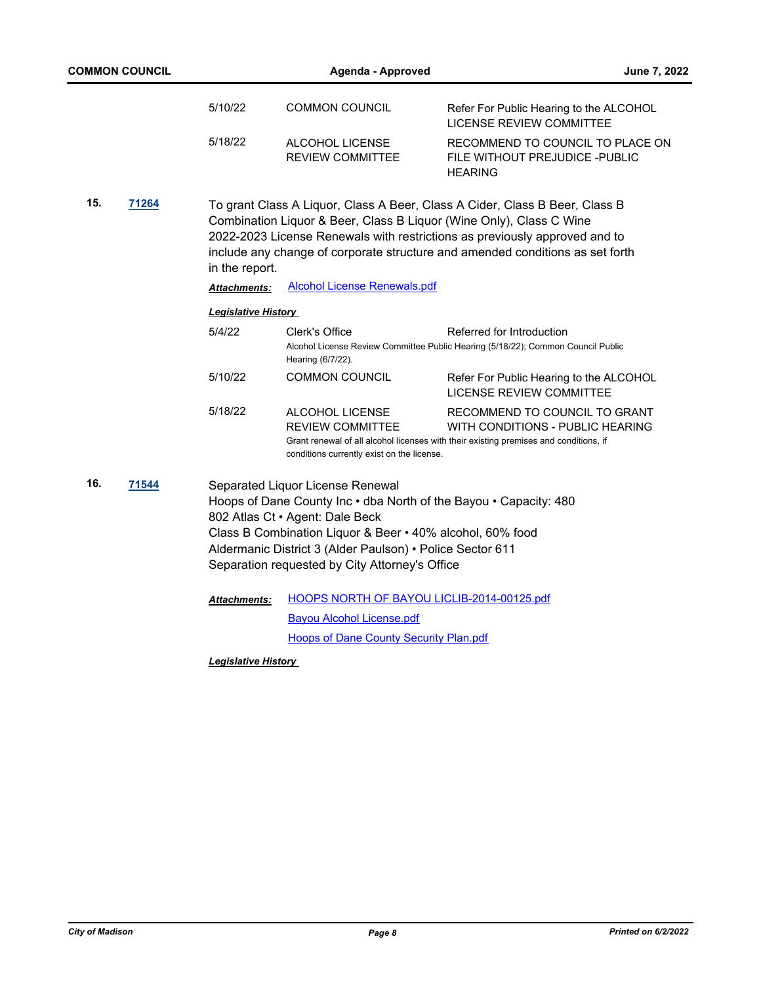|     | <b>COMMON COUNCIL</b> |                            | <b>Agenda - Approved</b>                                                                                                                                                                                                                        | June 7, 2022                                                                                                                                                                                                                                                                                                      |
|-----|-----------------------|----------------------------|-------------------------------------------------------------------------------------------------------------------------------------------------------------------------------------------------------------------------------------------------|-------------------------------------------------------------------------------------------------------------------------------------------------------------------------------------------------------------------------------------------------------------------------------------------------------------------|
|     |                       | 5/10/22                    | <b>COMMON COUNCIL</b>                                                                                                                                                                                                                           | Refer For Public Hearing to the ALCOHOL<br>LICENSE REVIEW COMMITTEE                                                                                                                                                                                                                                               |
|     |                       | 5/18/22                    | ALCOHOL LICENSE<br><b>REVIEW COMMITTEE</b>                                                                                                                                                                                                      | RECOMMEND TO COUNCIL TO PLACE ON<br>FILE WITHOUT PREJUDICE - PUBLIC<br><b>HEARING</b>                                                                                                                                                                                                                             |
| 15. | 71264                 | in the report.             |                                                                                                                                                                                                                                                 | To grant Class A Liquor, Class A Beer, Class A Cider, Class B Beer, Class B<br>Combination Liquor & Beer, Class B Liquor (Wine Only), Class C Wine<br>2022-2023 License Renewals with restrictions as previously approved and to<br>include any change of corporate structure and amended conditions as set forth |
|     |                       | <b>Attachments:</b>        | <b>Alcohol License Renewals.pdf</b>                                                                                                                                                                                                             |                                                                                                                                                                                                                                                                                                                   |
|     |                       | <b>Legislative History</b> |                                                                                                                                                                                                                                                 |                                                                                                                                                                                                                                                                                                                   |
|     |                       | 5/4/22                     | Clerk's Office<br>Hearing (6/7/22).                                                                                                                                                                                                             | Referred for Introduction<br>Alcohol License Review Committee Public Hearing (5/18/22); Common Council Public                                                                                                                                                                                                     |
|     |                       | 5/10/22                    | <b>COMMON COUNCIL</b>                                                                                                                                                                                                                           | Refer For Public Hearing to the ALCOHOL<br><b>LICENSE REVIEW COMMITTEE</b>                                                                                                                                                                                                                                        |
|     |                       | 5/18/22                    | ALCOHOL LICENSE<br><b>REVIEW COMMITTEE</b><br>conditions currently exist on the license.                                                                                                                                                        | RECOMMEND TO COUNCIL TO GRANT<br>WITH CONDITIONS - PUBLIC HEARING<br>Grant renewal of all alcohol licenses with their existing premises and conditions, if                                                                                                                                                        |
| 16. | 71544                 |                            | Separated Liquor License Renewal<br>802 Atlas Ct · Agent: Dale Beck<br>Class B Combination Liquor & Beer . 40% alcohol, 60% food<br>Aldermanic District 3 (Alder Paulson) · Police Sector 611<br>Separation requested by City Attorney's Office | Hoops of Dane County Inc . dba North of the Bayou . Capacity: 480                                                                                                                                                                                                                                                 |
|     |                       | <b>Attachments:</b>        | HOOPS NORTH OF BAYOU LICLIB-2014-00125.pdf<br><b>Bayou Alcohol License.pdf</b>                                                                                                                                                                  |                                                                                                                                                                                                                                                                                                                   |
|     |                       |                            | <b>Hoops of Dane County Security Plan.pdf</b>                                                                                                                                                                                                   |                                                                                                                                                                                                                                                                                                                   |
|     |                       | Lonialativo Uiotoni        |                                                                                                                                                                                                                                                 |                                                                                                                                                                                                                                                                                                                   |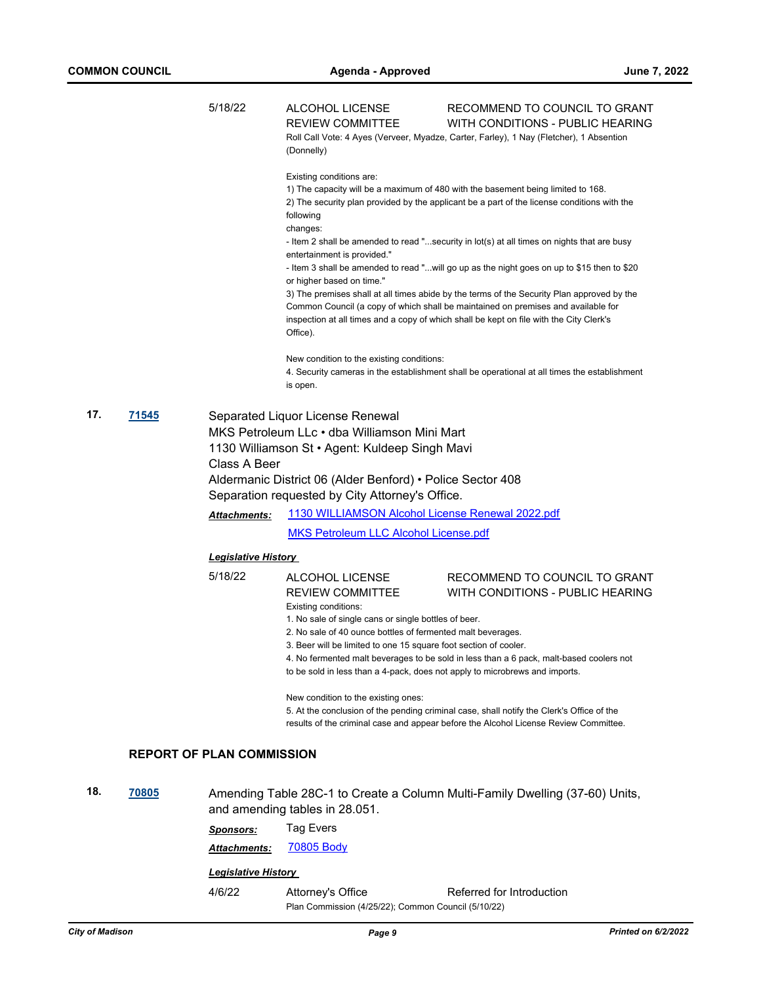|     |              | 5/18/22                          | <b>ALCOHOL LICENSE</b><br><b>REVIEW COMMITTEE</b><br>(Donnelly)                                                                                                                                                                                     | RECOMMEND TO COUNCIL TO GRANT<br>WITH CONDITIONS - PUBLIC HEARING<br>Roll Call Vote: 4 Ayes (Verveer, Myadze, Carter, Farley), 1 Nay (Fletcher), 1 Absention                                                                                                               |  |  |
|-----|--------------|----------------------------------|-----------------------------------------------------------------------------------------------------------------------------------------------------------------------------------------------------------------------------------------------------|----------------------------------------------------------------------------------------------------------------------------------------------------------------------------------------------------------------------------------------------------------------------------|--|--|
|     |              |                                  | Existing conditions are:<br>following                                                                                                                                                                                                               | 1) The capacity will be a maximum of 480 with the basement being limited to 168.<br>2) The security plan provided by the applicant be a part of the license conditions with the                                                                                            |  |  |
|     |              |                                  | changes:<br>entertainment is provided."                                                                                                                                                                                                             | - Item 2 shall be amended to read "security in lot(s) at all times on nights that are busy                                                                                                                                                                                 |  |  |
|     |              |                                  | or higher based on time."                                                                                                                                                                                                                           | - Item 3 shall be amended to read "will go up as the night goes on up to \$15 then to \$20                                                                                                                                                                                 |  |  |
|     |              |                                  | Office).                                                                                                                                                                                                                                            | 3) The premises shall at all times abide by the terms of the Security Plan approved by the<br>Common Council (a copy of which shall be maintained on premises and available for<br>inspection at all times and a copy of which shall be kept on file with the City Clerk's |  |  |
|     |              |                                  | New condition to the existing conditions:<br>is open.                                                                                                                                                                                               | 4. Security cameras in the establishment shall be operational at all times the establishment                                                                                                                                                                               |  |  |
| 17. | <u>71545</u> | Class A Beer                     | Separated Liquor License Renewal<br>MKS Petroleum LLc · dba Williamson Mini Mart<br>1130 Williamson St • Agent: Kuldeep Singh Mavi<br>Aldermanic District 06 (Alder Benford) • Police Sector 408<br>Separation requested by City Attorney's Office. |                                                                                                                                                                                                                                                                            |  |  |
|     |              | <b>Attachments:</b>              | 1130 WILLIAMSON Alcohol License Renewal 2022.pdf                                                                                                                                                                                                    |                                                                                                                                                                                                                                                                            |  |  |
|     |              |                                  | <b>MKS Petroleum LLC Alcohol License.pdf</b>                                                                                                                                                                                                        |                                                                                                                                                                                                                                                                            |  |  |
|     |              | <b>Legislative History</b>       |                                                                                                                                                                                                                                                     |                                                                                                                                                                                                                                                                            |  |  |
|     |              | 5/18/22                          | ALCOHOL LICENSE<br>REVIEW COMMITTEE<br>Existing conditions:<br>1. No sale of single cans or single bottles of beer.<br>2. No sale of 40 ounce bottles of fermented malt beverages.                                                                  | RECOMMEND TO COUNCIL TO GRANT<br>WITH CONDITIONS - PUBLIC HEARING                                                                                                                                                                                                          |  |  |
|     |              |                                  | 3. Beer will be limited to one 15 square foot section of cooler.<br>to be sold in less than a 4-pack, does not apply to microbrews and imports.                                                                                                     | 4. No fermented malt beverages to be sold in less than a 6 pack, malt-based coolers not                                                                                                                                                                                    |  |  |
|     |              |                                  | New condition to the existing ones:                                                                                                                                                                                                                 | 5. At the conclusion of the pending criminal case, shall notify the Clerk's Office of the<br>results of the criminal case and appear before the Alcohol License Review Committee.                                                                                          |  |  |
|     |              | <b>REPORT OF PLAN COMMISSION</b> |                                                                                                                                                                                                                                                     |                                                                                                                                                                                                                                                                            |  |  |
| 18. | 70805        |                                  | and amending tables in 28.051.                                                                                                                                                                                                                      | Amending Table 28C-1 to Create a Column Multi-Family Dwelling (37-60) Units,                                                                                                                                                                                               |  |  |
|     |              | <b>Sponsors:</b>                 | <b>Tag Evers</b>                                                                                                                                                                                                                                    |                                                                                                                                                                                                                                                                            |  |  |
|     |              | Attachments:                     | 70805 Body                                                                                                                                                                                                                                          |                                                                                                                                                                                                                                                                            |  |  |

4/6/22 Attorney's Office Referred for Introduction Plan Commission (4/25/22); Common Council (5/10/22)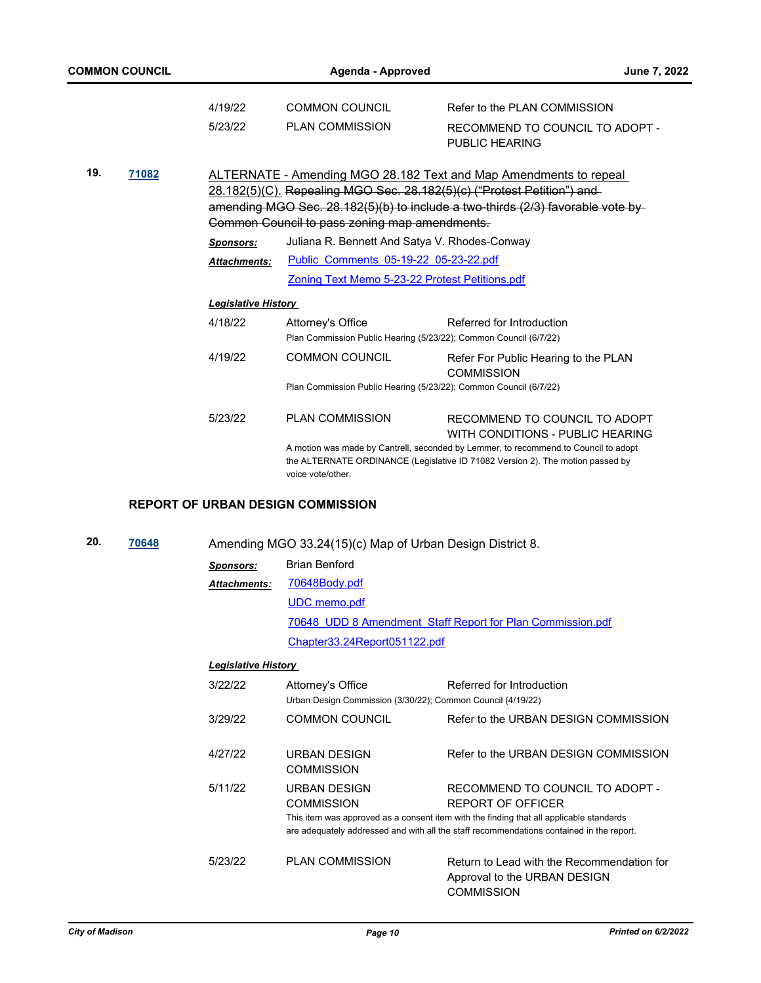| <b>COMMON COUNCIL</b> |       |                            | Agenda - Approved                              | June 7, 2022                                                                                                                                                                                                                   |
|-----------------------|-------|----------------------------|------------------------------------------------|--------------------------------------------------------------------------------------------------------------------------------------------------------------------------------------------------------------------------------|
|                       |       | 4/19/22                    | <b>COMMON COUNCIL</b>                          | Refer to the PLAN COMMISSION                                                                                                                                                                                                   |
|                       |       | 5/23/22                    | <b>PLAN COMMISSION</b>                         | RECOMMEND TO COUNCIL TO ADOPT -<br>PUBLIC HEARING                                                                                                                                                                              |
| 19.                   | 71082 |                            | Common Council to pass zoning map amendments.  | ALTERNATE - Amending MGO 28.182 Text and Map Amendments to repeal<br>28.182(5)(C). Repealing MGO Sec. 28.182(5)(c) ("Protest Petition") and<br>amending MGO Sec. 28.182(5)(b) to include a two-thirds (2/3) favorable vote by- |
|                       |       | Sponsors:                  | Juliana R. Bennett And Satya V. Rhodes-Conway  |                                                                                                                                                                                                                                |
|                       |       | <b>Attachments:</b>        | Public Comments 05-19-22 05-23-22.pdf          |                                                                                                                                                                                                                                |
|                       |       |                            | Zoning Text Memo 5-23-22 Protest Petitions.pdf |                                                                                                                                                                                                                                |
|                       |       | <b>Legislative History</b> |                                                |                                                                                                                                                                                                                                |
|                       |       | 4/18/22                    | Attorney's Office                              | Referred for Introduction<br>Plan Commission Public Hearing (5/23/22); Common Council (6/7/22)                                                                                                                                 |
|                       |       | 4/19/22                    | <b>COMMON COUNCIL</b>                          | Refer For Public Hearing to the PLAN<br><b>COMMISSION</b>                                                                                                                                                                      |
|                       |       |                            |                                                | Plan Commission Public Hearing (5/23/22); Common Council (6/7/22)                                                                                                                                                              |
|                       |       | 5/23/22                    | <b>PLAN COMMISSION</b>                         | RECOMMEND TO COUNCIL TO ADOPT                                                                                                                                                                                                  |

WITH CONDITIONS - PUBLIC HEARING A motion was made by Cantrell, seconded by Lemmer, to recommend to Council to adopt the ALTERNATE ORDINANCE (Legislative ID 71082 Version 2). The motion passed by voice vote/other.

#### **REPORT OF URBAN DESIGN COMMISSION**

**20. [70648](http://madison.legistar.com/gateway.aspx?m=l&id=/matter.aspx?key=82679)** Amending MGO 33.24(15)(c) Map of Urban Design District 8.

| Sponsors:    | <b>Brian Benford</b>                                       |
|--------------|------------------------------------------------------------|
| Attachments: | 70648Body.pdf                                              |
|              | <b>UDC</b> memo.pdf                                        |
|              | 70648 UDD 8 Amendment Staff Report for Plan Commission.pdf |
|              | Chapter33.24Report051122.pdf                               |

| 3/22/22 | Attorney's Office<br>Urban Design Commission (3/30/22); Common Council (4/19/22) | Referred for Introduction                                                                                                                                                                                                                   |
|---------|----------------------------------------------------------------------------------|---------------------------------------------------------------------------------------------------------------------------------------------------------------------------------------------------------------------------------------------|
| 3/29/22 | <b>COMMON COUNCIL</b>                                                            | Refer to the URBAN DESIGN COMMISSION                                                                                                                                                                                                        |
| 4/27/22 | URBAN DESIGN<br>COMMISSION                                                       | Refer to the URBAN DESIGN COMMISSION                                                                                                                                                                                                        |
| 5/11/22 | URBAN DESIGN<br><b>COMMISSION</b>                                                | RECOMMEND TO COUNCIL TO ADOPT -<br>REPORT OF OFFICER<br>This item was approved as a consent item with the finding that all applicable standards<br>are adequately addressed and with all the staff recommendations contained in the report. |
| 5/23/22 | <b>PLAN COMMISSION</b>                                                           | Return to Lead with the Recommendation for<br>Approval to the URBAN DESIGN<br><b>COMMISSION</b>                                                                                                                                             |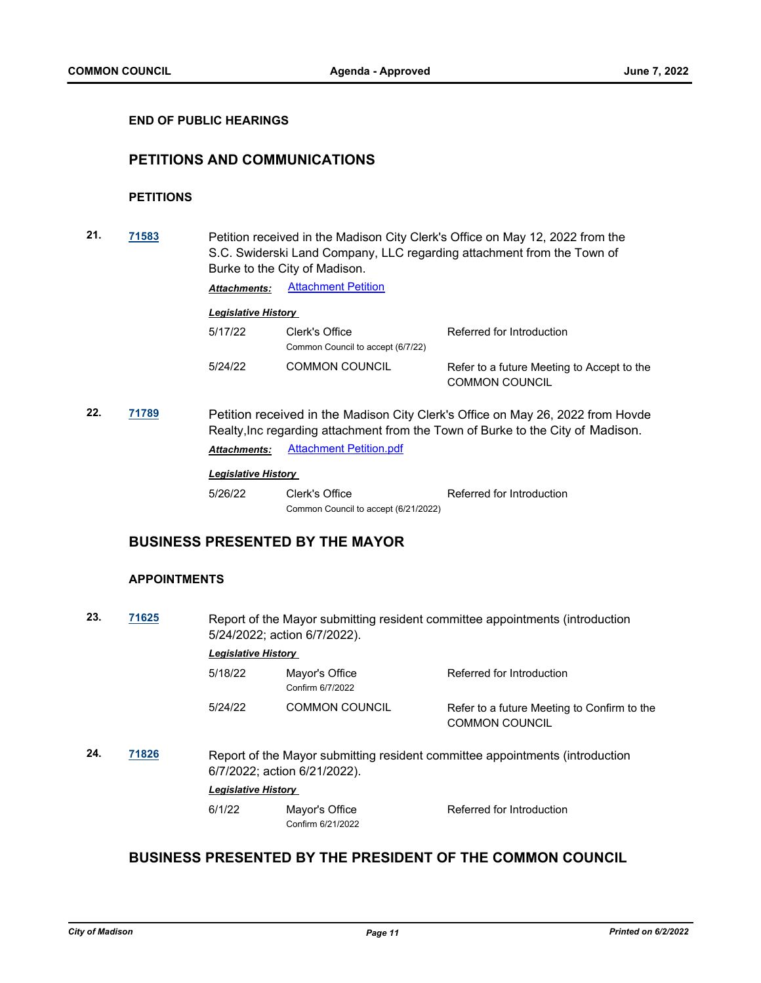#### **END OF PUBLIC HEARINGS**

## **PETITIONS AND COMMUNICATIONS**

## **PETITIONS**

**21. [71583](http://madison.legistar.com/gateway.aspx?m=l&id=/matter.aspx?key=83468)** Petition received in the Madison City Clerk's Office on May 12, 2022 from the S.C. Swiderski Land Company, LLC regarding attachment from the Town of Burke to the City of Madison.

*Attachments:* [Attachment Petition](http://madison.legistar.com/gateway.aspx?M=F&ID=649ae1ff-bd9c-4d49-a9ad-f0bbc2392c06.pdf)

## *Legislative History*

| 5/17/22 | Clerk's Office<br>Common Council to accept (6/7/22) | Referred for Introduction                                           |
|---------|-----------------------------------------------------|---------------------------------------------------------------------|
| 5/24/22 | <b>COMMON COUNCIL</b>                               | Refer to a future Meeting to Accept to the<br><b>COMMON COUNCIL</b> |

**22. [71789](http://madison.legistar.com/gateway.aspx?m=l&id=/matter.aspx?key=83624)** Petition received in the Madison City Clerk's Office on May 26, 2022 from Hovde Realty,Inc regarding attachment from the Town of Burke to the City of Madison. *Attachments:* [Attachment Petition.pdf](http://madison.legistar.com/gateway.aspx?M=F&ID=e65e3121-b43e-4d0b-bf03-61772ec9162a.pdf)

#### *Legislative History*

5/26/22 Clerk's Office Referred for Introduction Common Council to accept (6/21/2022)

## **BUSINESS PRESENTED BY THE MAYOR**

#### **APPOINTMENTS**

**23. [71625](http://madison.legistar.com/gateway.aspx?m=l&id=/matter.aspx?key=83495)** Report of the Mayor submitting resident committee appointments (introduction 5/24/2022; action 6/7/2022).

## *Legislative History*

| 5/18/22 | Mayor's Office<br>Confirm 6/7/2022 | Referred for Introduction                                            |
|---------|------------------------------------|----------------------------------------------------------------------|
| 5/24/22 | <b>COMMON COUNCIL</b>              | Refer to a future Meeting to Confirm to the<br><b>COMMON COUNCIL</b> |

**24. [71826](http://madison.legistar.com/gateway.aspx?m=l&id=/matter.aspx?key=83651)** Report of the Mayor submitting resident committee appointments (introduction 6/7/2022; action 6/21/2022).

#### *Legislative History*

6/1/22 Mayor's Office Referred for Introduction Confirm 6/21/2022

## **BUSINESS PRESENTED BY THE PRESIDENT OF THE COMMON COUNCIL**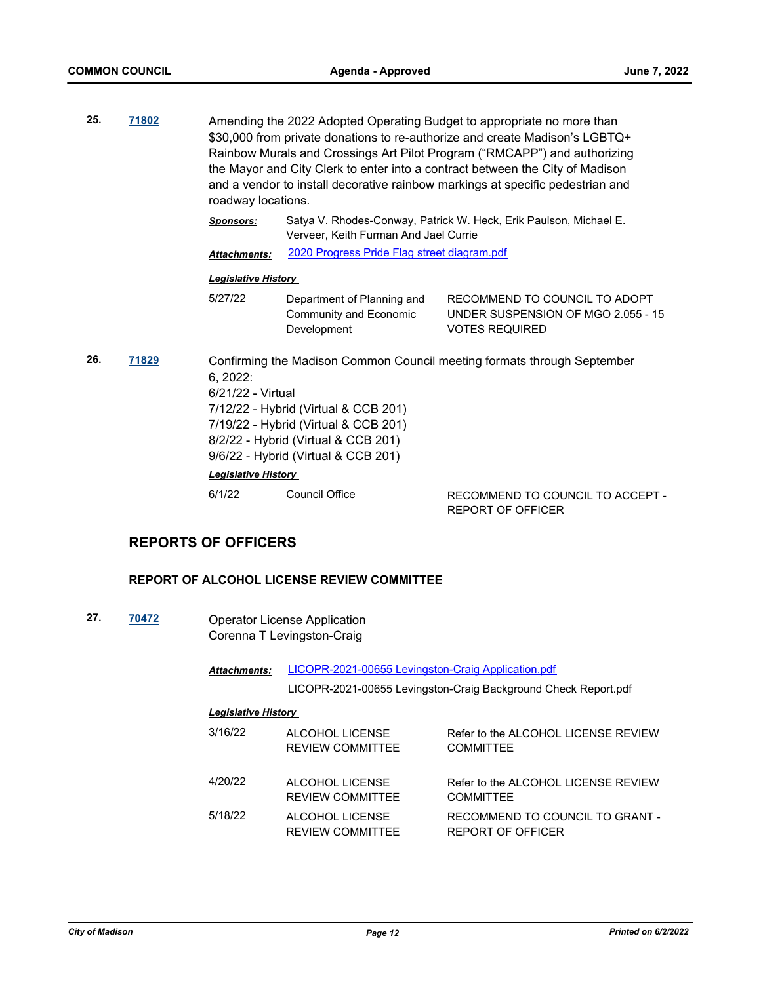- **25. [71802](http://madison.legistar.com/gateway.aspx?m=l&id=/matter.aspx?key=83632)** Amending the 2022 Adopted Operating Budget to appropriate no more than \$30,000 from private donations to re-authorize and create Madison's LGBTQ+ Rainbow Murals and Crossings Art Pilot Program ("RMCAPP") and authorizing the Mayor and City Clerk to enter into a contract between the City of Madison and a vendor to install decorative rainbow markings at specific pedestrian and roadway locations.
	- *Sponsors:* Satya V. Rhodes-Conway, Patrick W. Heck, Erik Paulson, Michael E. Verveer, Keith Furman And Jael Currie

*Attachments:* [2020 Progress Pride Flag street diagram.pdf](http://madison.legistar.com/gateway.aspx?M=F&ID=ec7f9162-dce7-4f2b-9dfd-4a306a40e3a7.pdf)

#### *Legislative History*

5/27/22 Department of Planning and Community and Economic Development RECOMMEND TO COUNCIL TO ADOPT UNDER SUSPENSION OF MGO 2.055 - 15 VOTES REQUIRED

## **26. [71829](http://madison.legistar.com/gateway.aspx?m=l&id=/matter.aspx?key=83654)** Confirming the Madison Common Council meeting formats through September 6, 2022: 6/21/22 - Virtual 7/12/22 - Hybrid (Virtual & CCB 201) 7/19/22 - Hybrid (Virtual & CCB 201) 8/2/22 - Hybrid (Virtual & CCB 201) 9/6/22 - Hybrid (Virtual & CCB 201) *Legislative History*  6/1/22 Council Office RECOMMEND TO COUNCIL TO ACCEPT -

## **REPORTS OF OFFICERS**

## **REPORT OF ALCOHOL LICENSE REVIEW COMMITTEE**

**27. [70472](http://madison.legistar.com/gateway.aspx?m=l&id=/matter.aspx?key=82535)** Operator License Application Corenna T Levingston-Craig

> [LICOPR-2021-00655 Levingston-Craig Application.pdf](http://madison.legistar.com/gateway.aspx?M=F&ID=a2bf5944-b195-4498-8a21-0e1ddcf2cd91.pdf) *Attachments:*

> > LICOPR-2021-00655 Levingston-Craig Background Check Report.pdf

REPORT OF OFFICER

| 3/16/22 | ALCOHOL LICENSE<br><b>REVIEW COMMITTEE</b> | Refer to the ALCOHOL LICENSE REVIEW<br><b>COMMITTEE</b>     |
|---------|--------------------------------------------|-------------------------------------------------------------|
| 4/20/22 | ALCOHOL LICENSE<br><b>REVIEW COMMITTEE</b> | Refer to the ALCOHOL LICENSE REVIEW<br><b>COMMITTEF</b>     |
| 5/18/22 | ALCOHOL LICENSE<br><b>REVIEW COMMITTEE</b> | RECOMMEND TO COUNCIL TO GRANT -<br><b>REPORT OF OFFICER</b> |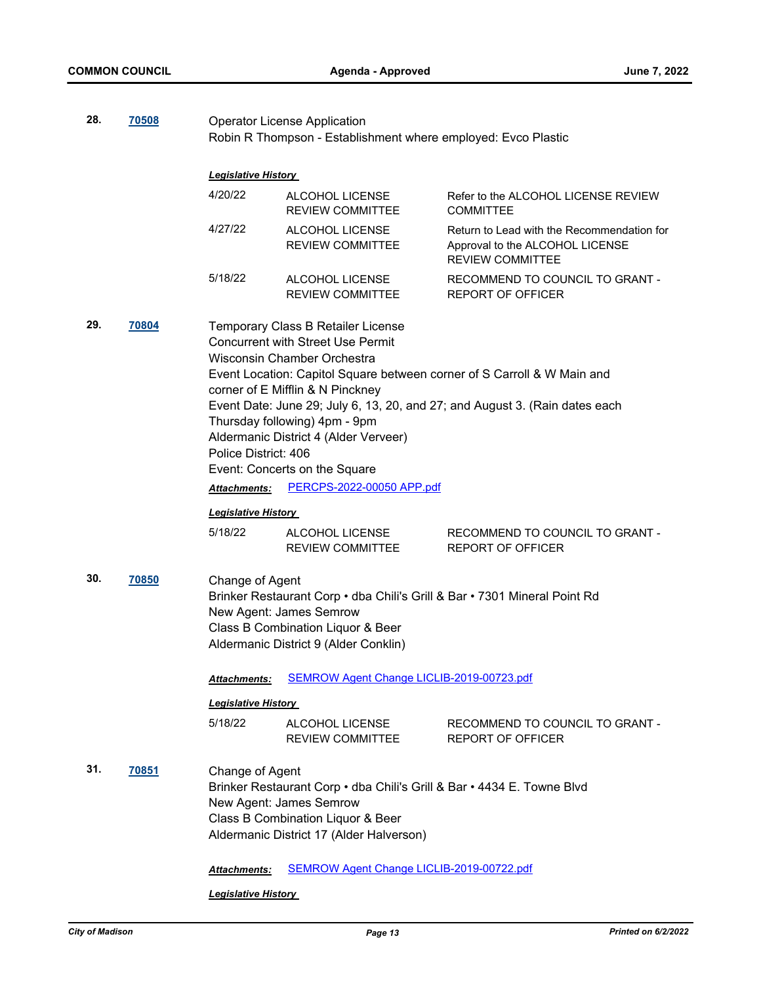| 28. | 70508                                                                                                                                                                                                                                 | <b>Operator License Application</b><br>Robin R Thompson - Establishment where employed: Evco Plastic |                                                                           |                                                                                                          |
|-----|---------------------------------------------------------------------------------------------------------------------------------------------------------------------------------------------------------------------------------------|------------------------------------------------------------------------------------------------------|---------------------------------------------------------------------------|----------------------------------------------------------------------------------------------------------|
|     |                                                                                                                                                                                                                                       |                                                                                                      |                                                                           |                                                                                                          |
|     |                                                                                                                                                                                                                                       | <b>Legislative History</b>                                                                           |                                                                           |                                                                                                          |
|     |                                                                                                                                                                                                                                       | 4/20/22                                                                                              | ALCOHOL LICENSE<br><b>REVIEW COMMITTEE</b>                                | Refer to the ALCOHOL LICENSE REVIEW<br><b>COMMITTEE</b>                                                  |
|     |                                                                                                                                                                                                                                       | 4/27/22                                                                                              | ALCOHOL LICENSE<br><b>REVIEW COMMITTEE</b>                                | Return to Lead with the Recommendation for<br>Approval to the ALCOHOL LICENSE<br><b>REVIEW COMMITTEE</b> |
|     |                                                                                                                                                                                                                                       | 5/18/22                                                                                              | ALCOHOL LICENSE<br>REVIEW COMMITTEE                                       | RECOMMEND TO COUNCIL TO GRANT -<br><b>REPORT OF OFFICER</b>                                              |
| 29. | 70804<br>Temporary Class B Retailer License<br><b>Concurrent with Street Use Permit</b><br>Wisconsin Chamber Orchestra<br>Event Location: Capitol Square between corner of S Carroll & W Main and<br>corner of E Mifflin & N Pinckney |                                                                                                      |                                                                           |                                                                                                          |
|     |                                                                                                                                                                                                                                       |                                                                                                      |                                                                           | Event Date: June 29; July 6, 13, 20, and 27; and August 3. (Rain dates each                              |
|     |                                                                                                                                                                                                                                       |                                                                                                      | Thursday following) 4pm - 9pm                                             |                                                                                                          |
|     |                                                                                                                                                                                                                                       |                                                                                                      | Aldermanic District 4 (Alder Verveer)                                     |                                                                                                          |
|     |                                                                                                                                                                                                                                       | Police District: 406                                                                                 |                                                                           |                                                                                                          |
|     |                                                                                                                                                                                                                                       |                                                                                                      | Event: Concerts on the Square<br>PERCPS-2022-00050 APP.pdf                |                                                                                                          |
|     |                                                                                                                                                                                                                                       | Attachments:                                                                                         |                                                                           |                                                                                                          |
|     |                                                                                                                                                                                                                                       | <u> Legislative History </u>                                                                         |                                                                           |                                                                                                          |
|     |                                                                                                                                                                                                                                       | 5/18/22                                                                                              | ALCOHOL LICENSE<br><b>REVIEW COMMITTEE</b>                                | RECOMMEND TO COUNCIL TO GRANT -<br><b>REPORT OF OFFICER</b>                                              |
| 30. | 70850                                                                                                                                                                                                                                 | Change of Agent                                                                                      |                                                                           |                                                                                                          |
|     |                                                                                                                                                                                                                                       |                                                                                                      | Brinker Restaurant Corp · dba Chili's Grill & Bar · 7301 Mineral Point Rd |                                                                                                          |
|     |                                                                                                                                                                                                                                       |                                                                                                      | New Agent: James Semrow                                                   |                                                                                                          |
|     |                                                                                                                                                                                                                                       |                                                                                                      | Class B Combination Liquor & Beer                                         |                                                                                                          |
|     |                                                                                                                                                                                                                                       |                                                                                                      | Aldermanic District 9 (Alder Conklin)                                     |                                                                                                          |
|     |                                                                                                                                                                                                                                       | Attachments:                                                                                         | SEMROW Agent Change LICLIB-2019-00723.pdf                                 |                                                                                                          |
|     |                                                                                                                                                                                                                                       | <b>Legislative History</b>                                                                           |                                                                           |                                                                                                          |
|     |                                                                                                                                                                                                                                       | 5/18/22                                                                                              | ALCOHOL LICENSE<br><b>REVIEW COMMITTEE</b>                                | RECOMMEND TO COUNCIL TO GRANT -<br><b>REPORT OF OFFICER</b>                                              |
| 31. | 70851                                                                                                                                                                                                                                 | Change of Agent                                                                                      |                                                                           |                                                                                                          |
|     |                                                                                                                                                                                                                                       |                                                                                                      | Brinker Restaurant Corp • dba Chili's Grill & Bar • 4434 E. Towne Blvd    |                                                                                                          |
|     |                                                                                                                                                                                                                                       |                                                                                                      | New Agent: James Semrow                                                   |                                                                                                          |
|     |                                                                                                                                                                                                                                       |                                                                                                      | Class B Combination Liquor & Beer                                         |                                                                                                          |
|     |                                                                                                                                                                                                                                       |                                                                                                      | Aldermanic District 17 (Alder Halverson)                                  |                                                                                                          |
|     |                                                                                                                                                                                                                                       | Attachments:                                                                                         | SEMROW Agent Change LICLIB-2019-00722.pdf                                 |                                                                                                          |
|     |                                                                                                                                                                                                                                       | <b>Legislative History</b>                                                                           |                                                                           |                                                                                                          |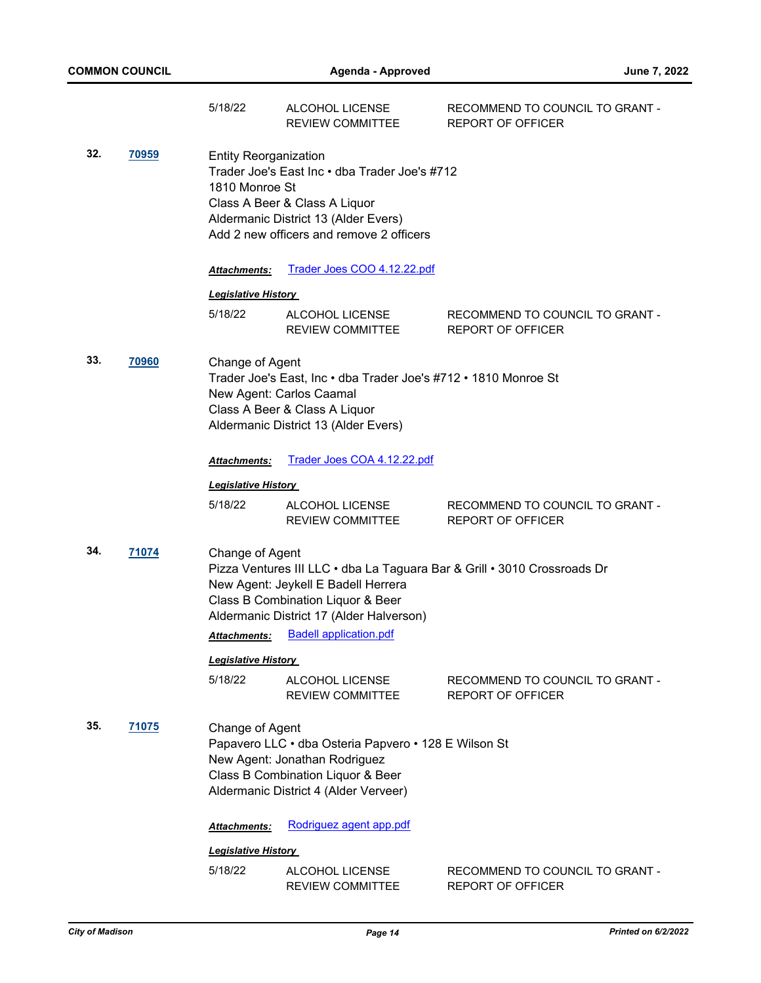|     |              | 5/18/22                                        | ALCOHOL LICENSE<br><b>REVIEW COMMITTEE</b>                                                                                                                           | RECOMMEND TO COUNCIL TO GRANT -<br><b>REPORT OF OFFICER</b>              |
|-----|--------------|------------------------------------------------|----------------------------------------------------------------------------------------------------------------------------------------------------------------------|--------------------------------------------------------------------------|
| 32. | <u>70959</u> | <b>Entity Reorganization</b><br>1810 Monroe St | Trader Joe's East Inc • dba Trader Joe's #712<br>Class A Beer & Class A Liquor<br>Aldermanic District 13 (Alder Evers)<br>Add 2 new officers and remove 2 officers   |                                                                          |
|     |              | <b>Attachments:</b>                            | Trader Joes COO 4.12.22.pdf                                                                                                                                          |                                                                          |
|     |              | <b>Legislative History</b>                     |                                                                                                                                                                      |                                                                          |
|     |              | 5/18/22                                        | ALCOHOL LICENSE<br>REVIEW COMMITTEE                                                                                                                                  | RECOMMEND TO COUNCIL TO GRANT -<br><b>REPORT OF OFFICER</b>              |
| 33. | 70960        | Change of Agent                                | Trader Joe's East, Inc • dba Trader Joe's #712 • 1810 Monroe St<br>New Agent: Carlos Caamal<br>Class A Beer & Class A Liquor<br>Aldermanic District 13 (Alder Evers) |                                                                          |
|     |              | Attachments:                                   | Trader Joes COA 4.12.22.pdf                                                                                                                                          |                                                                          |
|     |              | <u> Legislative History</u>                    |                                                                                                                                                                      |                                                                          |
|     |              | 5/18/22                                        | ALCOHOL LICENSE<br>REVIEW COMMITTEE                                                                                                                                  | RECOMMEND TO COUNCIL TO GRANT -<br><b>REPORT OF OFFICER</b>              |
| 34. | 71074        | Change of Agent<br><b>Attachments:</b>         | New Agent: Jeykell E Badell Herrera<br>Class B Combination Liquor & Beer<br>Aldermanic District 17 (Alder Halverson)<br><b>Badell application.pdf</b>                | Pizza Ventures III LLC · dba La Taguara Bar & Grill · 3010 Crossroads Dr |
|     |              | <b>Legislative History</b>                     |                                                                                                                                                                      |                                                                          |
|     |              | 5/18/22                                        | ALCOHOL LICENSE<br><b>REVIEW COMMITTEE</b>                                                                                                                           | RECOMMEND TO COUNCIL TO GRANT -<br>REPORT OF OFFICER                     |
| 35. | 71075        | Change of Agent                                | Papavero LLC · dba Osteria Papvero · 128 E Wilson St<br>New Agent: Jonathan Rodriguez<br>Class B Combination Liquor & Beer<br>Aldermanic District 4 (Alder Verveer)  |                                                                          |
|     |              | <b>Attachments:</b>                            | Rodriguez agent app.pdf                                                                                                                                              |                                                                          |
|     |              | <b>Legislative History</b>                     |                                                                                                                                                                      |                                                                          |
|     |              | 5/18/22                                        | ALCOHOL LICENSE<br><b>REVIEW COMMITTEE</b>                                                                                                                           | RECOMMEND TO COUNCIL TO GRANT -<br><b>REPORT OF OFFICER</b>              |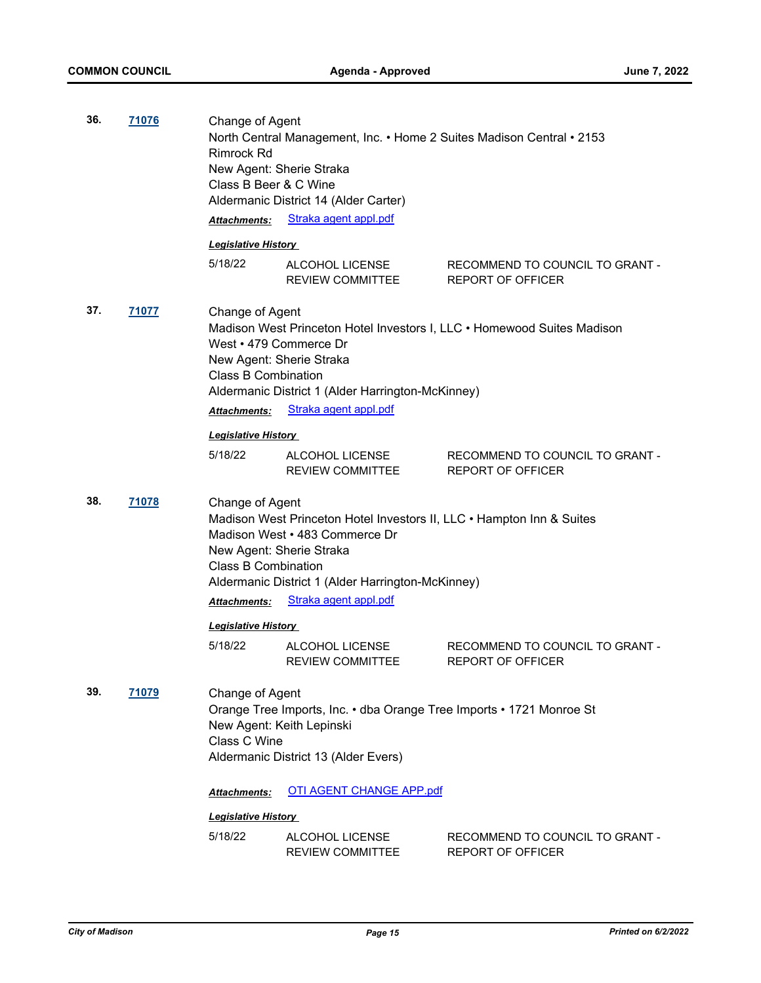| 36.<br>71076 |       | Change of Agent<br>North Central Management, Inc. • Home 2 Suites Madison Central • 2153<br><b>Rimrock Rd</b><br>New Agent: Sherie Straka<br>Class B Beer & C Wine<br>Aldermanic District 14 (Alder Carter) |                                                                                                                                                              |                                                                         |
|--------------|-------|-------------------------------------------------------------------------------------------------------------------------------------------------------------------------------------------------------------|--------------------------------------------------------------------------------------------------------------------------------------------------------------|-------------------------------------------------------------------------|
|              |       | <b>Attachments:</b>                                                                                                                                                                                         | Straka agent appl.pdf                                                                                                                                        |                                                                         |
|              |       | <b>Legislative History</b>                                                                                                                                                                                  |                                                                                                                                                              |                                                                         |
|              |       | 5/18/22                                                                                                                                                                                                     | ALCOHOL LICENSE<br><b>REVIEW COMMITTEE</b>                                                                                                                   | RECOMMEND TO COUNCIL TO GRANT -<br><b>REPORT OF OFFICER</b>             |
| 37.          | 71077 | Change of Agent<br>West • 479 Commerce Dr<br>New Agent: Sherie Straka<br><b>Class B Combination</b>                                                                                                         | Aldermanic District 1 (Alder Harrington-McKinney)                                                                                                            | Madison West Princeton Hotel Investors I, LLC • Homewood Suites Madison |
|              |       | <b>Attachments:</b>                                                                                                                                                                                         | Straka agent appl.pdf                                                                                                                                        |                                                                         |
|              |       | <b>Legislative History</b>                                                                                                                                                                                  |                                                                                                                                                              |                                                                         |
|              |       | 5/18/22                                                                                                                                                                                                     | ALCOHOL LICENSE<br>REVIEW COMMITTEE                                                                                                                          | RECOMMEND TO COUNCIL TO GRANT -<br><b>REPORT OF OFFICER</b>             |
| 38.          | 71078 | Change of Agent<br>New Agent: Sherie Straka<br><b>Class B Combination</b>                                                                                                                                   | Madison West Princeton Hotel Investors II, LLC • Hampton Inn & Suites<br>Madison West • 483 Commerce Dr<br>Aldermanic District 1 (Alder Harrington-McKinney) |                                                                         |
|              |       | <b>Attachments:</b>                                                                                                                                                                                         | Straka agent appl.pdf                                                                                                                                        |                                                                         |
|              |       | <b>Legislative History</b>                                                                                                                                                                                  |                                                                                                                                                              |                                                                         |
|              |       | 5/18/22                                                                                                                                                                                                     | ALCOHOL LICENSE<br>REVIEW COMMITTEE                                                                                                                          | RECOMMEND TO COUNCIL TO GRANT -<br>REPORT OF OFFICER                    |
| 39.          | 71079 | Change of Agent<br>Class C Wine                                                                                                                                                                             | Orange Tree Imports, Inc. • dba Orange Tree Imports • 1721 Monroe St<br>New Agent: Keith Lepinski<br>Aldermanic District 13 (Alder Evers)                    |                                                                         |
|              |       | Attachments:                                                                                                                                                                                                | <b>OTI AGENT CHANGE APP.pdf</b>                                                                                                                              |                                                                         |
|              |       | <b>Legislative History</b>                                                                                                                                                                                  |                                                                                                                                                              |                                                                         |
|              |       | 5/18/22                                                                                                                                                                                                     | ALCOHOL LICENSE<br>REVIEW COMMITTEE                                                                                                                          | RECOMMEND TO COUNCIL TO GRANT -<br><b>REPORT OF OFFICER</b>             |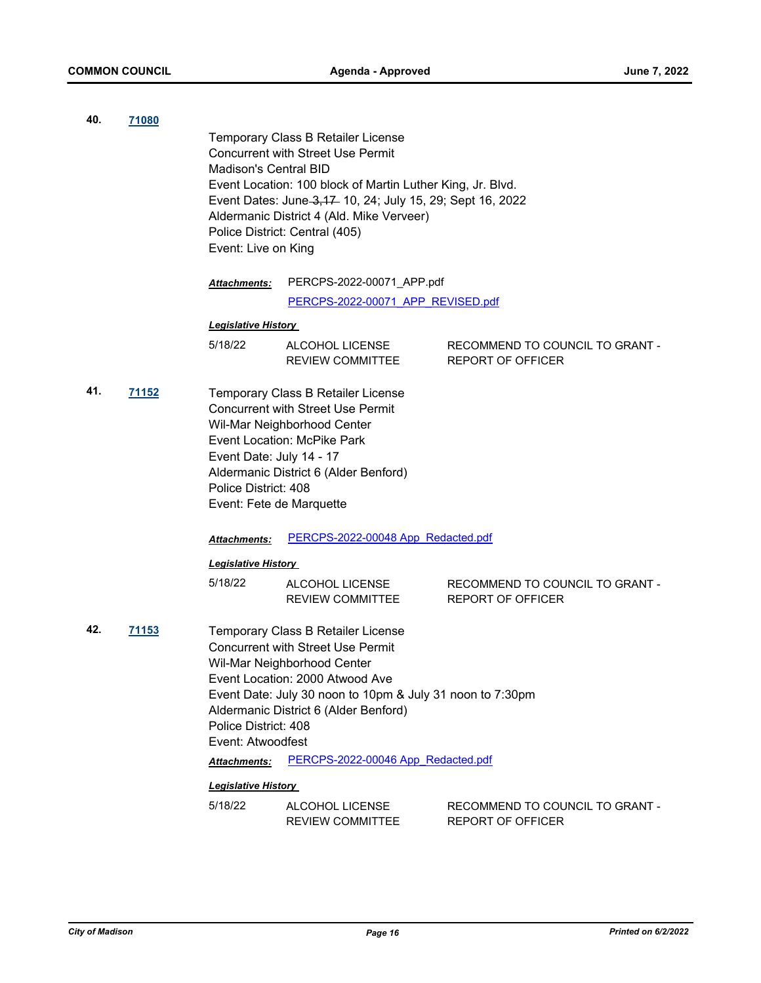| 40. | 71080 |                                                  |                                                                                                         |                                                             |
|-----|-------|--------------------------------------------------|---------------------------------------------------------------------------------------------------------|-------------------------------------------------------------|
|     |       |                                                  | Temporary Class B Retailer License<br><b>Concurrent with Street Use Permit</b>                          |                                                             |
|     |       | Madison's Central BID                            |                                                                                                         |                                                             |
|     |       |                                                  | Event Location: 100 block of Martin Luther King, Jr. Blvd.                                              |                                                             |
|     |       |                                                  | Event Dates: June 3, 17 10, 24; July 15, 29; Sept 16, 2022<br>Aldermanic District 4 (Ald. Mike Verveer) |                                                             |
|     |       |                                                  | Police District: Central (405)                                                                          |                                                             |
|     |       | Event: Live on King                              |                                                                                                         |                                                             |
|     |       | Attachments:                                     | PERCPS-2022-00071_APP.pdf                                                                               |                                                             |
|     |       |                                                  | PERCPS-2022-00071 APP REVISED.pdf                                                                       |                                                             |
|     |       | <b>Legislative History</b>                       |                                                                                                         |                                                             |
|     |       | 5/18/22                                          | ALCOHOL LICENSE                                                                                         | RECOMMEND TO COUNCIL TO GRANT -                             |
|     |       |                                                  | <b>REVIEW COMMITTEE</b>                                                                                 | REPORT OF OFFICER                                           |
| 41. | 71152 |                                                  | Temporary Class B Retailer License                                                                      |                                                             |
|     |       |                                                  | <b>Concurrent with Street Use Permit</b>                                                                |                                                             |
|     |       |                                                  | Wil-Mar Neighborhood Center<br><b>Event Location: McPike Park</b>                                       |                                                             |
|     |       | Event Date: July 14 - 17                         |                                                                                                         |                                                             |
|     |       |                                                  | Aldermanic District 6 (Alder Benford)                                                                   |                                                             |
|     |       | Police District: 408<br>Event: Fete de Marquette |                                                                                                         |                                                             |
|     |       |                                                  |                                                                                                         |                                                             |
|     |       | Attachments:                                     | PERCPS-2022-00048 App Redacted.pdf                                                                      |                                                             |
|     |       | <b>Legislative History</b>                       |                                                                                                         |                                                             |
|     |       | 5/18/22                                          | ALCOHOL LICENSE                                                                                         | RECOMMEND TO COUNCIL TO GRANT -                             |
|     |       |                                                  | <b>REVIEW COMMITTEE</b>                                                                                 | REPORT OF OFFICER                                           |
| 42. | 71153 |                                                  | Temporary Class B Retailer License                                                                      |                                                             |
|     |       |                                                  | <b>Concurrent with Street Use Permit</b>                                                                |                                                             |
|     |       |                                                  | Wil-Mar Neighborhood Center<br>Event Location: 2000 Atwood Ave                                          |                                                             |
|     |       |                                                  | Event Date: July 30 noon to 10pm & July 31 noon to 7:30pm                                               |                                                             |
|     |       |                                                  | Aldermanic District 6 (Alder Benford)                                                                   |                                                             |
|     |       | Police District: 408                             |                                                                                                         |                                                             |
|     |       | Event: Atwoodfest                                | PERCPS-2022-00046 App Redacted.pdf                                                                      |                                                             |
|     |       | Attachments:                                     |                                                                                                         |                                                             |
|     |       | <b>Legislative History</b>                       |                                                                                                         |                                                             |
|     |       | 5/18/22                                          | ALCOHOL LICENSE<br><b>REVIEW COMMITTEE</b>                                                              | RECOMMEND TO COUNCIL TO GRANT -<br><b>REPORT OF OFFICER</b> |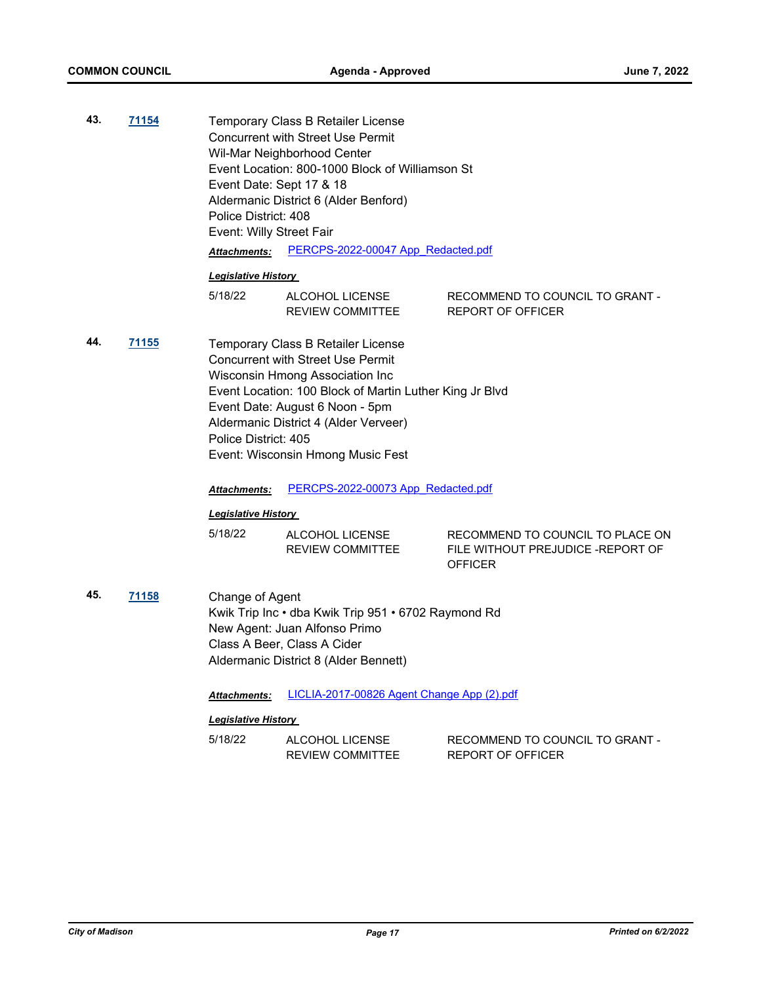| 43. |       |                                                           |
|-----|-------|-----------------------------------------------------------|
|     | 71154 | Temporary Class B Retailer License                        |
|     |       | <b>Concurrent with Street Use Permit</b>                  |
|     |       | Wil-Mar Neighborhood Center                               |
|     |       | Event Location: 800-1000 Block of Williamson St           |
|     |       | Event Date: Sept 17 & 18                                  |
|     |       | Aldermanic District 6 (Alder Benford)                     |
|     |       | Police District: 408                                      |
|     |       | Event: Willy Street Fair                                  |
|     |       | PERCPS-2022-00047 App Redacted.pdf<br><b>Attachments:</b> |
|     |       | Lasialativa Lliatamu                                      |

| 5/18/22 | ALCOHOL LICENSE         | RECOMMEND TO COUNCIL TO GRANT - |
|---------|-------------------------|---------------------------------|
|         | <b>REVIEW COMMITTEE</b> | REPORT OF OFFICER               |

**44. [71155](http://madison.legistar.com/gateway.aspx?m=l&id=/matter.aspx?key=83106)** Temporary Class B Retailer License Concurrent with Street Use Permit Wisconsin Hmong Association Inc Event Location: 100 Block of Martin Luther King Jr Blvd Event Date: August 6 Noon - 5pm Aldermanic District 4 (Alder Verveer) Police District: 405 Event: Wisconsin Hmong Music Fest

*Attachments:* [PERCPS-2022-00073 App\\_Redacted.pdf](http://madison.legistar.com/gateway.aspx?M=F&ID=4971be19-f2c6-487d-ba72-75fa743f0bcf.pdf)

#### *Legislative History*

| 5/18/22 | ALCOHOL LICENSE  | RECOMMEND TO COUNCIL TO PLACE ON  |
|---------|------------------|-----------------------------------|
|         | REVIEW COMMITTEE | FILE WITHOUT PREJUDICE -REPORT OF |
|         |                  | <b>OFFICER</b>                    |

**45. [71158](http://madison.legistar.com/gateway.aspx?m=l&id=/matter.aspx?key=83109)** Change of Agent Kwik Trip Inc • dba Kwik Trip 951 • 6702 Raymond Rd New Agent: Juan Alfonso Primo Class A Beer, Class A Cider Aldermanic District 8 (Alder Bennett)

*Attachments:* [LICLIA-2017-00826 Agent Change App \(2\).pdf](http://madison.legistar.com/gateway.aspx?M=F&ID=2621cfec-fd0d-4992-9369-5729b8d6b5b2.pdf)

| 5/18/22 | ALCOHOL LICENSE  | RECOMMEND TO COUNCIL TO GRANT - |
|---------|------------------|---------------------------------|
|         | REVIEW COMMITTEE | REPORT OF OFFICER               |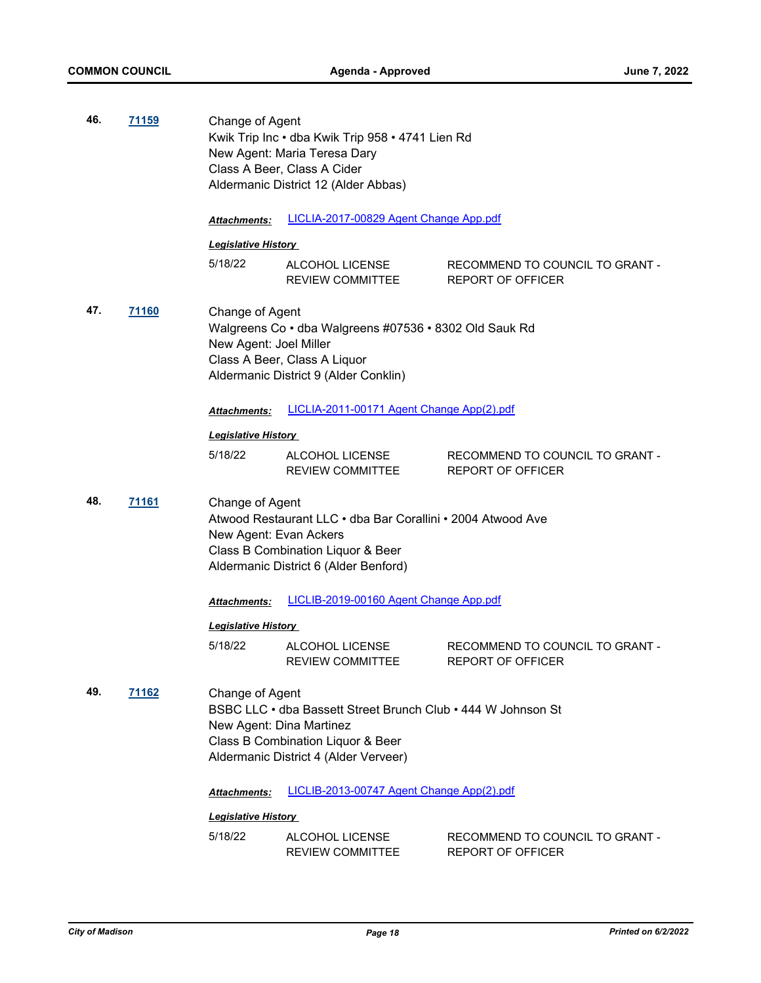| 46. | 71159        | Change of Agent                             | Kwik Trip Inc · dba Kwik Trip 958 · 4741 Lien Rd<br>New Agent: Maria Teresa Dary<br>Class A Beer, Class A Cider<br>Aldermanic District 12 (Alder Abbas) |                                                             |  |
|-----|--------------|---------------------------------------------|---------------------------------------------------------------------------------------------------------------------------------------------------------|-------------------------------------------------------------|--|
|     |              | Attachments:                                | LICLIA-2017-00829 Agent Change App.pdf                                                                                                                  |                                                             |  |
|     |              | <b>Legislative History</b>                  |                                                                                                                                                         |                                                             |  |
|     |              | 5/18/22                                     | ALCOHOL LICENSE<br><b>REVIEW COMMITTEE</b>                                                                                                              | RECOMMEND TO COUNCIL TO GRANT -<br><b>REPORT OF OFFICER</b> |  |
| 47. | <u>71160</u> | Change of Agent<br>New Agent: Joel Miller   | Walgreens Co · dba Walgreens #07536 · 8302 Old Sauk Rd<br>Class A Beer, Class A Liquor<br>Aldermanic District 9 (Alder Conklin)                         |                                                             |  |
|     |              | Attachments:                                | LICLIA-2011-00171 Agent Change App(2).pdf                                                                                                               |                                                             |  |
|     |              | <u> Legislative History </u>                |                                                                                                                                                         |                                                             |  |
|     |              | 5/18/22                                     | ALCOHOL LICENSE<br><b>REVIEW COMMITTEE</b>                                                                                                              | RECOMMEND TO COUNCIL TO GRANT -<br><b>REPORT OF OFFICER</b> |  |
| 48. | <u>71161</u> | Change of Agent<br>New Agent: Evan Ackers   | Atwood Restaurant LLC • dba Bar Corallini • 2004 Atwood Ave<br>Class B Combination Liquor & Beer<br>Aldermanic District 6 (Alder Benford)               |                                                             |  |
|     |              | <b>Attachments:</b>                         | LICLIB-2019-00160 Agent Change App.pdf                                                                                                                  |                                                             |  |
|     |              | <b>Legislative History</b>                  |                                                                                                                                                         |                                                             |  |
|     |              | 5/18/22                                     | ALCOHOL LICENSE<br>REVIEW COMMITTEE                                                                                                                     | RECOMMEND TO COUNCIL TO GRANT -<br><b>REPORT OF OFFICER</b> |  |
| 49. | 71162        | Change of Agent<br>New Agent: Dina Martinez | BSBC LLC • dba Bassett Street Brunch Club • 444 W Johnson St<br>Class B Combination Liquor & Beer<br>Aldermanic District 4 (Alder Verveer)              |                                                             |  |
|     |              | Attachments:                                | LICLIB-2013-00747 Agent Change App(2).pdf                                                                                                               |                                                             |  |
|     |              | <b>Legislative History</b>                  |                                                                                                                                                         |                                                             |  |
|     |              | 5/18/22                                     | ALCOHOL LICENSE<br>REVIEW COMMITTEE                                                                                                                     | RECOMMEND TO COUNCIL TO GRANT -<br>REPORT OF OFFICER        |  |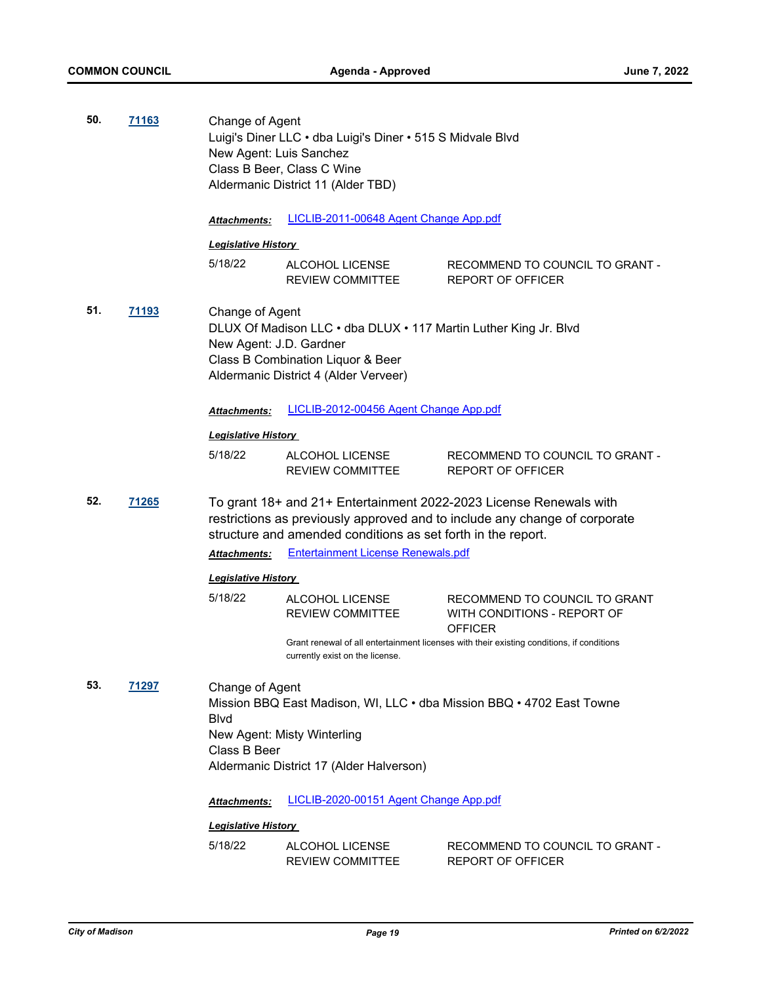| 50.                 | 71163        | Change of Agent                                                                                                                                                                              | Luigi's Diner LLC · dba Luigi's Diner · 515 S Midvale Blvd<br>New Agent: Luis Sanchez<br>Class B Beer, Class C Wine<br>Aldermanic District 11 (Alder TBD) |                                                                                                                                                  |  |
|---------------------|--------------|----------------------------------------------------------------------------------------------------------------------------------------------------------------------------------------------|-----------------------------------------------------------------------------------------------------------------------------------------------------------|--------------------------------------------------------------------------------------------------------------------------------------------------|--|
|                     |              | <b>Attachments:</b>                                                                                                                                                                          | LICLIB-2011-00648 Agent Change App.pdf                                                                                                                    |                                                                                                                                                  |  |
|                     |              | <b>Legislative History</b>                                                                                                                                                                   |                                                                                                                                                           |                                                                                                                                                  |  |
|                     |              | 5/18/22                                                                                                                                                                                      | ALCOHOL LICENSE<br><b>REVIEW COMMITTEE</b>                                                                                                                | RECOMMEND TO COUNCIL TO GRANT -<br><b>REPORT OF OFFICER</b>                                                                                      |  |
| 51.<br><u>71193</u> |              | Change of Agent<br>DLUX Of Madison LLC . dba DLUX . 117 Martin Luther King Jr. Blvd<br>New Agent: J.D. Gardner<br>Class B Combination Liquor & Beer<br>Aldermanic District 4 (Alder Verveer) |                                                                                                                                                           |                                                                                                                                                  |  |
|                     |              | Attachments:                                                                                                                                                                                 | LICLIB-2012-00456 Agent Change App.pdf                                                                                                                    |                                                                                                                                                  |  |
|                     |              | <b>Legislative History</b>                                                                                                                                                                   |                                                                                                                                                           |                                                                                                                                                  |  |
|                     |              | 5/18/22                                                                                                                                                                                      | ALCOHOL LICENSE<br><b>REVIEW COMMITTEE</b>                                                                                                                | RECOMMEND TO COUNCIL TO GRANT -<br>REPORT OF OFFICER                                                                                             |  |
| 52.                 | <b>71265</b> |                                                                                                                                                                                              | structure and amended conditions as set forth in the report.                                                                                              | To grant 18+ and 21+ Entertainment 2022-2023 License Renewals with<br>restrictions as previously approved and to include any change of corporate |  |
|                     |              | Attachments:                                                                                                                                                                                 | <b>Entertainment License Renewals.pdf</b>                                                                                                                 |                                                                                                                                                  |  |
|                     |              | <b>Legislative History</b>                                                                                                                                                                   |                                                                                                                                                           |                                                                                                                                                  |  |
|                     |              | 5/18/22                                                                                                                                                                                      | ALCOHOL LICENSE<br><b>REVIEW COMMITTEE</b>                                                                                                                | RECOMMEND TO COUNCIL TO GRANT<br>WITH CONDITIONS - REPORT OF<br><b>OFFICER</b>                                                                   |  |
|                     |              |                                                                                                                                                                                              | currently exist on the license.                                                                                                                           | Grant renewal of all entertainment licenses with their existing conditions, if conditions                                                        |  |
| 53.                 | 71297        | Change of Agent<br><b>B</b> lvd<br>Class B Beer                                                                                                                                              | New Agent: Misty Winterling                                                                                                                               | Mission BBQ East Madison, WI, LLC . dba Mission BBQ . 4702 East Towne                                                                            |  |
|                     |              |                                                                                                                                                                                              | Aldermanic District 17 (Alder Halverson)                                                                                                                  |                                                                                                                                                  |  |
|                     |              | Attachments:                                                                                                                                                                                 | LICLIB-2020-00151 Agent Change App.pdf                                                                                                                    |                                                                                                                                                  |  |
|                     |              | <b>Legislative History</b>                                                                                                                                                                   |                                                                                                                                                           |                                                                                                                                                  |  |
|                     |              | 5/18/22                                                                                                                                                                                      | ALCOHOL LICENSE<br>REVIEW COMMITTEE                                                                                                                       | RECOMMEND TO COUNCIL TO GRANT -<br>REPORT OF OFFICER                                                                                             |  |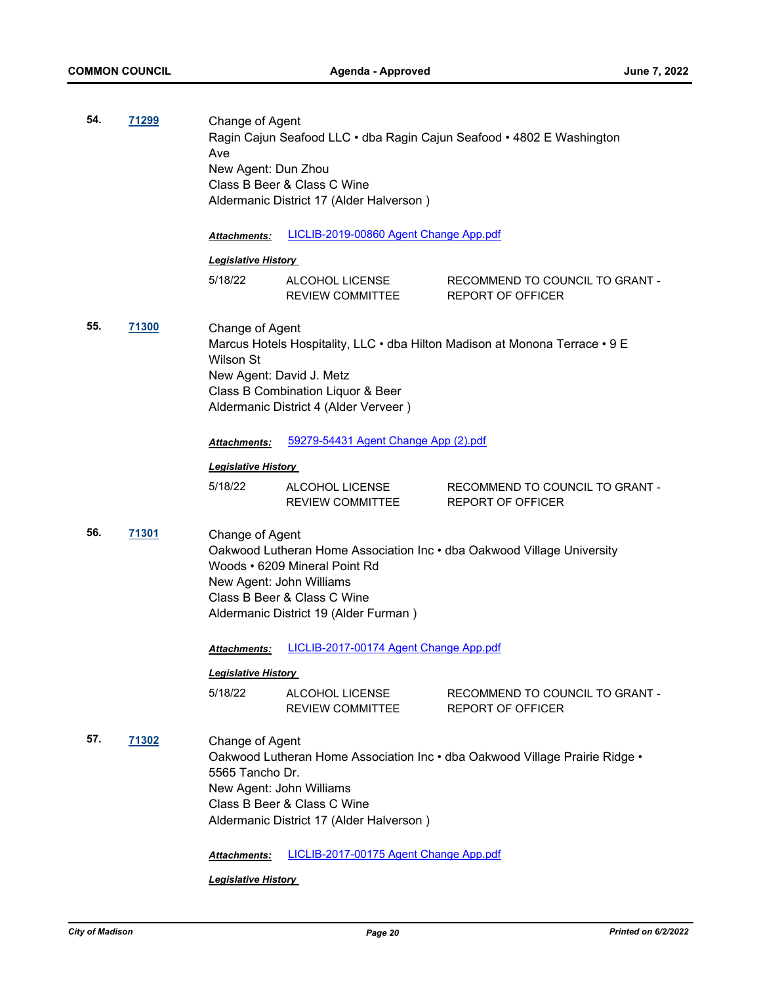| 54. | 71299 | Change of Agent<br>Ragin Cajun Seafood LLC · dba Ragin Cajun Seafood · 4802 E Washington<br>Ave<br>New Agent: Dun Zhou<br>Class B Beer & Class C Wine<br>Aldermanic District 17 (Alder Halverson) |                                                                                                                                               |                                                                             |
|-----|-------|---------------------------------------------------------------------------------------------------------------------------------------------------------------------------------------------------|-----------------------------------------------------------------------------------------------------------------------------------------------|-----------------------------------------------------------------------------|
|     |       | <b>Attachments:</b>                                                                                                                                                                               | LICLIB-2019-00860 Agent Change App.pdf                                                                                                        |                                                                             |
|     |       | <b>Legislative History</b>                                                                                                                                                                        |                                                                                                                                               |                                                                             |
|     |       | 5/18/22                                                                                                                                                                                           | ALCOHOL LICENSE<br>REVIEW COMMITTEE                                                                                                           | RECOMMEND TO COUNCIL TO GRANT -<br><b>REPORT OF OFFICER</b>                 |
| 55. | 71300 | Change of Agent<br><b>Wilson St</b>                                                                                                                                                               | New Agent: David J. Metz<br>Class B Combination Liquor & Beer<br>Aldermanic District 4 (Alder Verveer)                                        | Marcus Hotels Hospitality, LLC • dba Hilton Madison at Monona Terrace • 9 E |
|     |       | Attachments:                                                                                                                                                                                      | 59279-54431 Agent Change App (2).pdf                                                                                                          |                                                                             |
|     |       | <b>Legislative History</b>                                                                                                                                                                        |                                                                                                                                               |                                                                             |
|     |       | 5/18/22                                                                                                                                                                                           | ALCOHOL LICENSE<br><b>REVIEW COMMITTEE</b>                                                                                                    | RECOMMEND TO COUNCIL TO GRANT -<br><b>REPORT OF OFFICER</b>                 |
| 56. | 71301 | Change of Agent                                                                                                                                                                                   | Woods • 6209 Mineral Point Rd<br>New Agent: John Williams<br>Class B Beer & Class C Wine<br>Aldermanic District 19 (Alder Furman)             | Oakwood Lutheran Home Association Inc . dba Oakwood Village University      |
|     |       | <b>Attachments:</b>                                                                                                                                                                               | LICLIB-2017-00174 Agent Change App.pdf                                                                                                        |                                                                             |
|     |       | <b>Legislative History</b>                                                                                                                                                                        |                                                                                                                                               |                                                                             |
|     |       | 5/18/22                                                                                                                                                                                           | ALCOHOL LICENSE<br><b>REVIEW COMMITTEE</b>                                                                                                    | RECOMMEND TO COUNCIL TO GRANT -<br><b>REPORT OF OFFICER</b>                 |
| 57. | 71302 | Change of Agent<br>5565 Tancho Dr.<br>Attachments:                                                                                                                                                | New Agent: John Williams<br>Class B Beer & Class C Wine<br>Aldermanic District 17 (Alder Halverson)<br>LICLIB-2017-00175 Agent Change App.pdf | Oakwood Lutheran Home Association Inc • dba Oakwood Village Prairie Ridge • |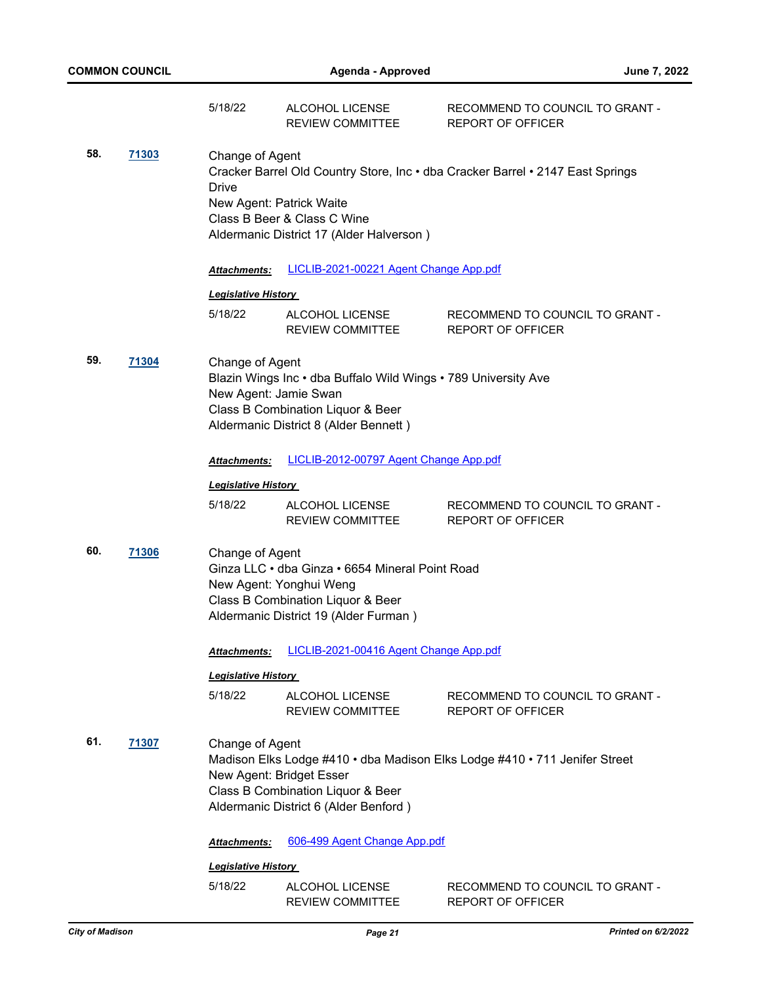|     |              | 5/18/22                                                                                              | ALCOHOL LICENSE<br><b>REVIEW COMMITTEE</b>                                                                                                               | RECOMMEND TO COUNCIL TO GRANT -<br><b>REPORT OF OFFICER</b>                                                   |
|-----|--------------|------------------------------------------------------------------------------------------------------|----------------------------------------------------------------------------------------------------------------------------------------------------------|---------------------------------------------------------------------------------------------------------------|
| 58. | <u>71303</u> | Change of Agent<br>Drive<br>New Agent: Patrick Waite                                                 | Class B Beer & Class C Wine<br>Aldermanic District 17 (Alder Halverson)                                                                                  | Cracker Barrel Old Country Store, Inc . dba Cracker Barrel . 2147 East Springs                                |
|     |              | <b>Attachments:</b>                                                                                  | LICLIB-2021-00221 Agent Change App.pdf                                                                                                                   |                                                                                                               |
|     |              | <b>Legislative History</b>                                                                           |                                                                                                                                                          |                                                                                                               |
|     |              | 5/18/22                                                                                              | ALCOHOL LICENSE<br>REVIEW COMMITTEE                                                                                                                      | RECOMMEND TO COUNCIL TO GRANT -<br><b>REPORT OF OFFICER</b>                                                   |
| 59. | 71304        | Change of Agent<br>New Agent: Jamie Swan                                                             | Blazin Wings Inc • dba Buffalo Wild Wings • 789 University Ave<br>Class B Combination Liquor & Beer<br>Aldermanic District 8 (Alder Bennett)             |                                                                                                               |
|     |              | Attachments:                                                                                         | LICLIB-2012-00797 Agent Change App.pdf                                                                                                                   |                                                                                                               |
|     |              | <b>Legislative History</b>                                                                           |                                                                                                                                                          |                                                                                                               |
|     |              | 5/18/22                                                                                              | ALCOHOL LICENSE<br>REVIEW COMMITTEE                                                                                                                      | RECOMMEND TO COUNCIL TO GRANT -<br>REPORT OF OFFICER                                                          |
| 60. | <b>71306</b> | Change of Agent                                                                                      | Ginza LLC · dba Ginza · 6654 Mineral Point Road<br>New Agent: Yonghui Weng<br>Class B Combination Liquor & Beer<br>Aldermanic District 19 (Alder Furman) |                                                                                                               |
|     |              |                                                                                                      | Attachments: LICLIB-2021-00416 Agent Change App.pdf                                                                                                      |                                                                                                               |
|     |              | <b>Legislative History</b>                                                                           |                                                                                                                                                          |                                                                                                               |
|     |              | 5/18/22                                                                                              | ALCOHOL LICENSE<br><b>REVIEW COMMITTEE</b>                                                                                                               | RECOMMEND TO COUNCIL TO GRANT -<br>REPORT OF OFFICER                                                          |
| 61. | 71307        | Change of Agent<br>New Agent: Bridget Esser<br>Attachments:<br><b>Legislative History</b><br>5/18/22 | Class B Combination Liquor & Beer<br>Aldermanic District 6 (Alder Benford)<br>606-499 Agent Change App.pdf<br>ALCOHOL LICENSE                            | Madison Elks Lodge #410 · dba Madison Elks Lodge #410 · 711 Jenifer Street<br>RECOMMEND TO COUNCIL TO GRANT - |
|     |              |                                                                                                      | REVIEW COMMITTEE                                                                                                                                         | REPORT OF OFFICER                                                                                             |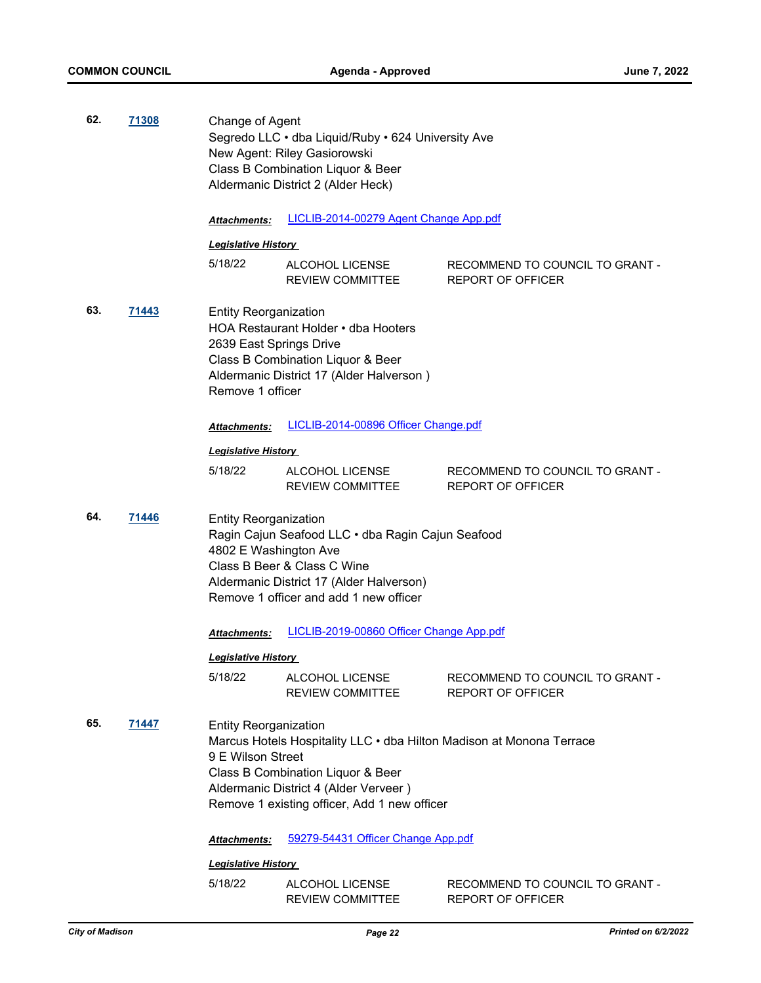| 62. | <u>71308</u> | Change of Agent                                                             | Segredo LLC · dba Liquid/Ruby · 624 University Ave<br>New Agent: Riley Gasiorowski<br>Class B Combination Liquor & Beer<br>Aldermanic District 2 (Alder Heck)                                      |                                                             |  |
|-----|--------------|-----------------------------------------------------------------------------|----------------------------------------------------------------------------------------------------------------------------------------------------------------------------------------------------|-------------------------------------------------------------|--|
|     |              | <b>Attachments:</b>                                                         | LICLIB-2014-00279 Agent Change App.pdf                                                                                                                                                             |                                                             |  |
|     |              | <b>Legislative History</b>                                                  |                                                                                                                                                                                                    |                                                             |  |
|     |              | 5/18/22                                                                     | ALCOHOL LICENSE<br>REVIEW COMMITTEE                                                                                                                                                                | RECOMMEND TO COUNCIL TO GRANT -<br><b>REPORT OF OFFICER</b> |  |
| 63. | <u>71443</u> | <b>Entity Reorganization</b><br>2639 East Springs Drive<br>Remove 1 officer | HOA Restaurant Holder • dba Hooters<br>Class B Combination Liquor & Beer<br>Aldermanic District 17 (Alder Halverson)                                                                               |                                                             |  |
|     |              | <b>Attachments:</b>                                                         | LICLIB-2014-00896 Officer Change.pdf                                                                                                                                                               |                                                             |  |
|     |              | <u> Legislative History</u>                                                 |                                                                                                                                                                                                    |                                                             |  |
|     |              | 5/18/22                                                                     | ALCOHOL LICENSE<br><b>REVIEW COMMITTEE</b>                                                                                                                                                         | RECOMMEND TO COUNCIL TO GRANT -<br>REPORT OF OFFICER        |  |
| 64. | 71446        | <b>Entity Reorganization</b><br>4802 E Washington Ave                       | Ragin Cajun Seafood LLC . dba Ragin Cajun Seafood<br>Class B Beer & Class C Wine<br>Aldermanic District 17 (Alder Halverson)<br>Remove 1 officer and add 1 new officer                             |                                                             |  |
|     |              | Attachments:                                                                | LICLIB-2019-00860 Officer Change App.pdf                                                                                                                                                           |                                                             |  |
|     |              | <b>Legislative History</b>                                                  |                                                                                                                                                                                                    |                                                             |  |
|     |              | 5/18/22                                                                     | ALCOHOL LICENSE<br>REVIEW COMMITTEE                                                                                                                                                                | RECOMMEND TO COUNCIL TO GRANT -<br><b>REPORT OF OFFICER</b> |  |
| 65. | <u>71447</u> | <b>Entity Reorganization</b><br>9 E Wilson Street                           | Marcus Hotels Hospitality LLC · dba Hilton Madison at Monona Terrace<br>Class B Combination Liquor & Beer<br>Aldermanic District 4 (Alder Verveer)<br>Remove 1 existing officer, Add 1 new officer |                                                             |  |
|     |              | Attachments:                                                                | 59279-54431 Officer Change App.pdf                                                                                                                                                                 |                                                             |  |
|     |              | <b>Legislative History</b>                                                  |                                                                                                                                                                                                    |                                                             |  |
|     |              | 5/18/22                                                                     | ALCOHOL LICENSE<br>REVIEW COMMITTEE                                                                                                                                                                | RECOMMEND TO COUNCIL TO GRANT -<br>REPORT OF OFFICER        |  |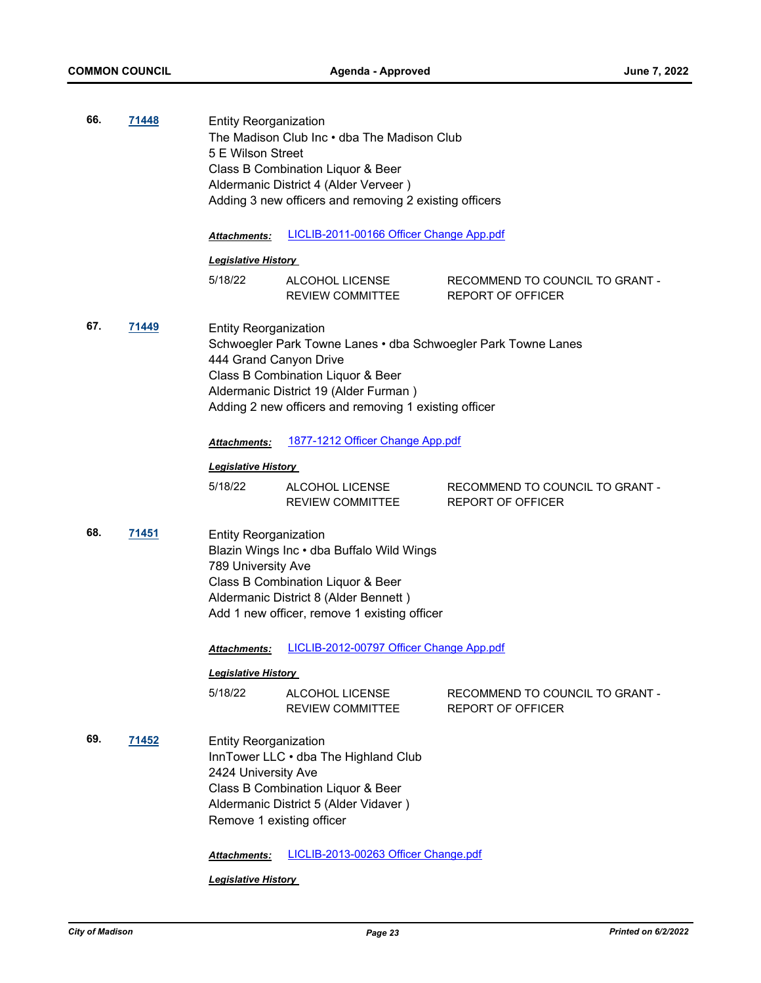| 66. | <u>71448</u> | 5 E Wilson Street                                                                | <b>Entity Reorganization</b><br>The Madison Club Inc . dba The Madison Club<br>Class B Combination Liquor & Beer<br>Aldermanic District 4 (Alder Verveer)<br>Adding 3 new officers and removing 2 existing officers |                                                             |  |  |
|-----|--------------|----------------------------------------------------------------------------------|---------------------------------------------------------------------------------------------------------------------------------------------------------------------------------------------------------------------|-------------------------------------------------------------|--|--|
|     |              | <b>Attachments:</b>                                                              | LICLIB-2011-00166 Officer Change App.pdf                                                                                                                                                                            |                                                             |  |  |
|     |              | <u> Legislative History</u>                                                      |                                                                                                                                                                                                                     |                                                             |  |  |
|     |              | 5/18/22                                                                          | ALCOHOL LICENSE<br>REVIEW COMMITTEE                                                                                                                                                                                 | RECOMMEND TO COUNCIL TO GRANT -<br><b>REPORT OF OFFICER</b> |  |  |
| 67. | <u>71449</u> | <b>Entity Reorganization</b><br>444 Grand Canyon Drive                           | Schwoegler Park Towne Lanes • dba Schwoegler Park Towne Lanes<br>Class B Combination Liquor & Beer<br>Aldermanic District 19 (Alder Furman)<br>Adding 2 new officers and removing 1 existing officer                |                                                             |  |  |
|     |              | Attachments:                                                                     | 1877-1212 Officer Change App.pdf                                                                                                                                                                                    |                                                             |  |  |
|     |              | <u> Legislative History</u>                                                      |                                                                                                                                                                                                                     |                                                             |  |  |
|     |              | 5/18/22                                                                          | ALCOHOL LICENSE<br>REVIEW COMMITTEE                                                                                                                                                                                 | RECOMMEND TO COUNCIL TO GRANT -<br><b>REPORT OF OFFICER</b> |  |  |
| 68. | 71451        | <b>Entity Reorganization</b><br>789 University Ave                               | Blazin Wings Inc . dba Buffalo Wild Wings<br>Class B Combination Liquor & Beer<br>Aldermanic District 8 (Alder Bennett)<br>Add 1 new officer, remove 1 existing officer                                             |                                                             |  |  |
|     |              | Attachments:                                                                     | LICLIB-2012-00797 Officer Change App.pdf                                                                                                                                                                            |                                                             |  |  |
|     |              | <b>Legislative History</b>                                                       |                                                                                                                                                                                                                     |                                                             |  |  |
|     |              | 5/18/22                                                                          | ALCOHOL LICENSE<br><b>REVIEW COMMITTEE</b>                                                                                                                                                                          | RECOMMEND TO COUNCIL TO GRANT -<br>REPORT OF OFFICER        |  |  |
| 69. | <u>71452</u> | <b>Entity Reorganization</b><br>2424 University Ave<br>Remove 1 existing officer | InnTower LLC . dba The Highland Club<br>Class B Combination Liquor & Beer<br>Aldermanic District 5 (Alder Vidaver)                                                                                                  |                                                             |  |  |
|     |              |                                                                                  |                                                                                                                                                                                                                     |                                                             |  |  |

*Attachments:* [LICLIB-2013-00263 Officer Change.pdf](http://madison.legistar.com/gateway.aspx?M=F&ID=f8599abd-8a4f-4dc7-a76c-fa9b6723eaeb.pdf)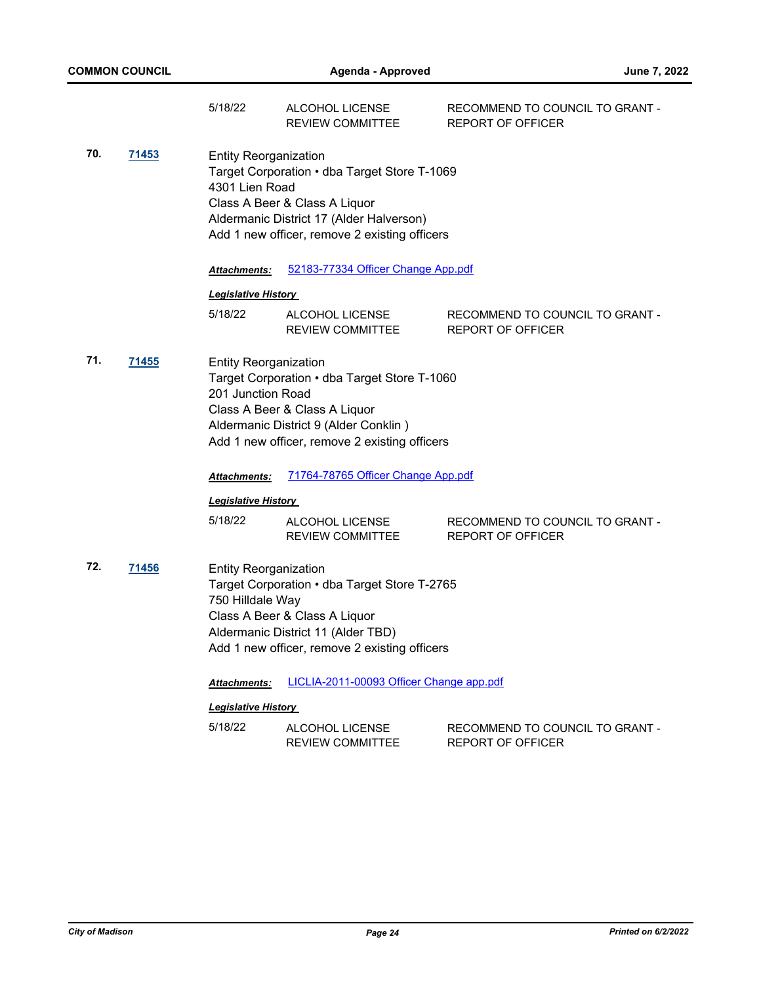|     |              | 5/18/22                                           | ALCOHOL LICENSE<br><b>REVIEW COMMITTEE</b>                                                                                                                                 | RECOMMEND TO COUNCIL TO GRANT -<br><b>REPORT OF OFFICER</b> |
|-----|--------------|---------------------------------------------------|----------------------------------------------------------------------------------------------------------------------------------------------------------------------------|-------------------------------------------------------------|
| 70. | 71453        | <b>Entity Reorganization</b><br>4301 Lien Road    | Target Corporation • dba Target Store T-1069<br>Class A Beer & Class A Liquor<br>Aldermanic District 17 (Alder Halverson)<br>Add 1 new officer, remove 2 existing officers |                                                             |
|     |              | Attachments:                                      | 52183-77334 Officer Change App.pdf                                                                                                                                         |                                                             |
|     |              | <b>Legislative History</b>                        |                                                                                                                                                                            |                                                             |
|     |              | 5/18/22                                           | ALCOHOL LICENSE<br><b>REVIEW COMMITTEE</b>                                                                                                                                 | RECOMMEND TO COUNCIL TO GRANT -<br><b>REPORT OF OFFICER</b> |
| 71. | <u>71455</u> | <b>Entity Reorganization</b><br>201 Junction Road | Target Corporation . dba Target Store T-1060<br>Class A Beer & Class A Liquor<br>Aldermanic District 9 (Alder Conklin)<br>Add 1 new officer, remove 2 existing officers    |                                                             |
|     |              | Attachments:                                      | 71764-78765 Officer Change App.pdf                                                                                                                                         |                                                             |
|     |              | <b>Legislative History</b>                        |                                                                                                                                                                            |                                                             |
|     |              | 5/18/22                                           | ALCOHOL LICENSE<br><b>REVIEW COMMITTEE</b>                                                                                                                                 | RECOMMEND TO COUNCIL TO GRANT -<br><b>REPORT OF OFFICER</b> |
| 72. | <u>71456</u> | <b>Entity Reorganization</b><br>750 Hilldale Way  | Target Corporation . dba Target Store T-2765<br>Class A Beer & Class A Liquor<br>Aldermanic District 11 (Alder TBD)<br>Add 1 new officer, remove 2 existing officers       |                                                             |
|     |              | <b>Attachments:</b>                               | LICLIA-2011-00093 Officer Change app.pdf                                                                                                                                   |                                                             |
|     |              | <b>Legislative History</b>                        |                                                                                                                                                                            |                                                             |
|     |              | 5/18/22                                           | ALCOHOL LICENSE<br><b>REVIEW COMMITTEE</b>                                                                                                                                 | RECOMMEND TO COUNCIL TO GRANT -<br><b>REPORT OF OFFICER</b> |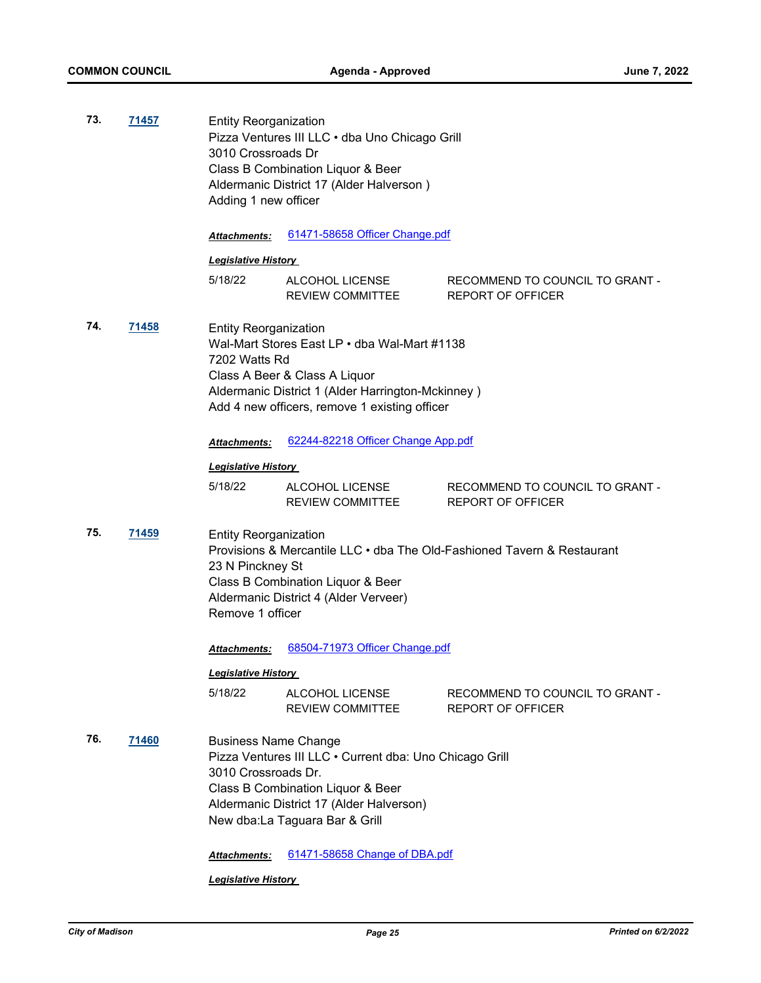| 73. | 71457 | <b>Entity Reorganization</b><br>Pizza Ventures III LLC · dba Uno Chicago Grill<br>3010 Crossroads Dr<br>Class B Combination Liquor & Beer<br>Aldermanic District 17 (Alder Halverson)<br>Adding 1 new officer |                                                                                                                                                                                                             |                                                                         |
|-----|-------|---------------------------------------------------------------------------------------------------------------------------------------------------------------------------------------------------------------|-------------------------------------------------------------------------------------------------------------------------------------------------------------------------------------------------------------|-------------------------------------------------------------------------|
|     |       | <b>Attachments:</b>                                                                                                                                                                                           | 61471-58658 Officer Change.pdf                                                                                                                                                                              |                                                                         |
|     |       | <b>Legislative History</b>                                                                                                                                                                                    |                                                                                                                                                                                                             |                                                                         |
|     |       | 5/18/22                                                                                                                                                                                                       | ALCOHOL LICENSE<br>REVIEW COMMITTEE                                                                                                                                                                         | RECOMMEND TO COUNCIL TO GRANT -<br><b>REPORT OF OFFICER</b>             |
| 74. | 71458 | <b>Entity Reorganization</b><br>7202 Watts Rd                                                                                                                                                                 | Wal-Mart Stores East LP . dba Wal-Mart #1138<br>Class A Beer & Class A Liquor<br>Aldermanic District 1 (Alder Harrington-Mckinney)<br>Add 4 new officers, remove 1 existing officer                         |                                                                         |
|     |       | <b>Attachments:</b>                                                                                                                                                                                           | 62244-82218 Officer Change App.pdf                                                                                                                                                                          |                                                                         |
|     |       | <b>Legislative History</b>                                                                                                                                                                                    |                                                                                                                                                                                                             |                                                                         |
|     |       | 5/18/22                                                                                                                                                                                                       | ALCOHOL LICENSE<br>REVIEW COMMITTEE                                                                                                                                                                         | RECOMMEND TO COUNCIL TO GRANT -<br><b>REPORT OF OFFICER</b>             |
| 75. | 71459 | <b>Entity Reorganization</b><br>23 N Pinckney St<br>Remove 1 officer                                                                                                                                          | Class B Combination Liquor & Beer<br>Aldermanic District 4 (Alder Verveer)                                                                                                                                  | Provisions & Mercantile LLC • dba The Old-Fashioned Tavern & Restaurant |
|     |       | <b>Attachments:</b>                                                                                                                                                                                           | 68504-71973 Officer Change.pdf                                                                                                                                                                              |                                                                         |
|     |       | <b>Legislative History</b>                                                                                                                                                                                    |                                                                                                                                                                                                             |                                                                         |
|     |       | 5/18/22                                                                                                                                                                                                       | ALCOHOL LICENSE<br><b>REVIEW COMMITTEE</b>                                                                                                                                                                  | RECOMMEND TO COUNCIL TO GRANT -<br><b>REPORT OF OFFICER</b>             |
| 76. | 71460 | <b>Business Name Change</b><br>3010 Crossroads Dr.<br><b>Attachments:</b>                                                                                                                                     | Pizza Ventures III LLC . Current dba: Uno Chicago Grill<br>Class B Combination Liquor & Beer<br>Aldermanic District 17 (Alder Halverson)<br>New dba:La Taguara Bar & Grill<br>61471-58658 Change of DBA.pdf |                                                                         |
|     |       |                                                                                                                                                                                                               |                                                                                                                                                                                                             |                                                                         |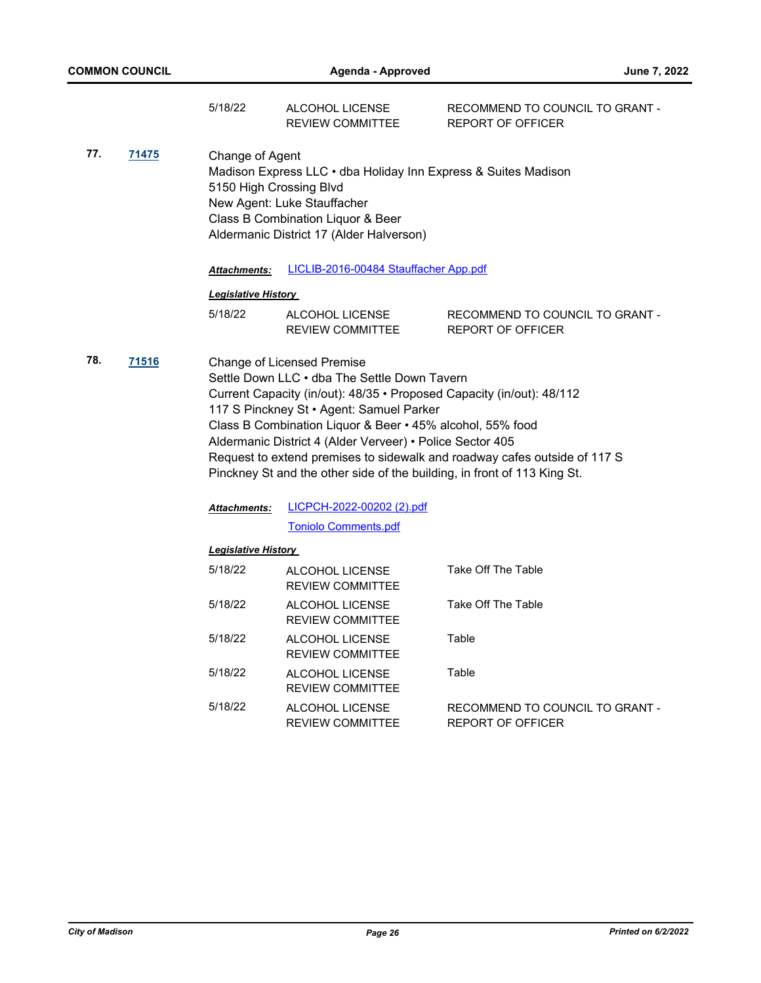|     |              | 5/18/22                                    | ALCOHOL LICENSE<br><b>REVIEW COMMITTEE</b>                                                                                                                                                                                                                                                                                                                                                                                                | RECOMMEND TO COUNCIL TO GRANT -<br><b>REPORT OF OFFICER</b>               |
|-----|--------------|--------------------------------------------|-------------------------------------------------------------------------------------------------------------------------------------------------------------------------------------------------------------------------------------------------------------------------------------------------------------------------------------------------------------------------------------------------------------------------------------------|---------------------------------------------------------------------------|
| 77. | <u>71475</u> | Change of Agent<br>5150 High Crossing Blvd | Madison Express LLC · dba Holiday Inn Express & Suites Madison<br>New Agent: Luke Stauffacher<br>Class B Combination Liquor & Beer<br>Aldermanic District 17 (Alder Halverson)                                                                                                                                                                                                                                                            |                                                                           |
|     |              | <b>Attachments:</b>                        | LICLIB-2016-00484 Stauffacher App.pdf                                                                                                                                                                                                                                                                                                                                                                                                     |                                                                           |
|     |              | <b>Legislative History</b>                 |                                                                                                                                                                                                                                                                                                                                                                                                                                           |                                                                           |
|     |              | 5/18/22                                    | ALCOHOL LICENSE<br><b>REVIEW COMMITTEE</b>                                                                                                                                                                                                                                                                                                                                                                                                | RECOMMEND TO COUNCIL TO GRANT -<br><b>REPORT OF OFFICER</b>               |
| 78. | <u>71516</u> | Attachments:                               | <b>Change of Licensed Premise</b><br>Settle Down LLC . dba The Settle Down Tavern<br>Current Capacity (in/out): 48/35 · Proposed Capacity (in/out): 48/112<br>117 S Pinckney St · Agent: Samuel Parker<br>Class B Combination Liquor & Beer • 45% alcohol, 55% food<br>Aldermanic District 4 (Alder Verveer) • Police Sector 405<br>Pinckney St and the other side of the building, in front of 113 King St.<br>LICPCH-2022-00202 (2).pdf | Request to extend premises to sidewalk and roadway cafes outside of 117 S |
|     |              |                                            | <b>Toniolo Comments.pdf</b>                                                                                                                                                                                                                                                                                                                                                                                                               |                                                                           |
|     |              | <b>Legislative History</b>                 |                                                                                                                                                                                                                                                                                                                                                                                                                                           |                                                                           |
|     |              | 5/18/22                                    | <b>ALCOHOL LICENSE</b><br><b>REVIEW COMMITTEE</b>                                                                                                                                                                                                                                                                                                                                                                                         | Take Off The Table                                                        |
|     |              | 5/18/22                                    | ALCOHOL LICENSE<br><b>REVIEW COMMITTEE</b>                                                                                                                                                                                                                                                                                                                                                                                                | Take Off The Table                                                        |
|     |              | 5/18/22                                    | ALCOHOL LICENSE<br><b>REVIEW COMMITTEE</b>                                                                                                                                                                                                                                                                                                                                                                                                | Table                                                                     |
|     |              | 5/18/22                                    | ALCOHOL LICENSE<br><b>REVIEW COMMITTEE</b>                                                                                                                                                                                                                                                                                                                                                                                                | Table                                                                     |
|     |              | 5/18/22                                    | ALCOHOL LICENSE<br><b>REVIEW COMMITTEE</b>                                                                                                                                                                                                                                                                                                                                                                                                | RECOMMEND TO COUNCIL TO GRANT -<br><b>REPORT OF OFFICER</b>               |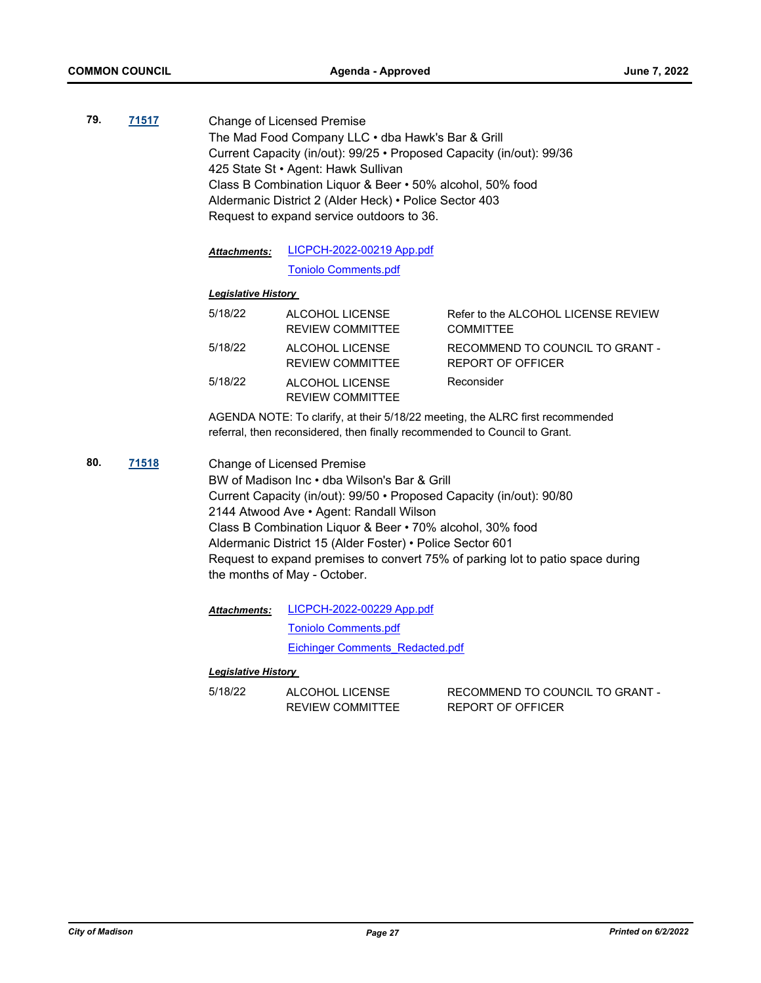**79. [71517](http://madison.legistar.com/gateway.aspx?m=l&id=/matter.aspx?key=83407)** Change of Licensed Premise The Mad Food Company LLC • dba Hawk's Bar & Grill Current Capacity (in/out): 99/25 • Proposed Capacity (in/out): 99/36 425 State St • Agent: Hawk Sullivan Class B Combination Liquor & Beer • 50% alcohol, 50% food Aldermanic District 2 (Alder Heck) • Police Sector 403 Request to expand service outdoors to 36.

> [LICPCH-2022-00219 App.pdf](http://madison.legistar.com/gateway.aspx?M=F&ID=f1087940-fab3-427f-b9b7-fc178998324d.pdf) [Toniolo Comments.pdf](http://madison.legistar.com/gateway.aspx?M=F&ID=0b2fa2ca-ed5e-4798-8214-8636c771eebe.pdf) *Attachments:*

## *Legislative History*

| 5/18/22 | ALCOHOL LICENSE<br><b>REVIEW COMMITTEE</b> | Refer to the ALCOHOL LICENSE REVIEW<br><b>COMMITTEE</b> |
|---------|--------------------------------------------|---------------------------------------------------------|
| 5/18/22 | ALCOHOL LICENSE<br><b>REVIEW COMMITTEE</b> | RECOMMEND TO COUNCIL TO GRANT -<br>REPORT OF OFFICER    |
| 5/18/22 | ALCOHOL LICENSE<br><b>REVIEW COMMITTEE</b> | Reconsider                                              |

AGENDA NOTE: To clarify, at their 5/18/22 meeting, the ALRC first recommended referral, then reconsidered, then finally recommended to Council to Grant.

**80. [71518](http://madison.legistar.com/gateway.aspx?m=l&id=/matter.aspx?key=83408)** Change of Licensed Premise BW of Madison Inc • dba Wilson's Bar & Grill Current Capacity (in/out): 99/50 • Proposed Capacity (in/out): 90/80 2144 Atwood Ave • Agent: Randall Wilson Class B Combination Liquor & Beer • 70% alcohol, 30% food Aldermanic District 15 (Alder Foster) • Police Sector 601 Request to expand premises to convert 75% of parking lot to patio space during the months of May - October.

> [LICPCH-2022-00229 App.pdf](http://madison.legistar.com/gateway.aspx?M=F&ID=d198261a-c616-480f-8f22-7a9531d19d3d.pdf) [Toniolo Comments.pdf](http://madison.legistar.com/gateway.aspx?M=F&ID=d76a1ce0-9cb2-4ada-b86d-7e0c0d945b3e.pdf) [Eichinger Comments\\_Redacted.pdf](http://madison.legistar.com/gateway.aspx?M=F&ID=3bdb7aa1-9b68-43ce-b6fc-58511f4f8df4.pdf) *Attachments:*

#### *Legislative History*

5/18/22 ALCOHOL LICENSE REVIEW COMMITTEE RECOMMEND TO COUNCIL TO GRANT - REPORT OF OFFICER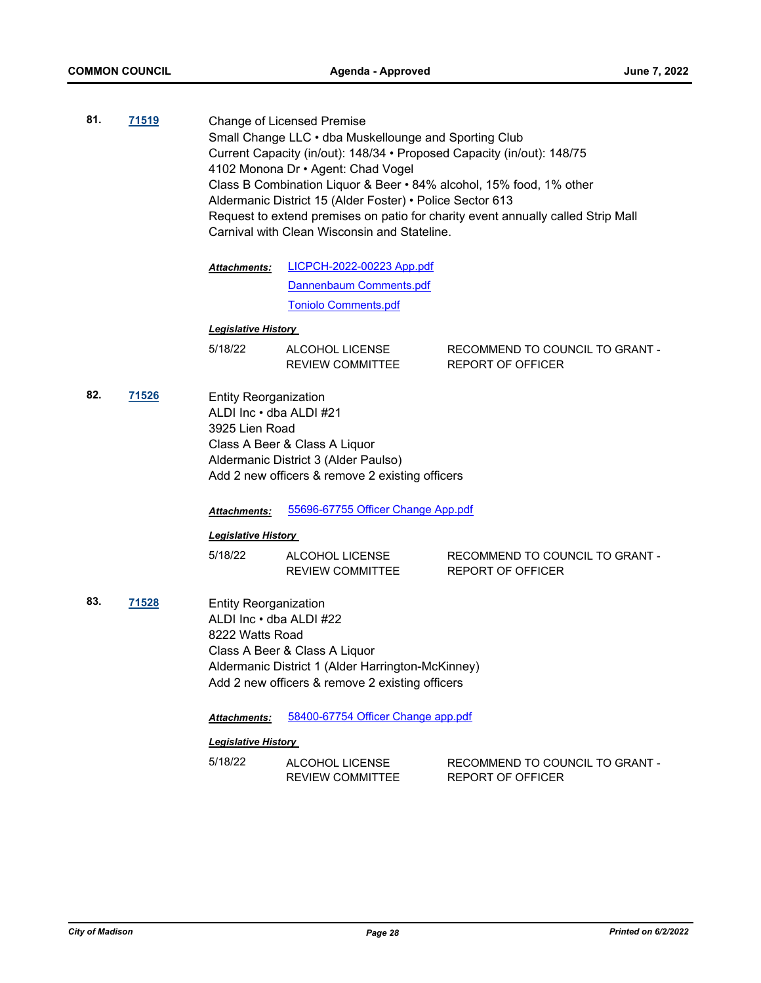**81. [71519](http://madison.legistar.com/gateway.aspx?m=l&id=/matter.aspx?key=83409)** Change of Licensed Premise Small Change LLC • dba Muskellounge and Sporting Club Current Capacity (in/out): 148/34 • Proposed Capacity (in/out): 148/75 4102 Monona Dr • Agent: Chad Vogel Class B Combination Liquor & Beer • 84% alcohol, 15% food, 1% other Aldermanic District 15 (Alder Foster) • Police Sector 613 Request to extend premises on patio for charity event annually called Strip Mall Carnival with Clean Wisconsin and Stateline.

> [LICPCH-2022-00223 App.pdf](http://madison.legistar.com/gateway.aspx?M=F&ID=fac62376-4b53-473c-bd9f-be2eee1d33c2.pdf) [Dannenbaum Comments.pdf](http://madison.legistar.com/gateway.aspx?M=F&ID=6520b045-7c2a-4ba7-aa3e-9639671347b7.pdf) [Toniolo Comments.pdf](http://madison.legistar.com/gateway.aspx?M=F&ID=61283b10-d9b2-4737-8d91-4fcfa5a254b3.pdf) *Attachments:*

## *Legislative History*

| 5/18/22 | ALCOHOL LICENSE  | RECOMMEND TO COUNCIL TO GRANT - |
|---------|------------------|---------------------------------|
|         | REVIEW COMMITTEE | REPORT OF OFFICER               |

**82. [71526](http://madison.legistar.com/gateway.aspx?m=l&id=/matter.aspx?key=83416)** Entity Reorganization ALDI Inc • dba ALDI #21 3925 Lien Road Class A Beer & Class A Liquor Aldermanic District 3 (Alder Paulso) Add 2 new officers & remove 2 existing officers

*Attachments:* [55696-67755 Officer Change App.pdf](http://madison.legistar.com/gateway.aspx?M=F&ID=df065a3e-d7c2-4ae0-b48c-5ac66da526e0.pdf)

#### *Legislative History*

| 5/18/22 | ALCOHOL LICENSE  | RECOMMEND TO COUNCIL TO GRANT - |
|---------|------------------|---------------------------------|
|         | REVIEW COMMITTEE | REPORT OF OFFICER               |

**83. [71528](http://madison.legistar.com/gateway.aspx?m=l&id=/matter.aspx?key=83418)** Entity Reorganization ALDI Inc • dba ALDI #22 8222 Watts Road Class A Beer & Class A Liquor Aldermanic District 1 (Alder Harrington-McKinney) Add 2 new officers & remove 2 existing officers

*Attachments:* [58400-67754 Officer Change app.pdf](http://madison.legistar.com/gateway.aspx?M=F&ID=2a269ab5-f06f-4f2a-b22e-cb7385eae78a.pdf)

| 5/18/22 | ALCOHOL LICENSE  | RECOMMEND TO COUNCIL TO GRANT - |
|---------|------------------|---------------------------------|
|         | REVIEW COMMITTEE | REPORT OF OFFICER               |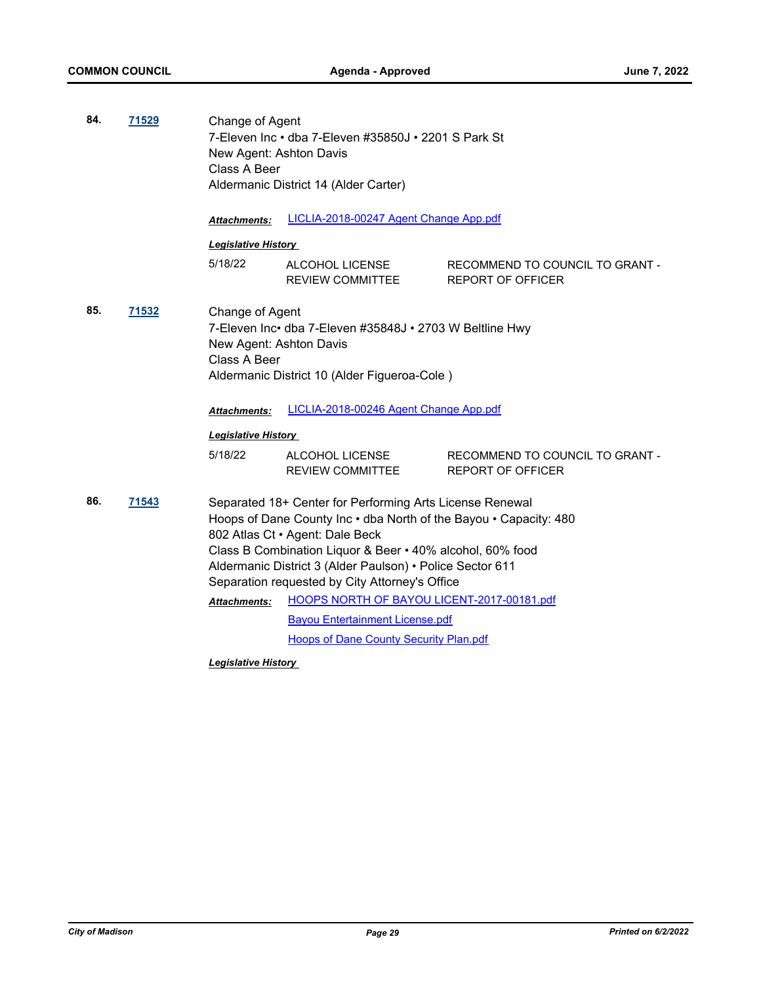| 84. | 71529 | Change of Agent<br>New Agent: Ashton Davis<br>Class A Beer | 7-Eleven Inc · dba 7-Eleven #35850J · 2201 S Park St<br>Aldermanic District 14 (Alder Carter)                                                                                                                                                                                                                                                                                                                                                                                         |                                                             |  |
|-----|-------|------------------------------------------------------------|---------------------------------------------------------------------------------------------------------------------------------------------------------------------------------------------------------------------------------------------------------------------------------------------------------------------------------------------------------------------------------------------------------------------------------------------------------------------------------------|-------------------------------------------------------------|--|
|     |       | <b>Attachments:</b>                                        | LICLIA-2018-00247 Agent Change App.pdf                                                                                                                                                                                                                                                                                                                                                                                                                                                |                                                             |  |
|     |       | <b>Legislative History</b>                                 |                                                                                                                                                                                                                                                                                                                                                                                                                                                                                       |                                                             |  |
|     |       | 5/18/22                                                    | ALCOHOL LICENSE<br><b>REVIEW COMMITTEE</b>                                                                                                                                                                                                                                                                                                                                                                                                                                            | RECOMMEND TO COUNCIL TO GRANT -<br><b>REPORT OF OFFICER</b> |  |
| 85. | 71532 |                                                            | Change of Agent<br>7-Eleven Inc• dba 7-Eleven #35848J • 2703 W Beltline Hwy<br>New Agent: Ashton Davis<br>Class A Beer<br>Aldermanic District 10 (Alder Figueroa-Cole)                                                                                                                                                                                                                                                                                                                |                                                             |  |
|     |       | <b>Attachments:</b>                                        | LICLIA-2018-00246 Agent Change App.pdf                                                                                                                                                                                                                                                                                                                                                                                                                                                |                                                             |  |
|     |       | <b>Legislative History</b>                                 |                                                                                                                                                                                                                                                                                                                                                                                                                                                                                       |                                                             |  |
|     |       | 5/18/22                                                    | ALCOHOL LICENSE<br><b>REVIEW COMMITTEE</b>                                                                                                                                                                                                                                                                                                                                                                                                                                            | RECOMMEND TO COUNCIL TO GRANT -<br><b>REPORT OF OFFICER</b> |  |
| 86. | 71543 | Attachments:                                               | Separated 18+ Center for Performing Arts License Renewal<br>Hoops of Dane County Inc . dba North of the Bayou . Capacity: 480<br>802 Atlas Ct · Agent: Dale Beck<br>Class B Combination Liquor & Beer . 40% alcohol, 60% food<br>Aldermanic District 3 (Alder Paulson) · Police Sector 611<br>Separation requested by City Attorney's Office<br>HOOPS NORTH OF BAYOU LICENT-2017-00181.pdf<br><b>Bayou Entertainment License.pdf</b><br><b>Hoops of Dane County Security Plan.pdf</b> |                                                             |  |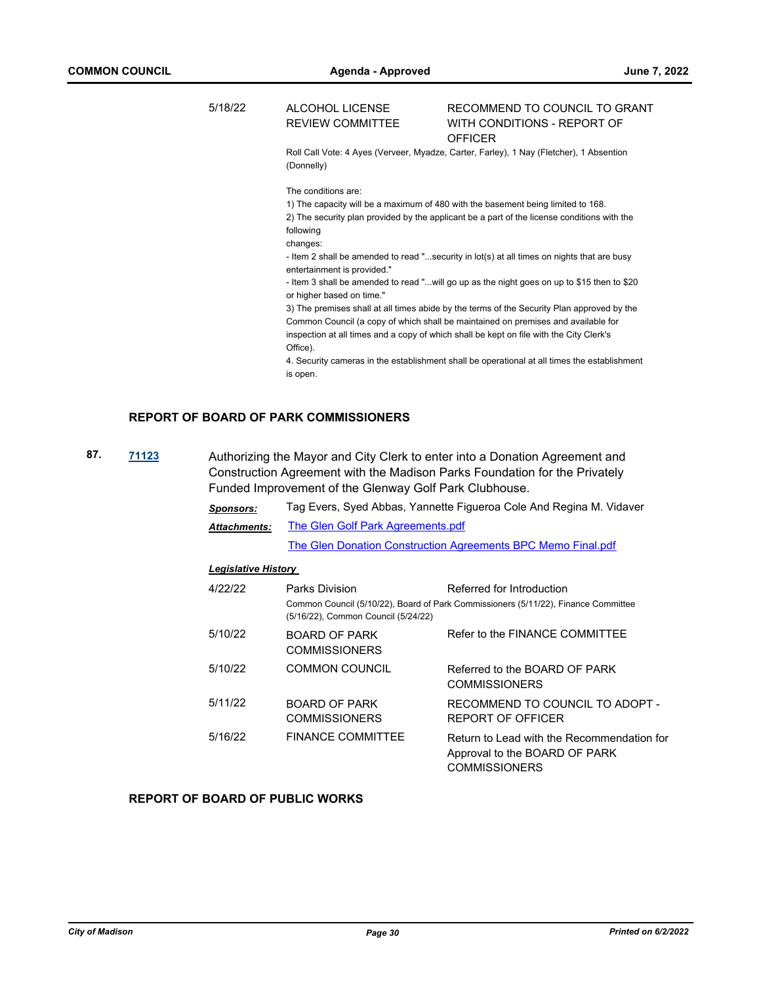#### 5/18/22 ALCOHOL LICENSE REVIEW COMMITTEE RECOMMEND TO COUNCIL TO GRANT WITH CONDITIONS - REPORT OF **OFFICER**

Roll Call Vote: 4 Ayes (Verveer, Myadze, Carter, Farley), 1 Nay (Fletcher), 1 Absention (Donnelly)

The conditions are:

1) The capacity will be a maximum of 480 with the basement being limited to 168. 2) The security plan provided by the applicant be a part of the license conditions with the following

changes:

- Item 2 shall be amended to read "...security in lot(s) at all times on nights that are busy entertainment is provided."

- Item 3 shall be amended to read "...will go up as the night goes on up to \$15 then to \$20 or higher based on time."

3) The premises shall at all times abide by the terms of the Security Plan approved by the Common Council (a copy of which shall be maintained on premises and available for inspection at all times and a copy of which shall be kept on file with the City Clerk's Office).

4. Security cameras in the establishment shall be operational at all times the establishment is open.

## **REPORT OF BOARD OF PARK COMMISSIONERS**

**87. [71123](http://madison.legistar.com/gateway.aspx?m=l&id=/matter.aspx?key=83074)** Authorizing the Mayor and City Clerk to enter into a Donation Agreement and Construction Agreement with the Madison Parks Foundation for the Privately Funded Improvement of the Glenway Golf Park Clubhouse.

> *Sponsors:* Tag Evers, Syed Abbas, Yannette Figueroa Cole And Regina M. Vidaver [The Glen Golf Park Agreements.pdf](http://madison.legistar.com/gateway.aspx?M=F&ID=531b87a7-3f3c-447b-9f26-2a8539d962ac.pdf) *Attachments:*

[The Glen Donation Construction Agreements BPC Memo Final.pdf](http://madison.legistar.com/gateway.aspx?M=F&ID=5a50a57a-38ff-4b27-8dc2-9254b8e126ad.pdf)

#### *Legislative History*

| 4/22/22 | Parks Division<br>(5/16/22), Common Council (5/24/22) | Referred for Introduction<br>Common Council (5/10/22), Board of Park Commissioners (5/11/22), Finance Committee |
|---------|-------------------------------------------------------|-----------------------------------------------------------------------------------------------------------------|
| 5/10/22 | <b>BOARD OF PARK</b><br><b>COMMISSIONERS</b>          | Refer to the FINANCE COMMITTEE                                                                                  |
| 5/10/22 | <b>COMMON COUNCIL</b>                                 | Referred to the BOARD OF PARK<br><b>COMMISSIONERS</b>                                                           |
| 5/11/22 | <b>BOARD OF PARK</b><br><b>COMMISSIONERS</b>          | RECOMMEND TO COUNCIL TO ADOPT -<br>REPORT OF OFFICER                                                            |
| 5/16/22 | <b>FINANCE COMMITTEE</b>                              | Return to Lead with the Recommendation for<br>Approval to the BOARD OF PARK<br><b>COMMISSIONERS</b>             |

## **REPORT OF BOARD OF PUBLIC WORKS**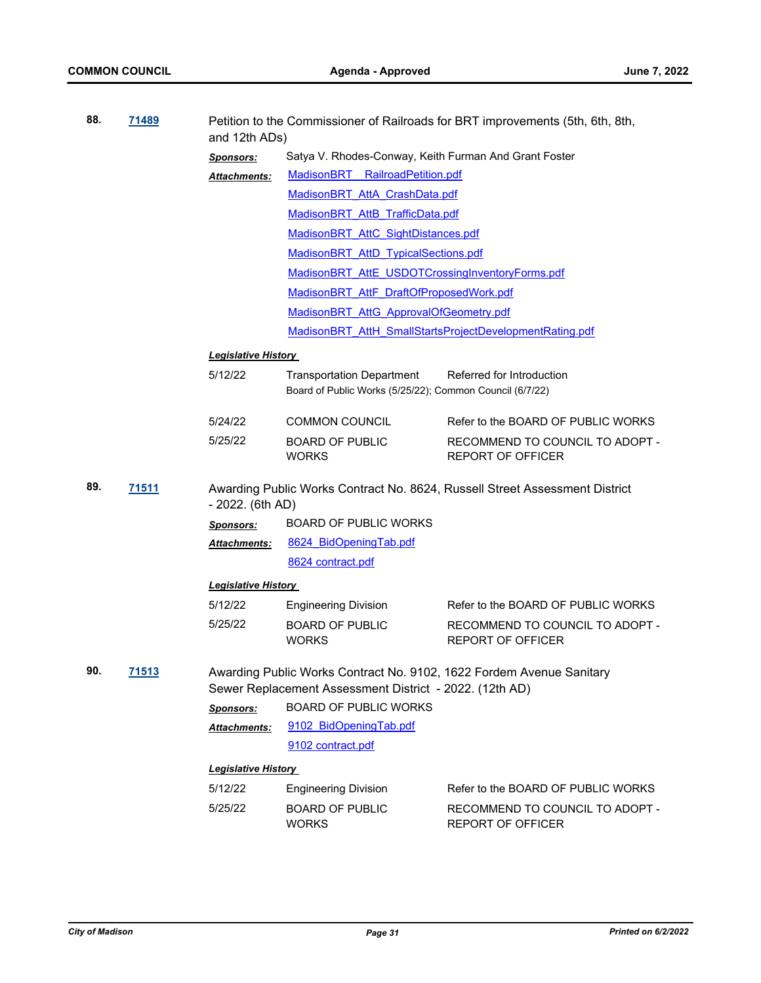| 88. | <u>71489</u> | and 12th ADs)              | Petition to the Commissioner of Railroads for BRT improvements (5th, 6th, 8th,               |                                                                             |
|-----|--------------|----------------------------|----------------------------------------------------------------------------------------------|-----------------------------------------------------------------------------|
|     |              | <b>Sponsors:</b>           | Satya V. Rhodes-Conway, Keith Furman And Grant Foster                                        |                                                                             |
|     |              | Attachments:               | MadisonBRT RailroadPetition.pdf                                                              |                                                                             |
|     |              |                            | MadisonBRT AttA CrashData.pdf                                                                |                                                                             |
|     |              |                            | MadisonBRT AttB TrafficData.pdf                                                              |                                                                             |
|     |              |                            | MadisonBRT AttC SightDistances.pdf                                                           |                                                                             |
|     |              |                            | MadisonBRT AttD TypicalSections.pdf                                                          |                                                                             |
|     |              |                            | MadisonBRT AttE USDOTCrossingInventoryForms.pdf                                              |                                                                             |
|     |              |                            | MadisonBRT AttF DraftOfProposedWork.pdf                                                      |                                                                             |
|     |              |                            | MadisonBRT AttG ApprovalOfGeometry.pdf                                                       |                                                                             |
|     |              |                            |                                                                                              | MadisonBRT AttH SmallStartsProjectDevelopmentRating.pdf                     |
|     |              | <b>Legislative History</b> |                                                                                              |                                                                             |
|     |              | 5/12/22                    | <b>Transportation Department</b><br>Board of Public Works (5/25/22); Common Council (6/7/22) | Referred for Introduction                                                   |
|     |              | 5/24/22                    | <b>COMMON COUNCIL</b>                                                                        | Refer to the BOARD OF PUBLIC WORKS                                          |
|     |              | 5/25/22                    | <b>BOARD OF PUBLIC</b><br><b>WORKS</b>                                                       | RECOMMEND TO COUNCIL TO ADOPT -<br><b>REPORT OF OFFICER</b>                 |
| 89. | <u>71511</u> | $-2022.$ (6th AD)          |                                                                                              | Awarding Public Works Contract No. 8624, Russell Street Assessment District |
|     |              | <b>Sponsors:</b>           | <b>BOARD OF PUBLIC WORKS</b>                                                                 |                                                                             |
|     |              | Attachments:               | 8624 BidOpeningTab.pdf                                                                       |                                                                             |
|     |              |                            | 8624 contract.pdf                                                                            |                                                                             |
|     |              | <b>Legislative History</b> |                                                                                              |                                                                             |
|     |              | 5/12/22                    | <b>Engineering Division</b>                                                                  | Refer to the BOARD OF PUBLIC WORKS                                          |
|     |              | 5/25/22                    | <b>BOARD OF PUBLIC</b><br><b>WORKS</b>                                                       | RECOMMEND TO COUNCIL TO ADOPT -<br><b>REPORT OF OFFICER</b>                 |
| 90. | 71513        |                            | Sewer Replacement Assessment District - 2022. (12th AD)                                      | Awarding Public Works Contract No. 9102, 1622 Fordem Avenue Sanitary        |
|     |              | <b>Sponsors:</b>           | <b>BOARD OF PUBLIC WORKS</b>                                                                 |                                                                             |
|     |              | Attachments:               | 9102 BidOpeningTab.pdf                                                                       |                                                                             |
|     |              |                            | 9102 contract.pdf                                                                            |                                                                             |
|     |              | <b>Legislative History</b> |                                                                                              |                                                                             |
|     |              | 5/12/22                    | <b>Engineering Division</b>                                                                  | Refer to the BOARD OF PUBLIC WORKS                                          |
|     |              | 5/25/22                    | <b>BOARD OF PUBLIC</b><br><b>WORKS</b>                                                       | RECOMMEND TO COUNCIL TO ADOPT -<br>REPORT OF OFFICER                        |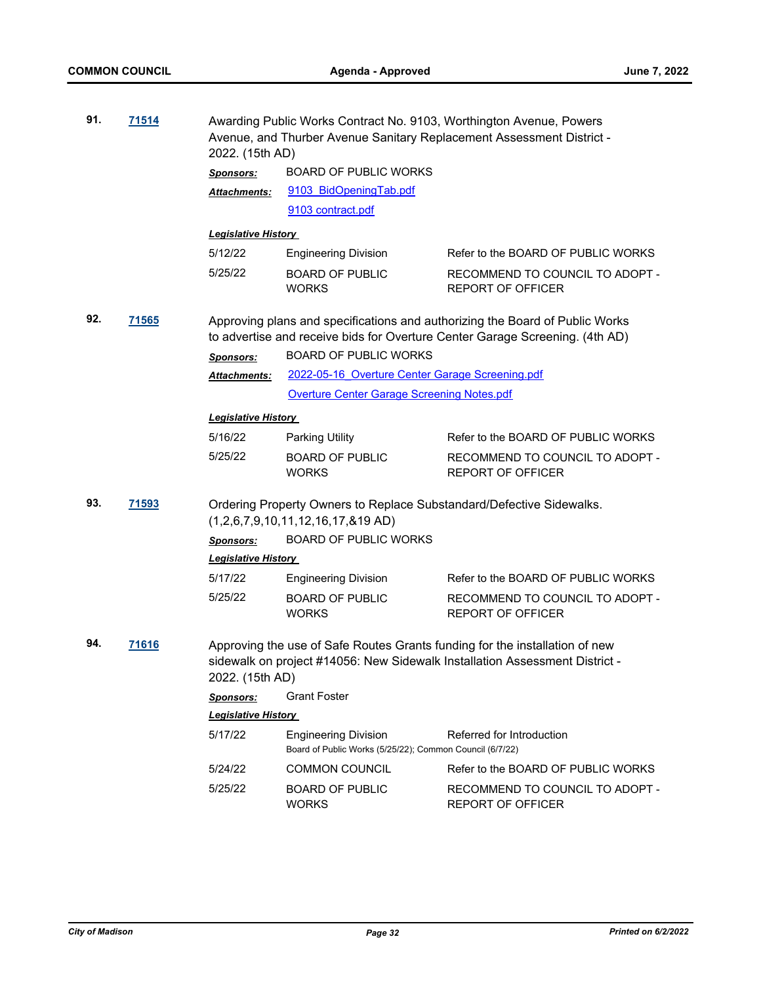| 91. | 71514        | 2022. (15th AD)                                                                                             |                                                                                         | Awarding Public Works Contract No. 9103, Worthington Avenue, Powers<br>Avenue, and Thurber Avenue Sanitary Replacement Assessment District -                 |  |
|-----|--------------|-------------------------------------------------------------------------------------------------------------|-----------------------------------------------------------------------------------------|--------------------------------------------------------------------------------------------------------------------------------------------------------------|--|
|     |              | <b>Sponsors:</b>                                                                                            | <b>BOARD OF PUBLIC WORKS</b>                                                            |                                                                                                                                                              |  |
|     |              | <b>Attachments:</b>                                                                                         | 9103 BidOpeningTab.pdf                                                                  |                                                                                                                                                              |  |
|     |              |                                                                                                             | 9103 contract.pdf                                                                       |                                                                                                                                                              |  |
|     |              | <b>Legislative History</b>                                                                                  |                                                                                         |                                                                                                                                                              |  |
|     |              | 5/12/22                                                                                                     | <b>Engineering Division</b>                                                             | Refer to the BOARD OF PUBLIC WORKS                                                                                                                           |  |
|     |              | 5/25/22                                                                                                     | <b>BOARD OF PUBLIC</b><br><b>WORKS</b>                                                  | RECOMMEND TO COUNCIL TO ADOPT -<br><b>REPORT OF OFFICER</b>                                                                                                  |  |
| 92. | <u>71565</u> |                                                                                                             |                                                                                         | Approving plans and specifications and authorizing the Board of Public Works<br>to advertise and receive bids for Overture Center Garage Screening. (4th AD) |  |
|     |              | <b>Sponsors:</b>                                                                                            | <b>BOARD OF PUBLIC WORKS</b>                                                            |                                                                                                                                                              |  |
|     |              | <b>Attachments:</b>                                                                                         | 2022-05-16 Overture Center Garage Screening.pdf                                         |                                                                                                                                                              |  |
|     |              |                                                                                                             | Overture Center Garage Screening Notes.pdf                                              |                                                                                                                                                              |  |
|     |              | <b>Legislative History</b>                                                                                  |                                                                                         |                                                                                                                                                              |  |
|     |              | 5/16/22                                                                                                     | <b>Parking Utility</b>                                                                  | Refer to the BOARD OF PUBLIC WORKS                                                                                                                           |  |
|     |              | 5/25/22                                                                                                     | <b>BOARD OF PUBLIC</b><br><b>WORKS</b>                                                  | RECOMMEND TO COUNCIL TO ADOPT -<br><b>REPORT OF OFFICER</b>                                                                                                  |  |
| 93. | 71593        | Ordering Property Owners to Replace Substandard/Defective Sidewalks.<br>$(1,2,6,7,9,10,11,12,16,17,819$ AD) |                                                                                         |                                                                                                                                                              |  |
|     |              | <b>Sponsors:</b>                                                                                            | <b>BOARD OF PUBLIC WORKS</b>                                                            |                                                                                                                                                              |  |
|     |              | <b>Legislative History</b>                                                                                  |                                                                                         |                                                                                                                                                              |  |
|     |              | 5/17/22                                                                                                     | <b>Engineering Division</b>                                                             | Refer to the BOARD OF PUBLIC WORKS                                                                                                                           |  |
|     |              | 5/25/22                                                                                                     | <b>BOARD OF PUBLIC</b><br><b>WORKS</b>                                                  | RECOMMEND TO COUNCIL TO ADOPT -<br><b>REPORT OF OFFICER</b>                                                                                                  |  |
| 94. | 71616        | 2022. (15th AD)                                                                                             |                                                                                         | Approving the use of Safe Routes Grants funding for the installation of new<br>sidewalk on project #14056: New Sidewalk Installation Assessment District -   |  |
|     |              | <b>Sponsors:</b>                                                                                            | <b>Grant Foster</b>                                                                     |                                                                                                                                                              |  |
|     |              | <b>Legislative History</b>                                                                                  |                                                                                         |                                                                                                                                                              |  |
|     |              | 5/17/22                                                                                                     | <b>Engineering Division</b><br>Board of Public Works (5/25/22); Common Council (6/7/22) | Referred for Introduction                                                                                                                                    |  |
|     |              | 5/24/22                                                                                                     | <b>COMMON COUNCIL</b>                                                                   | Refer to the BOARD OF PUBLIC WORKS                                                                                                                           |  |
|     |              | 5/25/22                                                                                                     | <b>BOARD OF PUBLIC</b><br><b>WORKS</b>                                                  | RECOMMEND TO COUNCIL TO ADOPT -<br><b>REPORT OF OFFICER</b>                                                                                                  |  |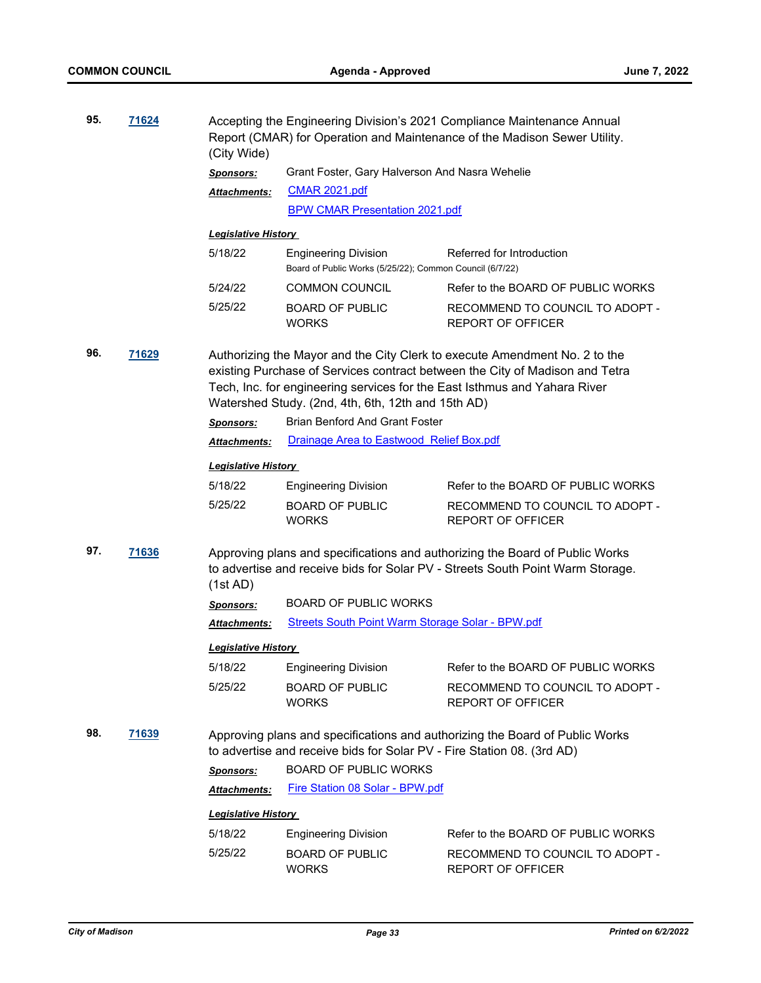| 95. | 71624        | (City Wide)                                                                                                                                                                                                                                                                                                                                                | Accepting the Engineering Division's 2021 Compliance Maintenance Annual<br>Report (CMAR) for Operation and Maintenance of the Madison Sewer Utility.           |                                                             |  |
|-----|--------------|------------------------------------------------------------------------------------------------------------------------------------------------------------------------------------------------------------------------------------------------------------------------------------------------------------------------------------------------------------|----------------------------------------------------------------------------------------------------------------------------------------------------------------|-------------------------------------------------------------|--|
|     |              | <b>Sponsors:</b>                                                                                                                                                                                                                                                                                                                                           | Grant Foster, Gary Halverson And Nasra Wehelie                                                                                                                 |                                                             |  |
|     |              | Attachments:                                                                                                                                                                                                                                                                                                                                               | <b>CMAR 2021.pdf</b>                                                                                                                                           |                                                             |  |
|     |              |                                                                                                                                                                                                                                                                                                                                                            | <b>BPW CMAR Presentation 2021.pdf</b>                                                                                                                          |                                                             |  |
|     |              | <b>Legislative History</b>                                                                                                                                                                                                                                                                                                                                 |                                                                                                                                                                |                                                             |  |
|     |              | 5/18/22                                                                                                                                                                                                                                                                                                                                                    | <b>Engineering Division</b><br>Board of Public Works (5/25/22); Common Council (6/7/22)                                                                        | Referred for Introduction                                   |  |
|     |              | 5/24/22                                                                                                                                                                                                                                                                                                                                                    | <b>COMMON COUNCIL</b>                                                                                                                                          | Refer to the BOARD OF PUBLIC WORKS                          |  |
|     |              | 5/25/22                                                                                                                                                                                                                                                                                                                                                    | <b>BOARD OF PUBLIC</b><br><b>WORKS</b>                                                                                                                         | RECOMMEND TO COUNCIL TO ADOPT -<br><b>REPORT OF OFFICER</b> |  |
| 96. | 71629        | Authorizing the Mayor and the City Clerk to execute Amendment No. 2 to the<br>existing Purchase of Services contract between the City of Madison and Tetra<br>Tech, Inc. for engineering services for the East Isthmus and Yahara River<br>Watershed Study. (2nd, 4th, 6th, 12th and 15th AD)<br><b>Brian Benford And Grant Foster</b><br><b>Sponsors:</b> |                                                                                                                                                                |                                                             |  |
|     |              | <u> Attachments:</u>                                                                                                                                                                                                                                                                                                                                       | Drainage Area to Eastwood Relief Box.pdf                                                                                                                       |                                                             |  |
|     |              | <b>Legislative History</b>                                                                                                                                                                                                                                                                                                                                 |                                                                                                                                                                |                                                             |  |
|     |              | 5/18/22                                                                                                                                                                                                                                                                                                                                                    | <b>Engineering Division</b>                                                                                                                                    | Refer to the BOARD OF PUBLIC WORKS                          |  |
|     |              | 5/25/22                                                                                                                                                                                                                                                                                                                                                    | <b>BOARD OF PUBLIC</b><br><b>WORKS</b>                                                                                                                         | RECOMMEND TO COUNCIL TO ADOPT -<br><b>REPORT OF OFFICER</b> |  |
| 97. | 71636        | (1st AD)                                                                                                                                                                                                                                                                                                                                                   | Approving plans and specifications and authorizing the Board of Public Works<br>to advertise and receive bids for Solar PV - Streets South Point Warm Storage. |                                                             |  |
|     |              | <b>Sponsors:</b>                                                                                                                                                                                                                                                                                                                                           | <b>BOARD OF PUBLIC WORKS</b>                                                                                                                                   |                                                             |  |
|     |              | Attachments:                                                                                                                                                                                                                                                                                                                                               | <b>Streets South Point Warm Storage Solar - BPW.pdf</b>                                                                                                        |                                                             |  |
|     |              | <b>Legislative History</b>                                                                                                                                                                                                                                                                                                                                 |                                                                                                                                                                |                                                             |  |
|     |              | 5/18/22                                                                                                                                                                                                                                                                                                                                                    | <b>Engineering Division</b>                                                                                                                                    | Refer to the BOARD OF PUBLIC WORKS                          |  |
|     |              | 5/25/22                                                                                                                                                                                                                                                                                                                                                    | <b>BOARD OF PUBLIC</b><br><b>WORKS</b>                                                                                                                         | RECOMMEND TO COUNCIL TO ADOPT -<br><b>REPORT OF OFFICER</b> |  |
| 98. | <u>71639</u> | Approving plans and specifications and authorizing the Board of Public Works<br>to advertise and receive bids for Solar PV - Fire Station 08. (3rd AD)                                                                                                                                                                                                     |                                                                                                                                                                |                                                             |  |
|     |              | <b>Sponsors:</b>                                                                                                                                                                                                                                                                                                                                           | <b>BOARD OF PUBLIC WORKS</b>                                                                                                                                   |                                                             |  |
|     |              | <b>Attachments:</b>                                                                                                                                                                                                                                                                                                                                        | Fire Station 08 Solar - BPW.pdf                                                                                                                                |                                                             |  |
|     |              | <b>Legislative History</b>                                                                                                                                                                                                                                                                                                                                 |                                                                                                                                                                |                                                             |  |
|     |              | 5/18/22                                                                                                                                                                                                                                                                                                                                                    | <b>Engineering Division</b>                                                                                                                                    | Refer to the BOARD OF PUBLIC WORKS                          |  |
|     |              | 5/25/22                                                                                                                                                                                                                                                                                                                                                    | <b>BOARD OF PUBLIC</b><br><b>WORKS</b>                                                                                                                         | RECOMMEND TO COUNCIL TO ADOPT -<br><b>REPORT OF OFFICER</b> |  |
|     |              |                                                                                                                                                                                                                                                                                                                                                            |                                                                                                                                                                |                                                             |  |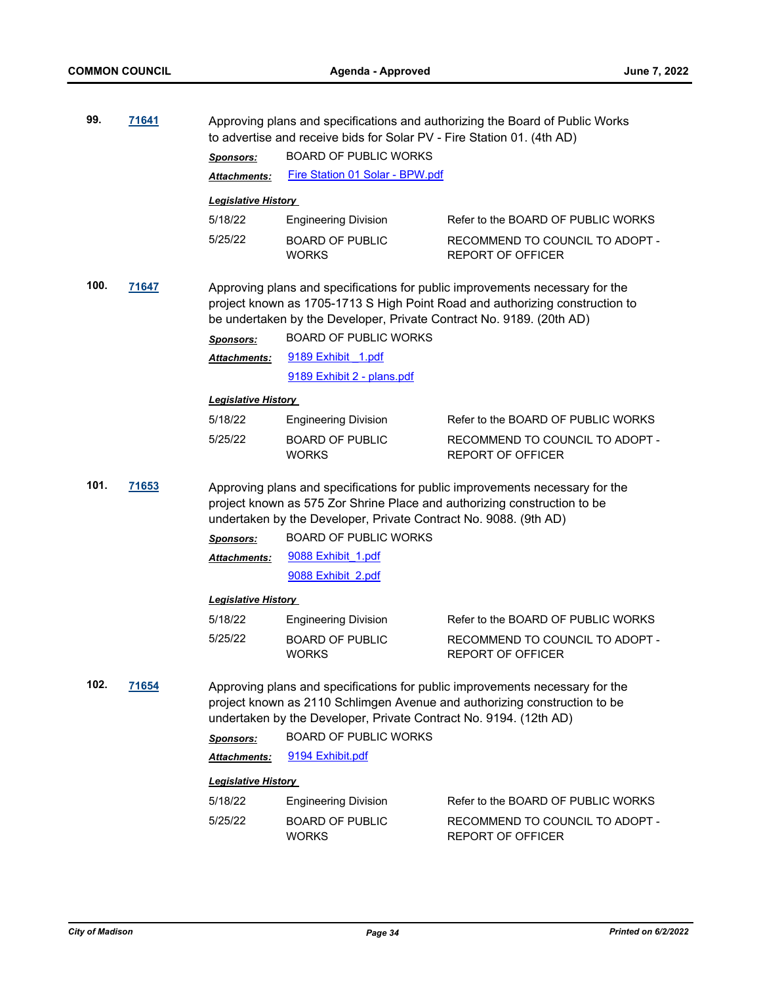| 99.           | 71641 |                                                                                                                                                                                                                                      | Approving plans and specifications and authorizing the Board of Public Works<br>to advertise and receive bids for Solar PV - Fire Station 01. (4th AD) |                                                                                                                                                           |  |
|---------------|-------|--------------------------------------------------------------------------------------------------------------------------------------------------------------------------------------------------------------------------------------|--------------------------------------------------------------------------------------------------------------------------------------------------------|-----------------------------------------------------------------------------------------------------------------------------------------------------------|--|
|               |       | <b>Sponsors:</b>                                                                                                                                                                                                                     | <b>BOARD OF PUBLIC WORKS</b>                                                                                                                           |                                                                                                                                                           |  |
|               |       | <b>Attachments:</b>                                                                                                                                                                                                                  | Fire Station 01 Solar - BPW.pdf                                                                                                                        |                                                                                                                                                           |  |
|               |       | <b>Legislative History</b>                                                                                                                                                                                                           |                                                                                                                                                        |                                                                                                                                                           |  |
|               |       | 5/18/22                                                                                                                                                                                                                              | <b>Engineering Division</b>                                                                                                                            | Refer to the BOARD OF PUBLIC WORKS                                                                                                                        |  |
|               |       | 5/25/22                                                                                                                                                                                                                              | <b>BOARD OF PUBLIC</b><br><b>WORKS</b>                                                                                                                 | RECOMMEND TO COUNCIL TO ADOPT -<br><b>REPORT OF OFFICER</b>                                                                                               |  |
| 100.<br>71647 |       | Approving plans and specifications for public improvements necessary for the<br>project known as 1705-1713 S High Point Road and authorizing construction to<br>be undertaken by the Developer, Private Contract No. 9189. (20th AD) |                                                                                                                                                        |                                                                                                                                                           |  |
|               |       | <b>Sponsors:</b>                                                                                                                                                                                                                     | <b>BOARD OF PUBLIC WORKS</b>                                                                                                                           |                                                                                                                                                           |  |
|               |       | Attachments:                                                                                                                                                                                                                         | 9189 Exhibit 1.pdf                                                                                                                                     |                                                                                                                                                           |  |
|               |       |                                                                                                                                                                                                                                      | 9189 Exhibit 2 - plans.pdf                                                                                                                             |                                                                                                                                                           |  |
|               |       | <b>Legislative History</b>                                                                                                                                                                                                           |                                                                                                                                                        |                                                                                                                                                           |  |
|               |       | 5/18/22                                                                                                                                                                                                                              | <b>Engineering Division</b>                                                                                                                            | Refer to the BOARD OF PUBLIC WORKS                                                                                                                        |  |
|               |       | 5/25/22                                                                                                                                                                                                                              | <b>BOARD OF PUBLIC</b><br><b>WORKS</b>                                                                                                                 | RECOMMEND TO COUNCIL TO ADOPT -<br><b>REPORT OF OFFICER</b>                                                                                               |  |
| 101.          | 71653 | Approving plans and specifications for public improvements necessary for the<br>project known as 575 Zor Shrine Place and authorizing construction to be<br>undertaken by the Developer, Private Contract No. 9088. (9th AD)         |                                                                                                                                                        |                                                                                                                                                           |  |
|               |       | <b>Sponsors:</b>                                                                                                                                                                                                                     | <b>BOARD OF PUBLIC WORKS</b>                                                                                                                           |                                                                                                                                                           |  |
|               |       | <b>Attachments:</b>                                                                                                                                                                                                                  | 9088 Exhibit 1.pdf                                                                                                                                     |                                                                                                                                                           |  |
|               |       |                                                                                                                                                                                                                                      | 9088 Exhibit 2.pdf                                                                                                                                     |                                                                                                                                                           |  |
|               |       | <b>Legislative History</b>                                                                                                                                                                                                           |                                                                                                                                                        |                                                                                                                                                           |  |
|               |       | 5/18/22                                                                                                                                                                                                                              | <b>Engineering Division</b>                                                                                                                            | Refer to the BOARD OF PUBLIC WORKS                                                                                                                        |  |
|               |       | 5/25/22                                                                                                                                                                                                                              | <b>BOARD OF PUBLIC</b><br><b>WORKS</b>                                                                                                                 | RECOMMEND TO COUNCIL TO ADOPT -<br><b>REPORT OF OFFICER</b>                                                                                               |  |
| 102.          | 71654 | Sponsors:<br>Attachments:                                                                                                                                                                                                            | undertaken by the Developer, Private Contract No. 9194. (12th AD)<br><b>BOARD OF PUBLIC WORKS</b><br>9194 Exhibit.pdf                                  | Approving plans and specifications for public improvements necessary for the<br>project known as 2110 Schlimgen Avenue and authorizing construction to be |  |
|               |       | <b>Legislative History</b>                                                                                                                                                                                                           |                                                                                                                                                        |                                                                                                                                                           |  |
|               |       | 5/18/22                                                                                                                                                                                                                              | <b>Engineering Division</b>                                                                                                                            | Refer to the BOARD OF PUBLIC WORKS                                                                                                                        |  |
|               |       | 5/25/22                                                                                                                                                                                                                              | <b>BOARD OF PUBLIC</b><br><b>WORKS</b>                                                                                                                 | RECOMMEND TO COUNCIL TO ADOPT -<br><b>REPORT OF OFFICER</b>                                                                                               |  |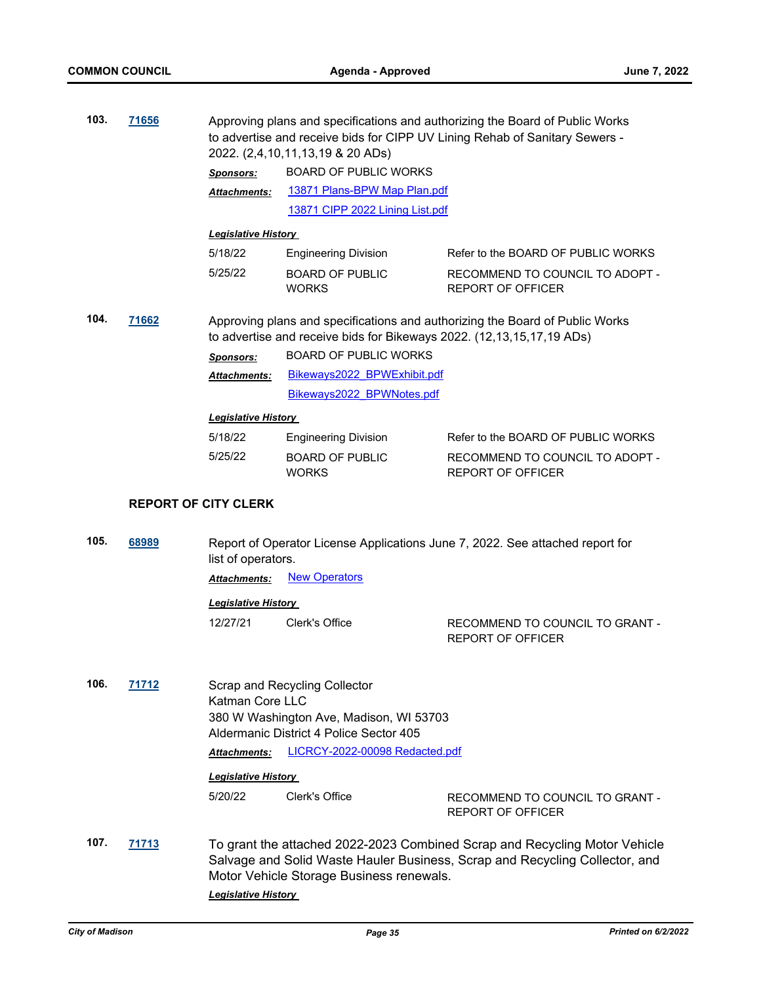| 103.                             | 71656                       |                            | Approving plans and specifications and authorizing the Board of Public Works<br>to advertise and receive bids for CIPP UV Lining Rehab of Sanitary Sewers -<br>2022. (2,4,10,11,13,19 & 20 ADs) |                                                                                                                                                           |  |
|----------------------------------|-----------------------------|----------------------------|-------------------------------------------------------------------------------------------------------------------------------------------------------------------------------------------------|-----------------------------------------------------------------------------------------------------------------------------------------------------------|--|
|                                  |                             | <b>Sponsors:</b>           |                                                                                                                                                                                                 |                                                                                                                                                           |  |
|                                  |                             | Attachments:               | 13871 Plans-BPW Map Plan.pdf                                                                                                                                                                    |                                                                                                                                                           |  |
|                                  |                             |                            | 13871 CIPP 2022 Lining List.pdf                                                                                                                                                                 |                                                                                                                                                           |  |
|                                  |                             | <b>Legislative History</b> |                                                                                                                                                                                                 |                                                                                                                                                           |  |
|                                  |                             | 5/18/22                    | <b>Engineering Division</b>                                                                                                                                                                     | Refer to the BOARD OF PUBLIC WORKS                                                                                                                        |  |
|                                  |                             | 5/25/22                    | <b>BOARD OF PUBLIC</b><br><b>WORKS</b>                                                                                                                                                          | RECOMMEND TO COUNCIL TO ADOPT -<br><b>REPORT OF OFFICER</b>                                                                                               |  |
| 104.                             | 71662                       |                            | to advertise and receive bids for Bikeways 2022. (12,13,15,17,19 ADs)                                                                                                                           | Approving plans and specifications and authorizing the Board of Public Works                                                                              |  |
|                                  |                             | <b>Sponsors:</b>           | <b>BOARD OF PUBLIC WORKS</b>                                                                                                                                                                    |                                                                                                                                                           |  |
|                                  |                             | Attachments:               | Bikeways2022_BPWExhibit.pdf                                                                                                                                                                     |                                                                                                                                                           |  |
|                                  |                             |                            | Bikeways2022 BPWNotes.pdf                                                                                                                                                                       |                                                                                                                                                           |  |
|                                  |                             | <b>Legislative History</b> |                                                                                                                                                                                                 |                                                                                                                                                           |  |
|                                  |                             | 5/18/22                    | <b>Engineering Division</b>                                                                                                                                                                     | Refer to the BOARD OF PUBLIC WORKS                                                                                                                        |  |
|                                  |                             | 5/25/22                    | <b>BOARD OF PUBLIC</b><br><b>WORKS</b>                                                                                                                                                          | RECOMMEND TO COUNCIL TO ADOPT -<br><b>REPORT OF OFFICER</b>                                                                                               |  |
|                                  | <b>REPORT OF CITY CLERK</b> |                            |                                                                                                                                                                                                 |                                                                                                                                                           |  |
| 105.                             | 68989                       | list of operators.         |                                                                                                                                                                                                 | Report of Operator License Applications June 7, 2022. See attached report for                                                                             |  |
|                                  |                             | Attachments:               | <b>New Operators</b>                                                                                                                                                                            |                                                                                                                                                           |  |
|                                  |                             | <b>Legislative History</b> |                                                                                                                                                                                                 |                                                                                                                                                           |  |
|                                  |                             | 12/27/21                   | Clerk's Office                                                                                                                                                                                  | RECOMMEND TO COUNCIL TO GRANT -<br><b>REPORT OF OFFICER</b>                                                                                               |  |
| 106.<br>71712<br>Katman Core LLC |                             |                            | Scrap and Recycling Collector<br>380 W Washington Ave, Madison, WI 53703<br>Aldermanic District 4 Police Sector 405                                                                             |                                                                                                                                                           |  |
|                                  |                             | <b>Attachments:</b>        | LICRCY-2022-00098 Redacted.pdf                                                                                                                                                                  |                                                                                                                                                           |  |
|                                  |                             | <b>Legislative History</b> |                                                                                                                                                                                                 |                                                                                                                                                           |  |
|                                  |                             | 5/20/22                    | Clerk's Office                                                                                                                                                                                  | RECOMMEND TO COUNCIL TO GRANT -<br>REPORT OF OFFICER                                                                                                      |  |
| 107.                             | 71713                       | <b>Legislative History</b> | Motor Vehicle Storage Business renewals.                                                                                                                                                        | To grant the attached 2022-2023 Combined Scrap and Recycling Motor Vehicle<br>Salvage and Solid Waste Hauler Business, Scrap and Recycling Collector, and |  |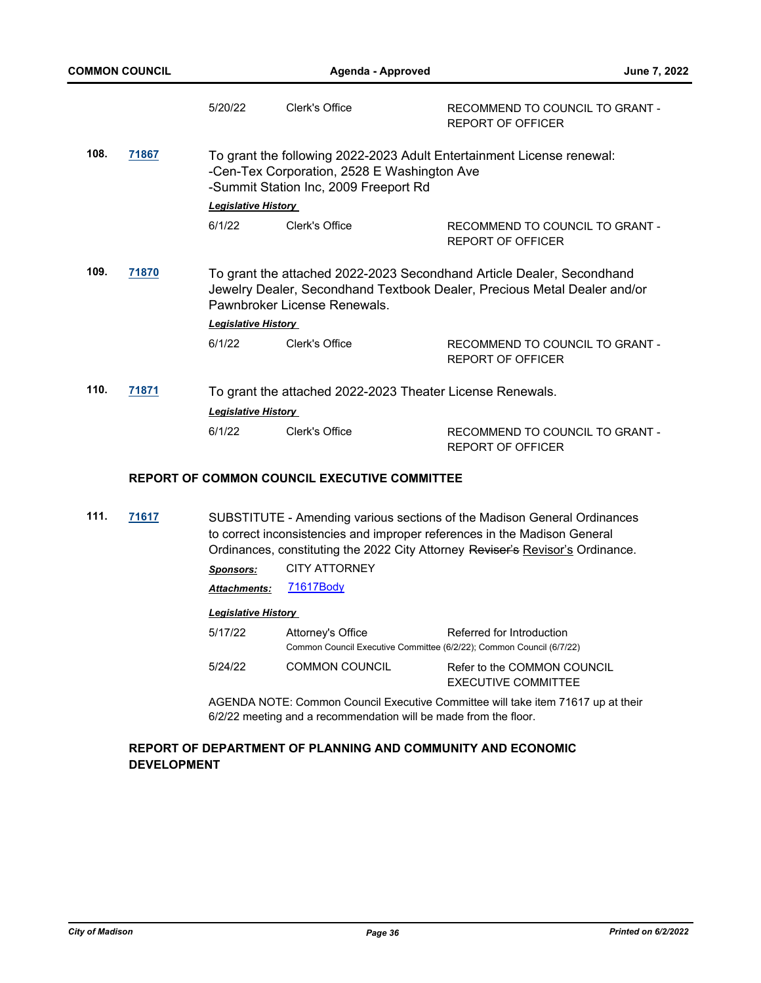|      |       | 5/20/22                              | Clerk's Office                                                                       | RECOMMEND TO COUNCIL TO GRANT -<br><b>REPORT OF OFFICER</b>                                                                                       |
|------|-------|--------------------------------------|--------------------------------------------------------------------------------------|---------------------------------------------------------------------------------------------------------------------------------------------------|
| 108. | 71867 |                                      | -Cen-Tex Corporation, 2528 E Washington Ave<br>-Summit Station Inc, 2009 Freeport Rd | To grant the following 2022-2023 Adult Entertainment License renewal:                                                                             |
|      |       | <b>Legislative History</b><br>6/1/22 | Clerk's Office                                                                       | RECOMMEND TO COUNCIL TO GRANT -<br><b>REPORT OF OFFICER</b>                                                                                       |
| 109. | 71870 |                                      | Pawnbroker License Renewals.                                                         | To grant the attached 2022-2023 Secondhand Article Dealer, Secondhand<br>Jewelry Dealer, Secondhand Textbook Dealer, Precious Metal Dealer and/or |
|      |       | <b>Legislative History</b>           |                                                                                      |                                                                                                                                                   |
|      |       | 6/1/22                               | Clerk's Office                                                                       | RECOMMEND TO COUNCIL TO GRANT -<br><b>REPORT OF OFFICER</b>                                                                                       |
| 110. | 71871 |                                      | To grant the attached 2022-2023 Theater License Renewals.                            |                                                                                                                                                   |
|      |       | <b>Legislative History</b>           |                                                                                      |                                                                                                                                                   |
|      |       | 6/1/22                               | Clerk's Office                                                                       | RECOMMEND TO COUNCIL TO GRANT -<br><b>REPORT OF OFFICER</b>                                                                                       |

## **REPORT OF COMMON COUNCIL EXECUTIVE COMMITTEE**

**111. [71617](http://madison.legistar.com/gateway.aspx?m=l&id=/matter.aspx?key=83487)** SUBSTITUTE - Amending various sections of the Madison General Ordinances to correct inconsistencies and improper references in the Madison General Ordinances, constituting the 2022 City Attorney Reviser's Revisor's Ordinance.

*Sponsors:* CITY ATTORNEY

Attachments: [71617Body](http://madison.legistar.com/gateway.aspx?M=F&ID=b17f6853-99ef-47a0-9355-75b82ada0dea.pdf)

## *Legislative History*

| 5/17/22 | Attorney's Office                                                    | Referred for Introduction   |
|---------|----------------------------------------------------------------------|-----------------------------|
|         | Common Council Executive Committee (6/2/22); Common Council (6/7/22) |                             |
| 5/24/22 | COMMON COUNCIL                                                       | Refer to the COMMON COUNCIL |
|         |                                                                      | EXECUTIVE COMMITTEE         |

AGENDA NOTE: Common Council Executive Committee will take item 71617 up at their 6/2/22 meeting and a recommendation will be made from the floor.

## **REPORT OF DEPARTMENT OF PLANNING AND COMMUNITY AND ECONOMIC DEVELOPMENT**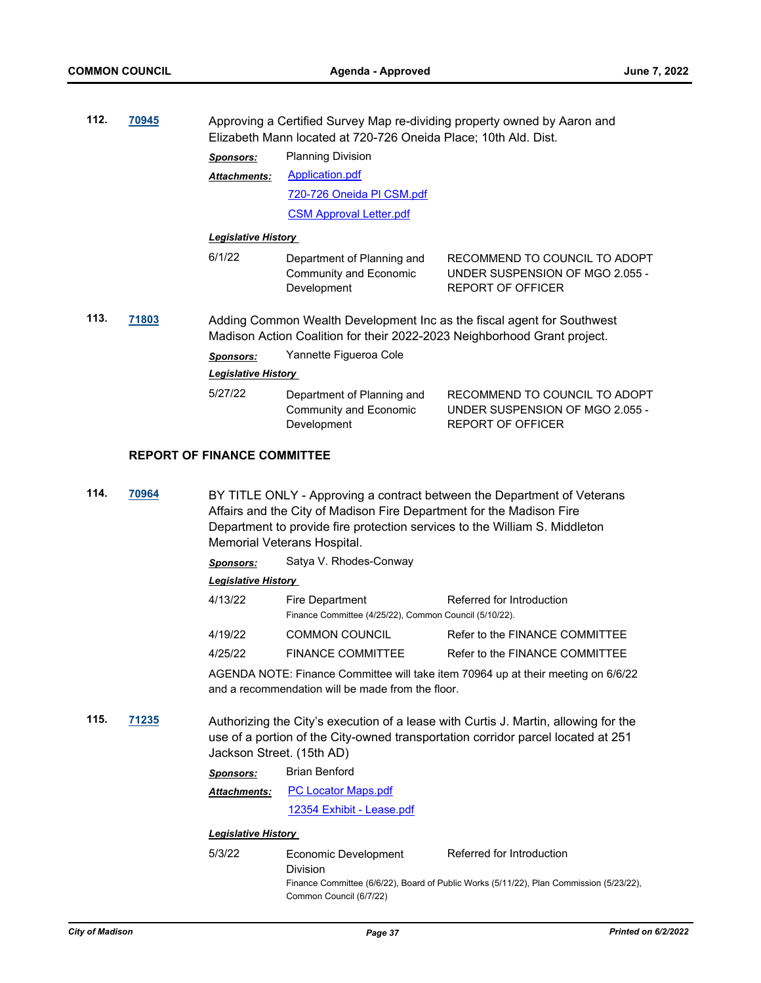| 112.<br>70945 |              | Approving a Certified Survey Map re-dividing property owned by Aaron and<br>Elizabeth Mann located at 720-726 Oneida Place; 10th Ald. Dist.        |                                                                                                     |                                                                                                                                                                         |  |
|---------------|--------------|----------------------------------------------------------------------------------------------------------------------------------------------------|-----------------------------------------------------------------------------------------------------|-------------------------------------------------------------------------------------------------------------------------------------------------------------------------|--|
|               |              | <b>Sponsors:</b>                                                                                                                                   | <b>Planning Division</b>                                                                            |                                                                                                                                                                         |  |
|               |              | <b>Attachments:</b>                                                                                                                                | <b>Application.pdf</b>                                                                              |                                                                                                                                                                         |  |
|               |              |                                                                                                                                                    | 720-726 Oneida PI CSM.pdf                                                                           |                                                                                                                                                                         |  |
|               |              |                                                                                                                                                    | <b>CSM Approval Letter.pdf</b>                                                                      |                                                                                                                                                                         |  |
|               |              | <b>Legislative History</b>                                                                                                                         |                                                                                                     |                                                                                                                                                                         |  |
|               |              | 6/1/22                                                                                                                                             | Department of Planning and<br><b>Community and Economic</b><br>Development                          | RECOMMEND TO COUNCIL TO ADOPT<br>UNDER SUSPENSION OF MGO 2.055 -<br><b>REPORT OF OFFICER</b>                                                                            |  |
| 113.<br>71803 |              | Adding Common Wealth Development Inc as the fiscal agent for Southwest<br>Madison Action Coalition for their 2022-2023 Neighborhood Grant project. |                                                                                                     |                                                                                                                                                                         |  |
|               |              | <b>Sponsors:</b>                                                                                                                                   | Yannette Figueroa Cole                                                                              |                                                                                                                                                                         |  |
|               |              | Legislative History                                                                                                                                |                                                                                                     |                                                                                                                                                                         |  |
|               |              | 5/27/22                                                                                                                                            | Department of Planning and<br><b>Community and Economic</b><br>Development                          | RECOMMEND TO COUNCIL TO ADOPT<br>UNDER SUSPENSION OF MGO 2.055 -<br><b>REPORT OF OFFICER</b>                                                                            |  |
|               |              | <b>REPORT OF FINANCE COMMITTEE</b>                                                                                                                 |                                                                                                     |                                                                                                                                                                         |  |
| 114.          | 70964        |                                                                                                                                                    | Affairs and the City of Madison Fire Department for the Madison Fire<br>Memorial Veterans Hospital. | BY TITLE ONLY - Approving a contract between the Department of Veterans<br>Department to provide fire protection services to the William S. Middleton                   |  |
|               |              | <b>Sponsors:</b>                                                                                                                                   | Satya V. Rhodes-Conway                                                                              |                                                                                                                                                                         |  |
|               |              | Legislative History                                                                                                                                |                                                                                                     |                                                                                                                                                                         |  |
|               |              | 4/13/22                                                                                                                                            | Fire Department<br>Finance Committee (4/25/22), Common Council (5/10/22).                           | Referred for Introduction                                                                                                                                               |  |
|               |              | 4/19/22                                                                                                                                            | <b>COMMON COUNCIL</b>                                                                               | Refer to the FINANCE COMMITTEE                                                                                                                                          |  |
|               |              | 4/25/22                                                                                                                                            | <b>FINANCE COMMITTEE</b>                                                                            | Refer to the FINANCE COMMITTEE                                                                                                                                          |  |
|               |              |                                                                                                                                                    | and a recommendation will be made from the floor.                                                   | AGENDA NOTE: Finance Committee will take item 70964 up at their meeting on 6/6/22                                                                                       |  |
| 115.          | <u>71235</u> | Jackson Street. (15th AD)                                                                                                                          |                                                                                                     | Authorizing the City's execution of a lease with Curtis J. Martin, allowing for the<br>use of a portion of the City-owned transportation corridor parcel located at 251 |  |
|               |              | <b>Sponsors:</b>                                                                                                                                   | <b>Brian Benford</b>                                                                                |                                                                                                                                                                         |  |

[PC Locator Maps.pdf](http://madison.legistar.com/gateway.aspx?M=F&ID=683f3e26-ca9e-4ec2-95be-ef0a4c40daf5.pdf) *Attachments:*

[12354 Exhibit - Lease.pdf](http://madison.legistar.com/gateway.aspx?M=F&ID=2511e0eb-ba0b-4c31-bf42-8b28f0533fc0.pdf)

| 5/3/22 | Economic Development    | Referred for Introduction                                                               |
|--------|-------------------------|-----------------------------------------------------------------------------------------|
|        | <b>Division</b>         |                                                                                         |
|        |                         | Finance Committee (6/6/22), Board of Public Works (5/11/22), Plan Commission (5/23/22), |
|        | Common Council (6/7/22) |                                                                                         |
|        |                         |                                                                                         |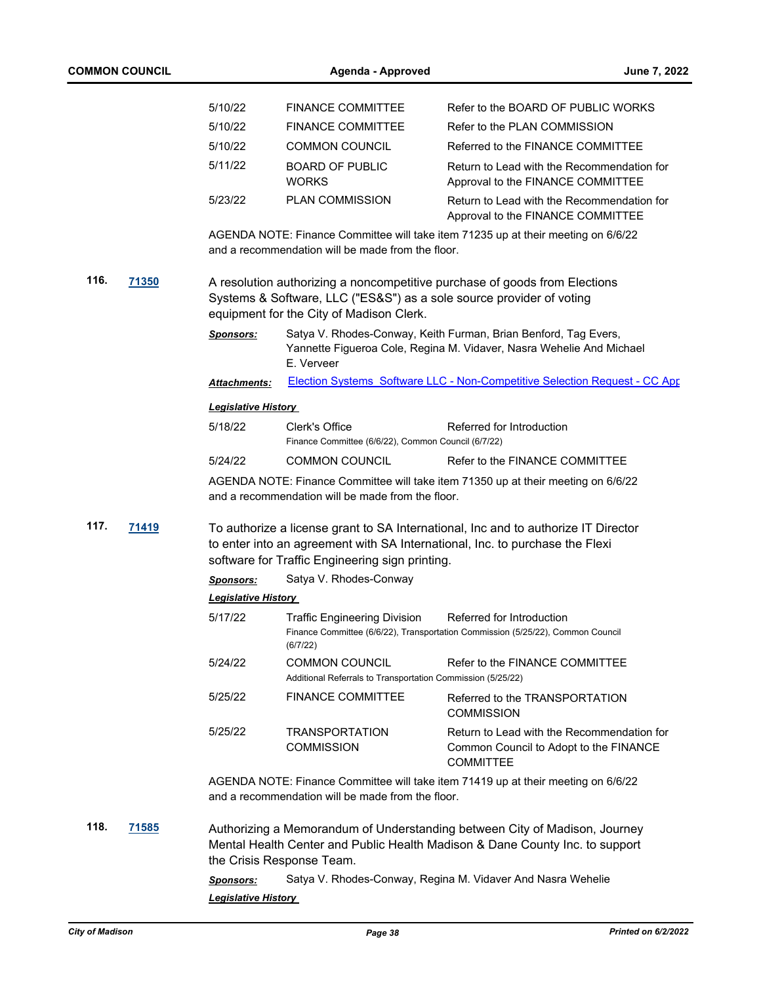|      |              | 5/10/22                                 | <b>FINANCE COMMITTEE</b>                                                                                         | Refer to the BOARD OF PUBLIC WORKS                                                                                                                                 |
|------|--------------|-----------------------------------------|------------------------------------------------------------------------------------------------------------------|--------------------------------------------------------------------------------------------------------------------------------------------------------------------|
|      |              | 5/10/22                                 | <b>FINANCE COMMITTEE</b>                                                                                         | Refer to the PLAN COMMISSION                                                                                                                                       |
|      |              | 5/10/22                                 | <b>COMMON COUNCIL</b>                                                                                            | Referred to the FINANCE COMMITTEE                                                                                                                                  |
|      |              | 5/11/22                                 | <b>BOARD OF PUBLIC</b><br><b>WORKS</b>                                                                           | Return to Lead with the Recommendation for<br>Approval to the FINANCE COMMITTEE                                                                                    |
|      |              | 5/23/22                                 | PLAN COMMISSION                                                                                                  | Return to Lead with the Recommendation for<br>Approval to the FINANCE COMMITTEE                                                                                    |
|      |              |                                         | and a recommendation will be made from the floor.                                                                | AGENDA NOTE: Finance Committee will take item 71235 up at their meeting on 6/6/22                                                                                  |
| 116. | <b>71350</b> |                                         | Systems & Software, LLC ("ES&S") as a sole source provider of voting<br>equipment for the City of Madison Clerk. | A resolution authorizing a noncompetitive purchase of goods from Elections                                                                                         |
|      |              | <b>Sponsors:</b>                        | E. Verveer                                                                                                       | Satya V. Rhodes-Conway, Keith Furman, Brian Benford, Tag Evers,<br>Yannette Figueroa Cole, Regina M. Vidaver, Nasra Wehelie And Michael                            |
|      |              | <b>Attachments:</b>                     |                                                                                                                  | Election Systems Software LLC - Non-Competitive Selection Request - CC App                                                                                         |
|      |              | <b>Legislative History</b>              |                                                                                                                  |                                                                                                                                                                    |
|      |              | 5/18/22                                 | Clerk's Office<br>Finance Committee (6/6/22), Common Council (6/7/22)                                            | Referred for Introduction                                                                                                                                          |
|      |              | 5/24/22                                 | <b>COMMON COUNCIL</b>                                                                                            | Refer to the FINANCE COMMITTEE                                                                                                                                     |
|      |              |                                         | and a recommendation will be made from the floor.                                                                | AGENDA NOTE: Finance Committee will take item 71350 up at their meeting on 6/6/22                                                                                  |
| 117. | 71419        |                                         | software for Traffic Engineering sign printing.                                                                  | To authorize a license grant to SA International, Inc and to authorize IT Director<br>to enter into an agreement with SA International, Inc. to purchase the Flexi |
|      |              | <b>Sponsors:</b>                        | Satya V. Rhodes-Conway                                                                                           |                                                                                                                                                                    |
|      |              | <b>Legislative History</b>              |                                                                                                                  |                                                                                                                                                                    |
|      |              | 5/17/22                                 | <b>Traffic Engineering Division</b><br>(6/7/22)                                                                  | Referred for Introduction<br>Finance Committee (6/6/22), Transportation Commission (5/25/22), Common Council                                                       |
|      |              | 5/24/22                                 | <b>COMMON COUNCIL</b><br>Additional Referrals to Transportation Commission (5/25/22)                             | Refer to the FINANCE COMMITTEE                                                                                                                                     |
|      |              | 5/25/22                                 | <b>FINANCE COMMITTEE</b>                                                                                         | Referred to the TRANSPORTATION<br><b>COMMISSION</b>                                                                                                                |
|      |              | 5/25/22                                 | <b>TRANSPORTATION</b><br><b>COMMISSION</b>                                                                       | Return to Lead with the Recommendation for<br>Common Council to Adopt to the FINANCE<br><b>COMMITTEE</b>                                                           |
|      |              |                                         | and a recommendation will be made from the floor.                                                                | AGENDA NOTE: Finance Committee will take item 71419 up at their meeting on 6/6/22                                                                                  |
| 118. | 71585        |                                         | the Crisis Response Team.                                                                                        | Authorizing a Memorandum of Understanding between City of Madison, Journey<br>Mental Health Center and Public Health Madison & Dane County Inc. to support         |
|      |              | Sponsors:<br><b>Legislative History</b> |                                                                                                                  | Satya V. Rhodes-Conway, Regina M. Vidaver And Nasra Wehelie                                                                                                        |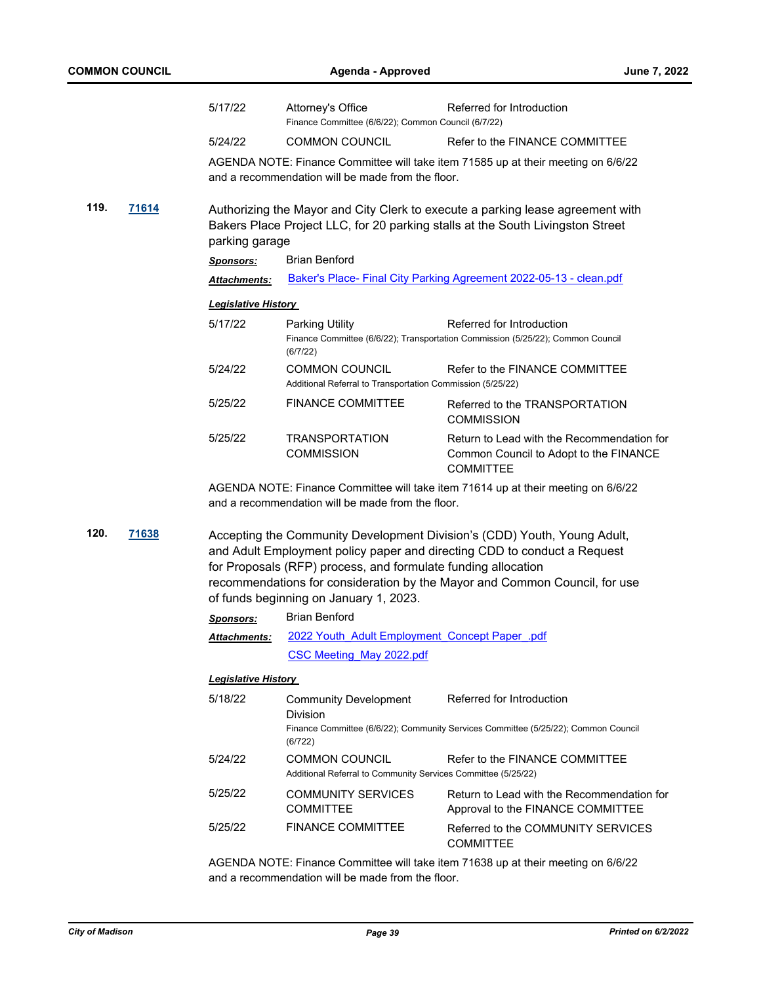|      |       | 5/17/22                    | Attorney's Office<br>Finance Committee (6/6/22); Common Council (6/7/22)                                                        | Referred for Introduction                                                                                                                                                                                                          |  |
|------|-------|----------------------------|---------------------------------------------------------------------------------------------------------------------------------|------------------------------------------------------------------------------------------------------------------------------------------------------------------------------------------------------------------------------------|--|
|      |       | 5/24/22                    | <b>COMMON COUNCIL</b>                                                                                                           | Refer to the FINANCE COMMITTEE                                                                                                                                                                                                     |  |
|      |       |                            | and a recommendation will be made from the floor.                                                                               | AGENDA NOTE: Finance Committee will take item 71585 up at their meeting on 6/6/22                                                                                                                                                  |  |
| 119. | 71614 | parking garage             |                                                                                                                                 | Authorizing the Mayor and City Clerk to execute a parking lease agreement with<br>Bakers Place Project LLC, for 20 parking stalls at the South Livingston Street                                                                   |  |
|      |       | <b>Sponsors:</b>           | <b>Brian Benford</b>                                                                                                            |                                                                                                                                                                                                                                    |  |
|      |       | Attachments:               |                                                                                                                                 | Baker's Place- Final City Parking Agreement 2022-05-13 - clean.pdf                                                                                                                                                                 |  |
|      |       | <b>Legislative History</b> |                                                                                                                                 |                                                                                                                                                                                                                                    |  |
|      |       | 5/17/22                    | <b>Parking Utility</b><br>(6/7/22)                                                                                              | Referred for Introduction<br>Finance Committee (6/6/22); Transportation Commission (5/25/22); Common Council                                                                                                                       |  |
|      |       | 5/24/22                    | <b>COMMON COUNCIL</b><br>Additional Referral to Transportation Commission (5/25/22)                                             | Refer to the FINANCE COMMITTEE                                                                                                                                                                                                     |  |
|      |       | 5/25/22                    | <b>FINANCE COMMITTEE</b>                                                                                                        | Referred to the TRANSPORTATION<br><b>COMMISSION</b>                                                                                                                                                                                |  |
|      |       | 5/25/22                    | <b>TRANSPORTATION</b><br><b>COMMISSION</b>                                                                                      | Return to Lead with the Recommendation for<br>Common Council to Adopt to the FINANCE<br><b>COMMITTEE</b>                                                                                                                           |  |
|      |       |                            | and a recommendation will be made from the floor.                                                                               | AGENDA NOTE: Finance Committee will take item 71614 up at their meeting on 6/6/22                                                                                                                                                  |  |
| 120. | 71638 | <b>Sponsors:</b>           | for Proposals (RFP) process, and formulate funding allocation<br>of funds beginning on January 1, 2023.<br><b>Brian Benford</b> | Accepting the Community Development Division's (CDD) Youth, Young Adult,<br>and Adult Employment policy paper and directing CDD to conduct a Request<br>recommendations for consideration by the Mayor and Common Council, for use |  |
|      |       | <b>Attachments:</b>        | 2022 Youth Adult Employment Concept Paper.pdf                                                                                   |                                                                                                                                                                                                                                    |  |
|      |       |                            | CSC Meeting May 2022.pdf                                                                                                        |                                                                                                                                                                                                                                    |  |
|      |       | <b>Legislative History</b> |                                                                                                                                 |                                                                                                                                                                                                                                    |  |
|      |       | 5/18/22                    | <b>Community Development</b><br>Division<br>(6/722)                                                                             | Referred for Introduction<br>Finance Committee (6/6/22); Community Services Committee (5/25/22); Common Council                                                                                                                    |  |
|      |       | 5/24/22                    | <b>COMMON COUNCIL</b><br>Additional Referral to Community Services Committee (5/25/22)                                          | Refer to the FINANCE COMMITTEE                                                                                                                                                                                                     |  |
|      |       | 5/25/22                    | <b>COMMUNITY SERVICES</b><br><b>COMMITTEE</b>                                                                                   | Return to Lead with the Recommendation for<br>Approval to the FINANCE COMMITTEE                                                                                                                                                    |  |
|      |       | 5/25/22                    | <b>FINANCE COMMITTEE</b>                                                                                                        | Referred to the COMMUNITY SERVICES<br><b>COMMITTEE</b>                                                                                                                                                                             |  |
|      |       |                            |                                                                                                                                 | ACENDA NOTE: Einance Committee will take item 71638 up at their meeting on 6/6/22                                                                                                                                                  |  |

AGENDA NOTE: Finance Committee will take item 71638 up at their meeting on 6/6/22 and a recommendation will be made from the floor.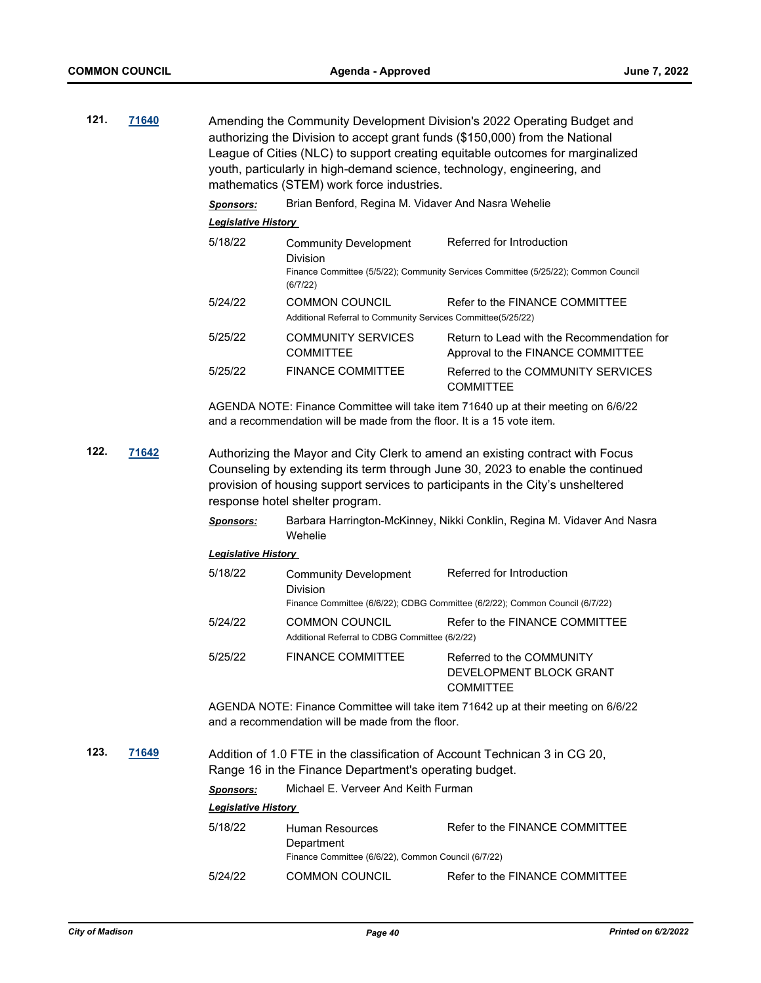| 121. | 71640 | Amending the Community Development Division's 2022 Operating Budget and<br>authorizing the Division to accept grant funds (\$150,000) from the National<br>League of Cities (NLC) to support creating equitable outcomes for marginalized<br>youth, particularly in high-demand science, technology, engineering, and<br>mathematics (STEM) work force industries. |                                                                                             |                                                                                                                 |
|------|-------|--------------------------------------------------------------------------------------------------------------------------------------------------------------------------------------------------------------------------------------------------------------------------------------------------------------------------------------------------------------------|---------------------------------------------------------------------------------------------|-----------------------------------------------------------------------------------------------------------------|
|      |       | <b>Sponsors:</b>                                                                                                                                                                                                                                                                                                                                                   | Brian Benford, Regina M. Vidaver And Nasra Wehelie                                          |                                                                                                                 |
|      |       | <b>Legislative History</b>                                                                                                                                                                                                                                                                                                                                         |                                                                                             |                                                                                                                 |
|      |       | 5/18/22                                                                                                                                                                                                                                                                                                                                                            | <b>Community Development</b><br>Division<br>(6/7/22)                                        | Referred for Introduction<br>Finance Committee (5/5/22); Community Services Committee (5/25/22); Common Council |
|      |       | 5/24/22                                                                                                                                                                                                                                                                                                                                                            | <b>COMMON COUNCIL</b><br>Additional Referral to Community Services Committee(5/25/22)       | Refer to the FINANCE COMMITTEE                                                                                  |
|      |       | 5/25/22                                                                                                                                                                                                                                                                                                                                                            | <b>COMMUNITY SERVICES</b><br><b>COMMITTEE</b>                                               | Return to Lead with the Recommendation for<br>Approval to the FINANCE COMMITTEE                                 |
|      |       | 5/25/22                                                                                                                                                                                                                                                                                                                                                            | <b>FINANCE COMMITTEE</b>                                                                    | Referred to the COMMUNITY SERVICES<br><b>COMMITTEE</b>                                                          |
|      |       |                                                                                                                                                                                                                                                                                                                                                                    | and a recommendation will be made from the floor. It is a 15 yote item.                     | AGENDA NOTE: Finance Committee will take item 71640 up at their meeting on 6/6/22                               |
| 122. | 71642 | Authorizing the Mayor and City Clerk to amend an existing contract with Focus<br>Counseling by extending its term through June 30, 2023 to enable the continued<br>provision of housing support services to participants in the City's unsheltered<br>response hotel shelter program.                                                                              |                                                                                             |                                                                                                                 |
|      |       | <b>Sponsors:</b>                                                                                                                                                                                                                                                                                                                                                   | Wehelie                                                                                     | Barbara Harrington-McKinney, Nikki Conklin, Regina M. Vidaver And Nasra                                         |
|      |       | <b>Legislative History</b>                                                                                                                                                                                                                                                                                                                                         |                                                                                             |                                                                                                                 |
|      |       | 5/18/22                                                                                                                                                                                                                                                                                                                                                            | <b>Community Development</b><br><b>Division</b>                                             | Referred for Introduction                                                                                       |
|      |       |                                                                                                                                                                                                                                                                                                                                                                    |                                                                                             | Finance Committee (6/6/22); CDBG Committee (6/2/22); Common Council (6/7/22)                                    |
|      |       | 5/24/22                                                                                                                                                                                                                                                                                                                                                            | <b>COMMON COUNCIL</b><br>Additional Referral to CDBG Committee (6/2/22)                     | Refer to the FINANCE COMMITTEE                                                                                  |
|      |       | 5/25/22                                                                                                                                                                                                                                                                                                                                                            | <b>FINANCE COMMITTEE</b>                                                                    | Referred to the COMMUNITY<br>DEVELOPMENT BLOCK GRANT<br><b>COMMITTEE</b>                                        |
|      |       |                                                                                                                                                                                                                                                                                                                                                                    | and a recommendation will be made from the floor.                                           | AGENDA NOTE: Finance Committee will take item 71642 up at their meeting on 6/6/22                               |
| 123. | 71649 |                                                                                                                                                                                                                                                                                                                                                                    | Range 16 in the Finance Department's operating budget.                                      | Addition of 1.0 FTE in the classification of Account Technican 3 in CG 20,                                      |
|      |       | <b>Sponsors:</b>                                                                                                                                                                                                                                                                                                                                                   | Michael E. Verveer And Keith Furman                                                         |                                                                                                                 |
|      |       | <b>Legislative History</b>                                                                                                                                                                                                                                                                                                                                         |                                                                                             |                                                                                                                 |
|      |       | 5/18/22                                                                                                                                                                                                                                                                                                                                                            | <b>Human Resources</b><br>Department<br>Finance Committee (6/6/22), Common Council (6/7/22) | Refer to the FINANCE COMMITTEE                                                                                  |
|      |       | 5/24/22                                                                                                                                                                                                                                                                                                                                                            | <b>COMMON COUNCIL</b>                                                                       | Refer to the FINANCE COMMITTEE                                                                                  |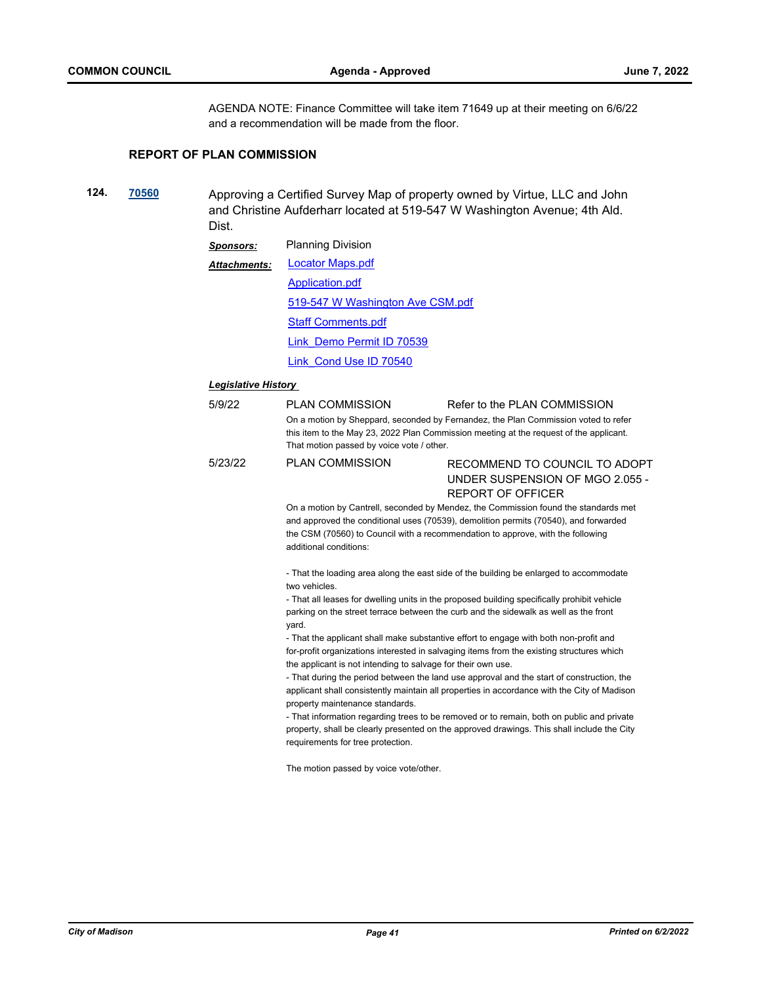AGENDA NOTE: Finance Committee will take item 71649 up at their meeting on 6/6/22 and a recommendation will be made from the floor.

## **REPORT OF PLAN COMMISSION**

**124. [70560](http://madison.legistar.com/gateway.aspx?m=l&id=/matter.aspx?key=82599)** Approving a Certified Survey Map of property owned by Virtue, LLC and John and Christine Aufderharr located at 519-547 W Washington Avenue; 4th Ald. Dist.

| <b>Sponsors:</b> | <b>Planning Division</b>         |  |
|------------------|----------------------------------|--|
| Attachments:     | Locator Maps.pdf                 |  |
|                  | Application.pdf                  |  |
|                  | 519-547 W Washington Ave CSM.pdf |  |
|                  | <b>Staff Comments.pdf</b>        |  |
|                  | Link Demo Permit ID 70539        |  |
|                  | Link Cond Use ID 70540           |  |

## *Legislative History*

| 5/9/22  | PLAN COMMISSION<br>That motion passed by voice vote / other.                                                                                              | Refer to the PLAN COMMISSION<br>On a motion by Sheppard, seconded by Fernandez, the Plan Commission voted to refer<br>this item to the May 23, 2022 Plan Commission meeting at the request of the applicant.                                                   |  |  |  |  |
|---------|-----------------------------------------------------------------------------------------------------------------------------------------------------------|----------------------------------------------------------------------------------------------------------------------------------------------------------------------------------------------------------------------------------------------------------------|--|--|--|--|
| 5/23/22 | <b>PLAN COMMISSION</b>                                                                                                                                    | RECOMMEND TO COUNCIL TO ADOPT<br>UNDER SUSPENSION OF MGO 2.055 -<br><b>REPORT OF OFFICER</b>                                                                                                                                                                   |  |  |  |  |
|         | additional conditions:                                                                                                                                    | On a motion by Cantrell, seconded by Mendez, the Commission found the standards met<br>and approved the conditional uses (70539), demolition permits (70540), and forwarded<br>the CSM (70560) to Council with a recommendation to approve, with the following |  |  |  |  |
|         | - That the loading area along the east side of the building be enlarged to accommodate<br>two vehicles.                                                   |                                                                                                                                                                                                                                                                |  |  |  |  |
|         | - That all leases for dwelling units in the proposed building specifically prohibit vehicle                                                               |                                                                                                                                                                                                                                                                |  |  |  |  |
|         | parking on the street terrace between the curb and the sidewalk as well as the front<br>yard.                                                             |                                                                                                                                                                                                                                                                |  |  |  |  |
|         |                                                                                                                                                           | - That the applicant shall make substantive effort to engage with both non-profit and                                                                                                                                                                          |  |  |  |  |
|         | for-profit organizations interested in salvaging items from the existing structures which<br>the applicant is not intending to salvage for their own use. |                                                                                                                                                                                                                                                                |  |  |  |  |
|         |                                                                                                                                                           | - That during the period between the land use approval and the start of construction, the                                                                                                                                                                      |  |  |  |  |
|         | property maintenance standards.                                                                                                                           | applicant shall consistently maintain all properties in accordance with the City of Madison                                                                                                                                                                    |  |  |  |  |
|         |                                                                                                                                                           | - That information regarding trees to be removed or to remain, both on public and private                                                                                                                                                                      |  |  |  |  |
|         | requirements for tree protection.                                                                                                                         | property, shall be clearly presented on the approved drawings. This shall include the City                                                                                                                                                                     |  |  |  |  |
|         |                                                                                                                                                           |                                                                                                                                                                                                                                                                |  |  |  |  |

The motion passed by voice vote/other.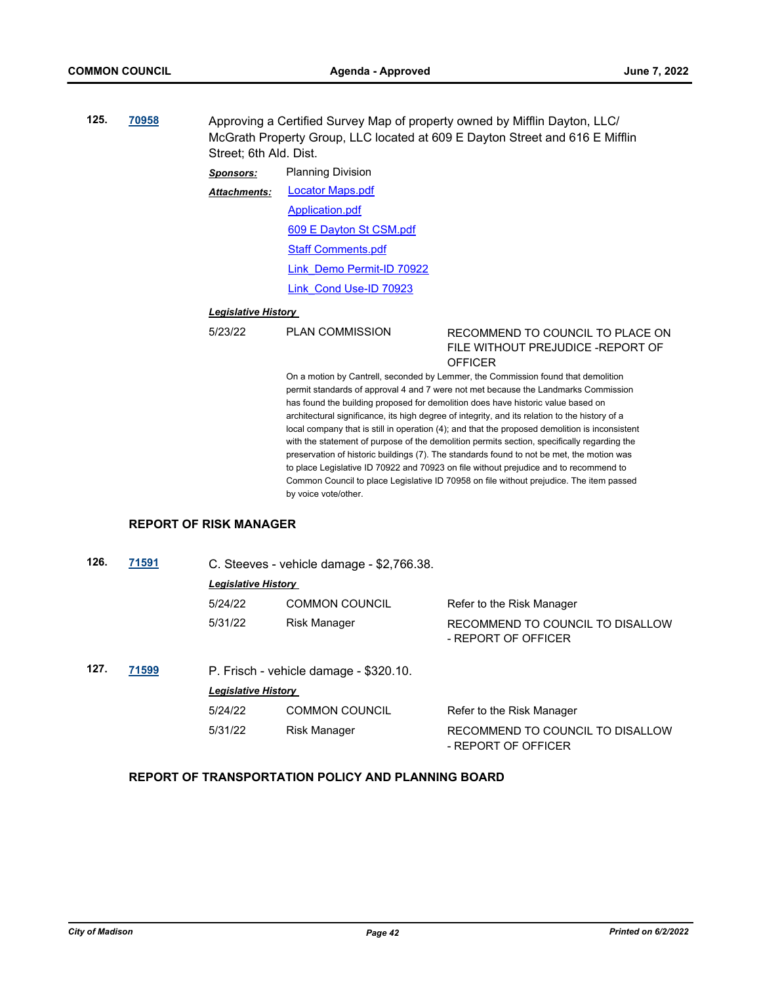**125. [70958](http://madison.legistar.com/gateway.aspx?m=l&id=/matter.aspx?key=82941)** Approving a Certified Survey Map of property owned by Mifflin Dayton, LLC/ McGrath Property Group, LLC located at 609 E Dayton Street and 616 E Mifflin Street; 6th Ald. Dist.

> *Sponsors:* Planning Division [Locator Maps.pdf](http://madison.legistar.com/gateway.aspx?M=F&ID=5d483205-13c6-4cd4-9fcc-ebd4931355e7.pdf) [Application.pdf](http://madison.legistar.com/gateway.aspx?M=F&ID=c3be8876-6cc2-43d6-b31d-7a27365121f1.pdf) [609 E Dayton St CSM.pdf](http://madison.legistar.com/gateway.aspx?M=F&ID=95353a7d-f164-4f4b-80f0-e647677b6837.pdf) *Attachments:*

> > [Staff Comments.pdf](http://madison.legistar.com/gateway.aspx?M=F&ID=5c92fc5c-fae0-4e06-9d66-4424c906e5a1.pdf)

[Link\\_Demo Permit-ID 70922](https://madison.legistar.com/LegislationDetail.aspx?ID=5553061&GUID=96B8B9D2-E6C1-419C-BA3A-4E2DE36EB799&Options=ID|Text|&Search=70922)

[Link\\_Cond Use-ID 70923](https://madison.legistar.com/LegislationDetail.aspx?ID=5553062&GUID=688AC560-E86F-4CA0-9C0E-A7ECFA4F1763&Options=ID|Text|&Search=70923)

#### *Legislative History*

## 5/23/22 PLAN COMMISSION RECOMMEND TO COUNCIL TO PLACE ON FILE WITHOUT PREJUDICE -REPORT OF **OFFICER**

On a motion by Cantrell, seconded by Lemmer, the Commission found that demolition permit standards of approval 4 and 7 were not met because the Landmarks Commission has found the building proposed for demolition does have historic value based on architectural significance, its high degree of integrity, and its relation to the history of a local company that is still in operation (4); and that the proposed demolition is inconsistent with the statement of purpose of the demolition permits section, specifically regarding the preservation of historic buildings (7). The standards found to not be met, the motion was to place Legislative ID 70922 and 70923 on file without prejudice and to recommend to Common Council to place Legislative ID 70958 on file without prejudice. The item passed by voice vote/other.

## **REPORT OF RISK MANAGER**

| 126. | 71591 | C. Steeves - vehicle damage - \$2,766.38. |                                        |                                                         |
|------|-------|-------------------------------------------|----------------------------------------|---------------------------------------------------------|
|      |       | <b>Legislative History</b>                |                                        |                                                         |
|      |       | 5/24/22                                   | <b>COMMON COUNCIL</b>                  | Refer to the Risk Manager                               |
|      |       | 5/31/22                                   | <b>Risk Manager</b>                    | RECOMMEND TO COUNCIL TO DISALLOW<br>- REPORT OF OFFICER |
| 127. | 71599 |                                           | P. Frisch - vehicle damage - \$320.10. |                                                         |
|      |       | <b>Legislative History</b>                |                                        |                                                         |
|      |       | 5/24/22                                   | <b>COMMON COUNCIL</b>                  | Refer to the Risk Manager                               |
|      |       | 5/31/22                                   | <b>Risk Manager</b>                    | RECOMMEND TO COUNCIL TO DISALLOW<br>- REPORT OF OFFICER |

## **REPORT OF TRANSPORTATION POLICY AND PLANNING BOARD**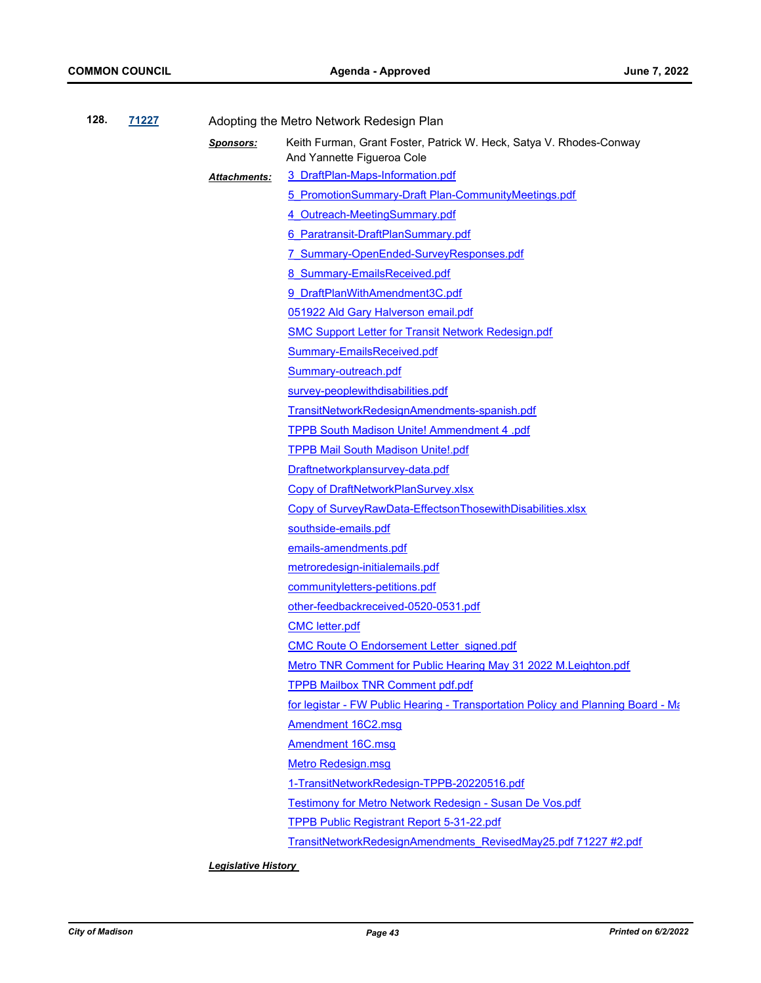| 128.                                                                                                                                                        | 71227<br>Adopting the Metro Network Redesign Plan |                  |                                                                                                   |
|-------------------------------------------------------------------------------------------------------------------------------------------------------------|---------------------------------------------------|------------------|---------------------------------------------------------------------------------------------------|
|                                                                                                                                                             |                                                   | <b>Sponsors:</b> | Keith Furman, Grant Foster, Patrick W. Heck, Satya V. Rhodes-Conway<br>And Yannette Figueroa Cole |
|                                                                                                                                                             |                                                   | Attachments:     | 3 DraftPlan-Maps-Information.pdf                                                                  |
|                                                                                                                                                             |                                                   |                  | 5 PromotionSummary-Draft Plan-CommunityMeetings.pdf                                               |
|                                                                                                                                                             |                                                   |                  | 4 Outreach-MeetingSummary.pdf                                                                     |
|                                                                                                                                                             |                                                   |                  | 6 Paratransit-DraftPlanSummary.pdf                                                                |
|                                                                                                                                                             |                                                   |                  | 7 Summary-OpenEnded-SurveyResponses.pdf                                                           |
|                                                                                                                                                             |                                                   |                  | 8 Summary-EmailsReceived.pdf                                                                      |
|                                                                                                                                                             |                                                   |                  | 9 DraftPlanWithAmendment3C.pdf                                                                    |
| 051922 Ald Gary Halverson email.pdf<br><b>SMC Support Letter for Transit Network Redesign.pdf</b><br>Summary-EmailsReceived.pdf                             |                                                   |                  |                                                                                                   |
|                                                                                                                                                             |                                                   |                  |                                                                                                   |
|                                                                                                                                                             |                                                   |                  |                                                                                                   |
|                                                                                                                                                             |                                                   |                  | Summary-outreach.pdf                                                                              |
|                                                                                                                                                             |                                                   |                  | survey-peoplewithdisabilities.pdf                                                                 |
|                                                                                                                                                             |                                                   |                  | TransitNetworkRedesignAmendments-spanish.pdf                                                      |
|                                                                                                                                                             |                                                   |                  | TPPB South Madison Unite! Ammendment 4 .pdf                                                       |
|                                                                                                                                                             |                                                   |                  | <b>TPPB Mail South Madison Unite!.pdf</b>                                                         |
| Draftnetworkplansurvey-data.pdf<br>Copy of DraftNetworkPlanSurvey.xlsx<br>Copy of SurveyRawData-EffectsonThosewithDisabilities.xlsx<br>southside-emails.pdf |                                                   |                  |                                                                                                   |
|                                                                                                                                                             |                                                   |                  |                                                                                                   |
|                                                                                                                                                             |                                                   |                  |                                                                                                   |
|                                                                                                                                                             |                                                   |                  |                                                                                                   |
|                                                                                                                                                             |                                                   |                  | emails-amendments.pdf                                                                             |
|                                                                                                                                                             |                                                   |                  | metroredesign-initialemails.pdf                                                                   |
|                                                                                                                                                             |                                                   |                  | communityletters-petitions.pdf                                                                    |
|                                                                                                                                                             |                                                   |                  | other-feedbackreceived-0520-0531.pdf                                                              |
|                                                                                                                                                             |                                                   |                  | <b>CMC</b> letter.pdf                                                                             |
|                                                                                                                                                             |                                                   |                  | <b>CMC Route O Endorsement Letter signed.pdf</b>                                                  |
|                                                                                                                                                             |                                                   |                  | Metro TNR Comment for Public Hearing May 31 2022 M.Leighton.pdf                                   |
|                                                                                                                                                             |                                                   |                  | <b>TPPB Mailbox TNR Comment pdf.pdf</b>                                                           |
|                                                                                                                                                             |                                                   |                  | for legistar - FW Public Hearing - Transportation Policy and Planning Board - Ma                  |
|                                                                                                                                                             |                                                   |                  | Amendment 16C2.msg                                                                                |
|                                                                                                                                                             |                                                   |                  | <b>Amendment 16C.msg</b>                                                                          |
|                                                                                                                                                             |                                                   |                  | <b>Metro Redesign.msg</b>                                                                         |
|                                                                                                                                                             |                                                   |                  | 1-TransitNetworkRedesign-TPPB-20220516.pdf                                                        |
| Testimony for Metro Network Redesign - Susan De Vos.pdf                                                                                                     |                                                   |                  |                                                                                                   |
|                                                                                                                                                             |                                                   |                  | TPPB Public Registrant Report 5-31-22.pdf                                                         |
|                                                                                                                                                             |                                                   |                  | TransitNetworkRedesignAmendments RevisedMay25.pdf 71227 #2.pdf                                    |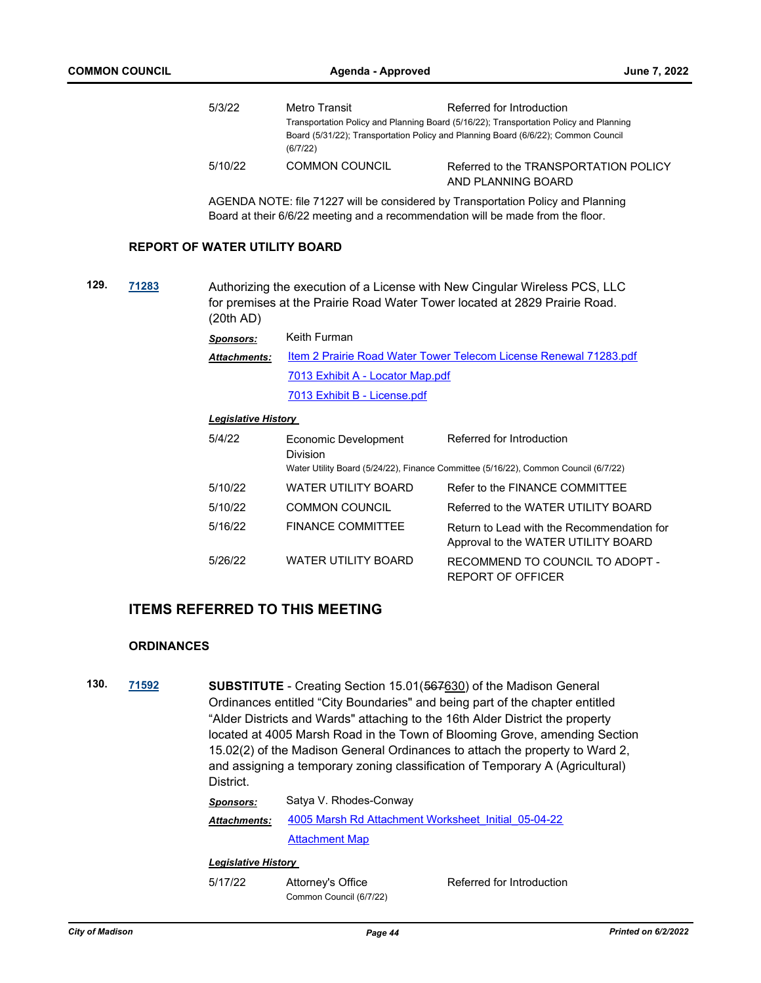| 5/3/22  | Metro Transit         | Referred for Introduction                                                              |  |  |  |
|---------|-----------------------|----------------------------------------------------------------------------------------|--|--|--|
|         |                       | Transportation Policy and Planning Board (5/16/22); Transportation Policy and Planning |  |  |  |
|         | (6/7/22)              | Board (5/31/22); Transportation Policy and Planning Board (6/6/22); Common Council     |  |  |  |
| 5/10/22 | <b>COMMON COUNCIL</b> | Referred to the TRANSPORTATION POLICY<br>AND PLANNING BOARD                            |  |  |  |

AGENDA NOTE: file 71227 will be considered by Transportation Policy and Planning Board at their 6/6/22 meeting and a recommendation will be made from the floor.

## **REPORT OF WATER UTILITY BOARD**

**129. [71283](http://madison.legistar.com/gateway.aspx?m=l&id=/matter.aspx?key=83224)** Authorizing the execution of a License with New Cingular Wireless PCS, LLC for premises at the Prairie Road Water Tower located at 2829 Prairie Road. (20th AD)

| <b>Sponsors:</b>                                                                         | Keith Furman                     |  |
|------------------------------------------------------------------------------------------|----------------------------------|--|
| Item 2 Prairie Road Water Tower Telecom License Renewal 71283.pdf<br><b>Attachments:</b> |                                  |  |
|                                                                                          | 7013 Exhibit A - Locator Map.pdf |  |
|                                                                                          | 7013 Exhibit B - License.pdf     |  |

#### *Legislative History*

| 5/4/22  | Economic Development<br><b>Division</b> | Referred for Introduction<br>Water Utility Board (5/24/22), Finance Committee (5/16/22), Common Council (6/7/22) |
|---------|-----------------------------------------|------------------------------------------------------------------------------------------------------------------|
| 5/10/22 | WATER UTILITY BOARD                     | Refer to the FINANCE COMMITTEE                                                                                   |
| 5/10/22 | <b>COMMON COUNCIL</b>                   | Referred to the WATER UTILITY BOARD                                                                              |
| 5/16/22 | <b>FINANCE COMMITTEE</b>                | Return to Lead with the Recommendation for<br>Approval to the WATER UTILITY BOARD                                |
| 5/26/22 | <b>WATER UTILITY BOARD</b>              | RECOMMEND TO COUNCIL TO ADOPT -<br>REPORT OF OFFICER                                                             |

## **ITEMS REFERRED TO THIS MEETING**

#### **ORDINANCES**

**130. [71592](http://madison.legistar.com/gateway.aspx?m=l&id=/matter.aspx?key=83472) SUBSTITUTE** - Creating Section 15.01(567630) of the Madison General Ordinances entitled "City Boundaries" and being part of the chapter entitled "Alder Districts and Wards" attaching to the 16th Alder District the property located at 4005 Marsh Road in the Town of Blooming Grove, amending Section 15.02(2) of the Madison General Ordinances to attach the property to Ward 2, and assigning a temporary zoning classification of Temporary A (Agricultural) District.

| <b>Sponsors:</b>    | Satya V. Rhodes-Conway                              |  |  |
|---------------------|-----------------------------------------------------|--|--|
| <b>Attachments:</b> | 4005 Marsh Rd Attachment Worksheet Initial 05-04-22 |  |  |
|                     | <b>Attachment Map</b>                               |  |  |
|                     |                                                     |  |  |

#### *Legislative History*

5/17/22 Attorney's Office Referred for Introduction Common Council (6/7/22)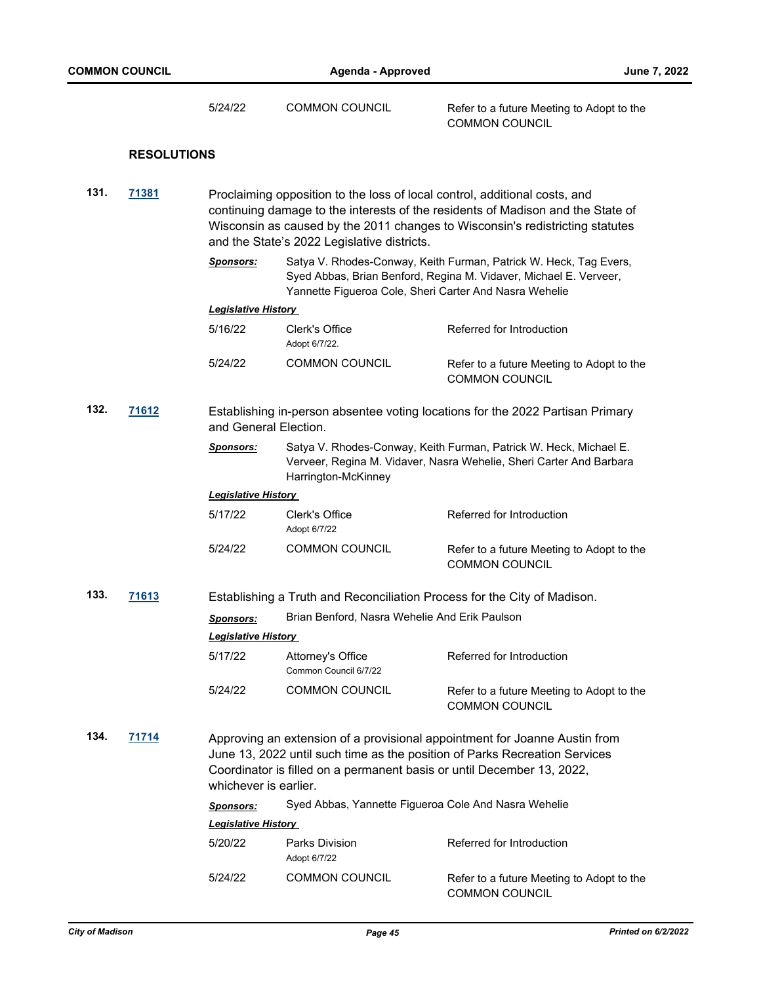|      |                    | 5/24/22                                                                                                                                                                                                                                                                                       | <b>COMMON COUNCIL</b>                                                                                                                                                                            | Refer to a future Meeting to Adopt to the<br><b>COMMON COUNCIL</b> |  |
|------|--------------------|-----------------------------------------------------------------------------------------------------------------------------------------------------------------------------------------------------------------------------------------------------------------------------------------------|--------------------------------------------------------------------------------------------------------------------------------------------------------------------------------------------------|--------------------------------------------------------------------|--|
|      | <b>RESOLUTIONS</b> |                                                                                                                                                                                                                                                                                               |                                                                                                                                                                                                  |                                                                    |  |
| 131. | 71381              | Proclaiming opposition to the loss of local control, additional costs, and<br>continuing damage to the interests of the residents of Madison and the State of<br>Wisconsin as caused by the 2011 changes to Wisconsin's redistricting statutes<br>and the State's 2022 Legislative districts. |                                                                                                                                                                                                  |                                                                    |  |
|      |                    | <b>Sponsors:</b>                                                                                                                                                                                                                                                                              | Satya V. Rhodes-Conway, Keith Furman, Patrick W. Heck, Tag Evers,<br>Syed Abbas, Brian Benford, Regina M. Vidaver, Michael E. Verveer,<br>Yannette Figueroa Cole, Sheri Carter And Nasra Wehelie |                                                                    |  |
|      |                    | <b>Legislative History</b>                                                                                                                                                                                                                                                                    |                                                                                                                                                                                                  |                                                                    |  |
|      |                    | 5/16/22                                                                                                                                                                                                                                                                                       | Clerk's Office<br>Adopt 6/7/22.                                                                                                                                                                  | Referred for Introduction                                          |  |
|      |                    | 5/24/22                                                                                                                                                                                                                                                                                       | <b>COMMON COUNCIL</b>                                                                                                                                                                            | Refer to a future Meeting to Adopt to the<br><b>COMMON COUNCIL</b> |  |
| 132. | 71612              | Establishing in-person absentee voting locations for the 2022 Partisan Primary<br>and General Election.                                                                                                                                                                                       |                                                                                                                                                                                                  |                                                                    |  |
|      |                    | <b>Sponsors:</b>                                                                                                                                                                                                                                                                              | Satya V. Rhodes-Conway, Keith Furman, Patrick W. Heck, Michael E.<br>Verveer, Regina M. Vidaver, Nasra Wehelie, Sheri Carter And Barbara<br>Harrington-McKinney                                  |                                                                    |  |
|      |                    | <b>Legislative History</b>                                                                                                                                                                                                                                                                    |                                                                                                                                                                                                  |                                                                    |  |
|      |                    | 5/17/22                                                                                                                                                                                                                                                                                       | Clerk's Office<br>Adopt 6/7/22                                                                                                                                                                   | Referred for Introduction                                          |  |
|      |                    | 5/24/22                                                                                                                                                                                                                                                                                       | <b>COMMON COUNCIL</b>                                                                                                                                                                            | Refer to a future Meeting to Adopt to the<br>COMMON COUNCIL        |  |
| 133. | 71613              | Establishing a Truth and Reconciliation Process for the City of Madison.                                                                                                                                                                                                                      |                                                                                                                                                                                                  |                                                                    |  |
|      |                    | <b>Sponsors:</b>                                                                                                                                                                                                                                                                              | Brian Benford, Nasra Wehelie And Erik Paulson                                                                                                                                                    |                                                                    |  |
|      |                    | <b>Legislative History</b>                                                                                                                                                                                                                                                                    |                                                                                                                                                                                                  |                                                                    |  |
|      |                    | 5/17/22                                                                                                                                                                                                                                                                                       | Attorney's Office<br>Common Council 6/7/22                                                                                                                                                       | Referred for Introduction                                          |  |
|      |                    | 5/24/22                                                                                                                                                                                                                                                                                       | <b>COMMON COUNCIL</b>                                                                                                                                                                            | Refer to a future Meeting to Adopt to the<br><b>COMMON COUNCIL</b> |  |
| 134. | 71714              | Approving an extension of a provisional appointment for Joanne Austin from<br>June 13, 2022 until such time as the position of Parks Recreation Services<br>Coordinator is filled on a permanent basis or until December 13, 2022,<br>whichever is earlier.                                   |                                                                                                                                                                                                  |                                                                    |  |
|      |                    | <b>Sponsors:</b>                                                                                                                                                                                                                                                                              | Syed Abbas, Yannette Figueroa Cole And Nasra Wehelie                                                                                                                                             |                                                                    |  |
|      |                    | <b>Legislative History</b>                                                                                                                                                                                                                                                                    |                                                                                                                                                                                                  |                                                                    |  |
|      |                    | 5/20/22                                                                                                                                                                                                                                                                                       | <b>Parks Division</b><br>Adopt 6/7/22                                                                                                                                                            | Referred for Introduction                                          |  |
|      |                    | 5/24/22                                                                                                                                                                                                                                                                                       | <b>COMMON COUNCIL</b>                                                                                                                                                                            | Refer to a future Meeting to Adopt to the                          |  |

COMMON COUNCIL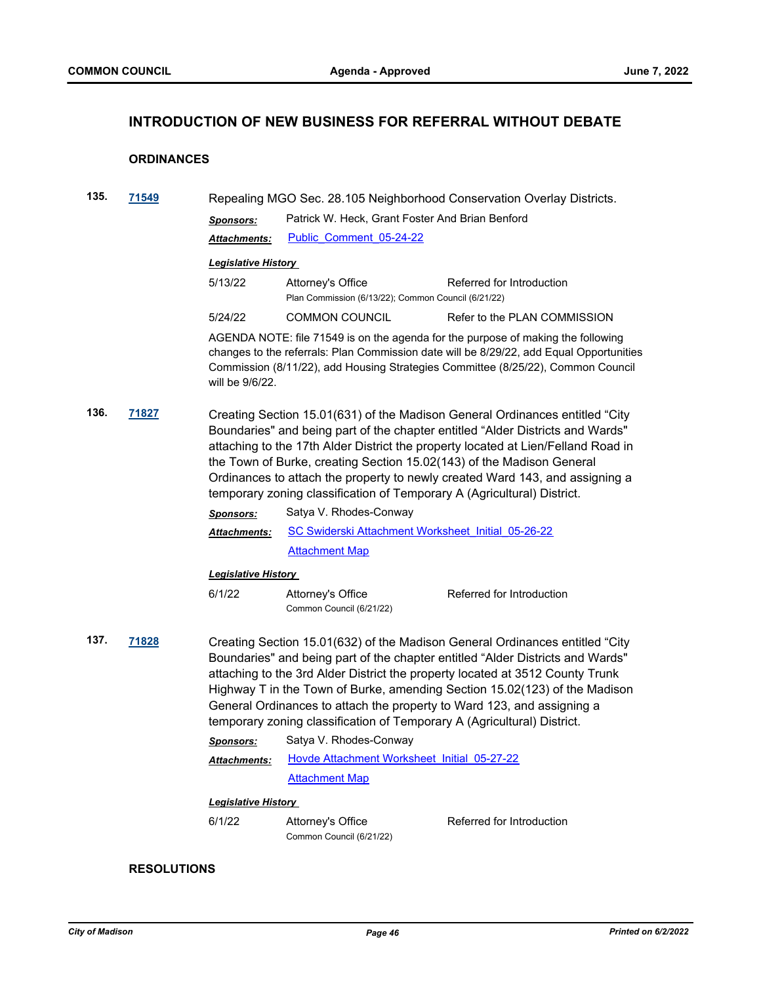## **INTRODUCTION OF NEW BUSINESS FOR REFERRAL WITHOUT DEBATE**

## **ORDINANCES**

| 135. | 71549 | Repealing MGO Sec. 28.105 Neighborhood Conservation Overlay Districts.                                                                                                                                                                                                                                                                                                                                                                                                                  |                                                                          |                              |  |
|------|-------|-----------------------------------------------------------------------------------------------------------------------------------------------------------------------------------------------------------------------------------------------------------------------------------------------------------------------------------------------------------------------------------------------------------------------------------------------------------------------------------------|--------------------------------------------------------------------------|------------------------------|--|
|      |       | <b>Sponsors:</b>                                                                                                                                                                                                                                                                                                                                                                                                                                                                        | Patrick W. Heck, Grant Foster And Brian Benford                          |                              |  |
|      |       | <b>Attachments:</b>                                                                                                                                                                                                                                                                                                                                                                                                                                                                     | Public Comment 05-24-22                                                  |                              |  |
|      |       | <b>Legislative History</b>                                                                                                                                                                                                                                                                                                                                                                                                                                                              |                                                                          |                              |  |
|      |       | 5/13/22                                                                                                                                                                                                                                                                                                                                                                                                                                                                                 | Attorney's Office<br>Plan Commission (6/13/22); Common Council (6/21/22) | Referred for Introduction    |  |
|      |       | 5/24/22                                                                                                                                                                                                                                                                                                                                                                                                                                                                                 | <b>COMMON COUNCIL</b>                                                    | Refer to the PLAN COMMISSION |  |
|      |       | AGENDA NOTE: file 71549 is on the agenda for the purpose of making the following<br>changes to the referrals: Plan Commission date will be 8/29/22, add Equal Opportunities<br>Commission (8/11/22), add Housing Strategies Committee (8/25/22), Common Council<br>will be 9/6/22.                                                                                                                                                                                                      |                                                                          |                              |  |
| 136. | 71827 | Creating Section 15.01(631) of the Madison General Ordinances entitled "City<br>Boundaries" and being part of the chapter entitled "Alder Districts and Wards"<br>attaching to the 17th Alder District the property located at Lien/Felland Road in<br>the Town of Burke, creating Section 15.02(143) of the Madison General<br>Ordinances to attach the property to newly created Ward 143, and assigning a<br>temporary zoning classification of Temporary A (Agricultural) District. |                                                                          |                              |  |
|      |       | <b>Sponsors:</b>                                                                                                                                                                                                                                                                                                                                                                                                                                                                        | Satya V. Rhodes-Conway                                                   |                              |  |
|      |       | Attachments:                                                                                                                                                                                                                                                                                                                                                                                                                                                                            | SC Swiderski Attachment Worksheet Initial 05-26-22                       |                              |  |
|      |       |                                                                                                                                                                                                                                                                                                                                                                                                                                                                                         | <b>Attachment Map</b>                                                    |                              |  |
|      |       | <u> Legislative History</u>                                                                                                                                                                                                                                                                                                                                                                                                                                                             |                                                                          |                              |  |
|      |       | 6/1/22                                                                                                                                                                                                                                                                                                                                                                                                                                                                                  | Attorney's Office<br>Common Council (6/21/22)                            | Referred for Introduction    |  |
| 137. | 71828 | Creating Section 15.01(632) of the Madison General Ordinances entitled "City<br>Boundaries" and being part of the chapter entitled "Alder Districts and Wards"<br>attaching to the 3rd Alder District the property located at 3512 County Trunk<br>Highway T in the Town of Burke, amending Section 15.02(123) of the Madison<br>General Ordinances to attach the property to Ward 123, and assigning a<br>temporary zoning classification of Temporary A (Agricultural) District.      |                                                                          |                              |  |
|      |       | <b>Sponsors:</b>                                                                                                                                                                                                                                                                                                                                                                                                                                                                        | Satya V. Rhodes-Conway                                                   |                              |  |
|      |       | Attachments:                                                                                                                                                                                                                                                                                                                                                                                                                                                                            | Hovde Attachment Worksheet Initial 05-27-22                              |                              |  |
|      |       |                                                                                                                                                                                                                                                                                                                                                                                                                                                                                         | <b>Attachment Map</b>                                                    |                              |  |
|      |       | <b>Legislative History</b>                                                                                                                                                                                                                                                                                                                                                                                                                                                              |                                                                          |                              |  |
|      |       | 6/1/22                                                                                                                                                                                                                                                                                                                                                                                                                                                                                  | Attorney's Office<br>Common Council (6/21/22)                            | Referred for Introduction    |  |

## **RESOLUTIONS**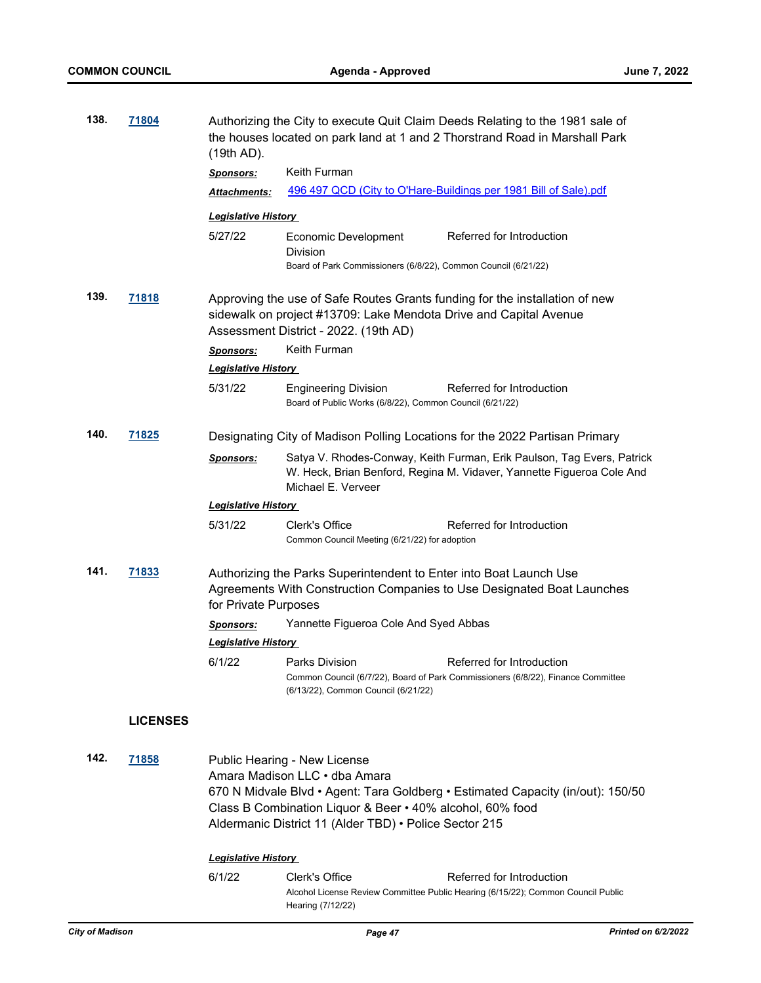| 138.<br>71804 |                                                                                                                                                                                                                                                                                  | $(19th AD)$ .                                                                                                                                                                             | Authorizing the City to execute Quit Claim Deeds Relating to the 1981 sale of<br>the houses located on park land at 1 and 2 Thorstrand Road in Marshall Park |                                                                                                                                                 |  |
|---------------|----------------------------------------------------------------------------------------------------------------------------------------------------------------------------------------------------------------------------------------------------------------------------------|-------------------------------------------------------------------------------------------------------------------------------------------------------------------------------------------|--------------------------------------------------------------------------------------------------------------------------------------------------------------|-------------------------------------------------------------------------------------------------------------------------------------------------|--|
|               |                                                                                                                                                                                                                                                                                  | <b>Sponsors:</b>                                                                                                                                                                          | Keith Furman                                                                                                                                                 |                                                                                                                                                 |  |
|               |                                                                                                                                                                                                                                                                                  | Attachments:                                                                                                                                                                              |                                                                                                                                                              | 496 497 QCD (City to O'Hare-Buildings per 1981 Bill of Sale).pdf                                                                                |  |
|               |                                                                                                                                                                                                                                                                                  | <b>Legislative History</b>                                                                                                                                                                |                                                                                                                                                              |                                                                                                                                                 |  |
|               |                                                                                                                                                                                                                                                                                  | 5/27/22                                                                                                                                                                                   | Economic Development                                                                                                                                         | Referred for Introduction                                                                                                                       |  |
|               |                                                                                                                                                                                                                                                                                  |                                                                                                                                                                                           | <b>Division</b><br>Board of Park Commissioners (6/8/22), Common Council (6/21/22)                                                                            |                                                                                                                                                 |  |
| 139.          | 71818                                                                                                                                                                                                                                                                            | Approving the use of Safe Routes Grants funding for the installation of new<br>sidewalk on project #13709: Lake Mendota Drive and Capital Avenue<br>Assessment District - 2022. (19th AD) |                                                                                                                                                              |                                                                                                                                                 |  |
|               |                                                                                                                                                                                                                                                                                  | <b>Sponsors:</b>                                                                                                                                                                          | Keith Furman                                                                                                                                                 |                                                                                                                                                 |  |
|               |                                                                                                                                                                                                                                                                                  | <b>Legislative History</b>                                                                                                                                                                |                                                                                                                                                              |                                                                                                                                                 |  |
|               |                                                                                                                                                                                                                                                                                  | 5/31/22                                                                                                                                                                                   | <b>Engineering Division</b><br>Board of Public Works (6/8/22), Common Council (6/21/22)                                                                      | Referred for Introduction                                                                                                                       |  |
| 140.<br>71825 |                                                                                                                                                                                                                                                                                  |                                                                                                                                                                                           | Designating City of Madison Polling Locations for the 2022 Partisan Primary                                                                                  |                                                                                                                                                 |  |
|               |                                                                                                                                                                                                                                                                                  | <b>Sponsors:</b>                                                                                                                                                                          | Michael E. Verveer                                                                                                                                           | Satya V. Rhodes-Conway, Keith Furman, Erik Paulson, Tag Evers, Patrick<br>W. Heck, Brian Benford, Regina M. Vidaver, Yannette Figueroa Cole And |  |
|               |                                                                                                                                                                                                                                                                                  | <b>Legislative History</b>                                                                                                                                                                |                                                                                                                                                              |                                                                                                                                                 |  |
|               |                                                                                                                                                                                                                                                                                  | 5/31/22                                                                                                                                                                                   | Clerk's Office<br>Common Council Meeting (6/21/22) for adoption                                                                                              | Referred for Introduction                                                                                                                       |  |
| 141.          | 71833                                                                                                                                                                                                                                                                            | Authorizing the Parks Superintendent to Enter into Boat Launch Use<br>Agreements With Construction Companies to Use Designated Boat Launches<br>for Private Purposes                      |                                                                                                                                                              |                                                                                                                                                 |  |
|               |                                                                                                                                                                                                                                                                                  | <u>Sponsors:</u>                                                                                                                                                                          | Yannette Figueroa Cole And Syed Abbas                                                                                                                        |                                                                                                                                                 |  |
|               |                                                                                                                                                                                                                                                                                  | <b>Legislative History</b>                                                                                                                                                                |                                                                                                                                                              |                                                                                                                                                 |  |
|               |                                                                                                                                                                                                                                                                                  | 6/1/22                                                                                                                                                                                    | Parks Division                                                                                                                                               | Referred for Introduction                                                                                                                       |  |
|               |                                                                                                                                                                                                                                                                                  |                                                                                                                                                                                           | (6/13/22), Common Council (6/21/22)                                                                                                                          | Common Council (6/7/22), Board of Park Commissioners (6/8/22), Finance Committee                                                                |  |
|               | <b>LICENSES</b>                                                                                                                                                                                                                                                                  |                                                                                                                                                                                           |                                                                                                                                                              |                                                                                                                                                 |  |
| 142.          | 71858<br>Public Hearing - New License<br>Amara Madison LLC • dba Amara<br>670 N Midvale Blvd • Agent: Tara Goldberg • Estimated Capacity (in/out): 150/50<br>Class B Combination Liquor & Beer • 40% alcohol, 60% food<br>Aldermanic District 11 (Alder TBD) . Police Sector 215 |                                                                                                                                                                                           |                                                                                                                                                              |                                                                                                                                                 |  |
|               |                                                                                                                                                                                                                                                                                  | <u> Legislative History</u>                                                                                                                                                               |                                                                                                                                                              |                                                                                                                                                 |  |
|               |                                                                                                                                                                                                                                                                                  | 6/1/22                                                                                                                                                                                    | Clerk's Office<br>Hearing (7/12/22)                                                                                                                          | Referred for Introduction<br>Alcohol License Review Committee Public Hearing (6/15/22); Common Council Public                                   |  |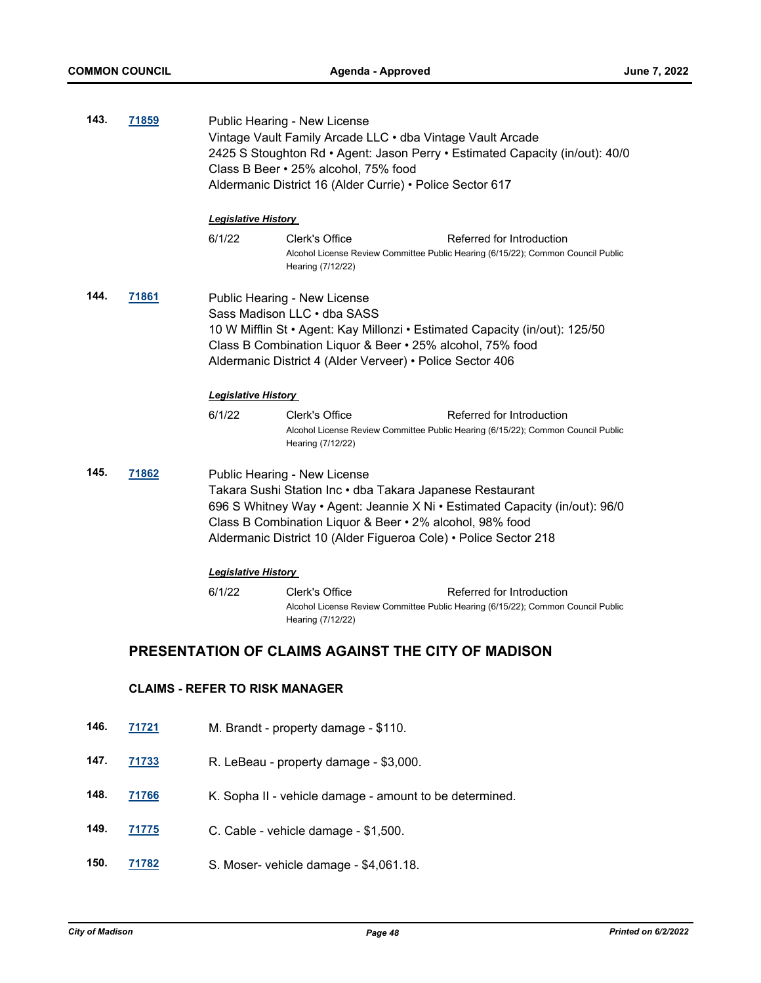| 143. | 71859                                              | Public Hearing - New License<br>Vintage Vault Family Arcade LLC . dba Vintage Vault Arcade<br>2425 S Stoughton Rd • Agent: Jason Perry • Estimated Capacity (in/out): 40/0<br>Class B Beer • 25% alcohol, 75% food<br>Aldermanic District 16 (Alder Currie) • Police Sector 617                                                        |                                                                                                                                                      |
|------|----------------------------------------------------|----------------------------------------------------------------------------------------------------------------------------------------------------------------------------------------------------------------------------------------------------------------------------------------------------------------------------------------|------------------------------------------------------------------------------------------------------------------------------------------------------|
|      |                                                    | <b>Legislative History</b><br>6/1/22                                                                                                                                                                                                                                                                                                   | Clerk's Office<br>Referred for Introduction<br>Alcohol License Review Committee Public Hearing (6/15/22); Common Council Public<br>Hearing (7/12/22) |
| 144. | 71861                                              | Public Hearing - New License<br>Sass Madison LLC . dba SASS<br>10 W Mifflin St • Agent: Kay Millonzi • Estimated Capacity (in/out): 125/50<br>Class B Combination Liquor & Beer • 25% alcohol, 75% food<br>Aldermanic District 4 (Alder Verveer) • Police Sector 406                                                                   |                                                                                                                                                      |
|      |                                                    | <b>Legislative History</b><br>6/1/22                                                                                                                                                                                                                                                                                                   | Clerk's Office<br>Referred for Introduction<br>Alcohol License Review Committee Public Hearing (6/15/22); Common Council Public<br>Hearing (7/12/22) |
| 145. | 71862                                              | Public Hearing - New License<br>Takara Sushi Station Inc · dba Takara Japanese Restaurant<br>696 S Whitney Way • Agent: Jeannie X Ni • Estimated Capacity (in/out): 96/0<br>Class B Combination Liquor & Beer • 2% alcohol, 98% food<br>Aldermanic District 10 (Alder Figueroa Cole) • Police Sector 218<br><b>Legislative History</b> |                                                                                                                                                      |
|      |                                                    |                                                                                                                                                                                                                                                                                                                                        |                                                                                                                                                      |
|      |                                                    | 6/1/22                                                                                                                                                                                                                                                                                                                                 | Clerk's Office<br>Referred for Introduction<br>Alcohol License Review Committee Public Hearing (6/15/22); Common Council Public<br>Hearing (7/12/22) |
|      | PRESENTATION OF CLAIMS AGAINST THE CITY OF MADISON |                                                                                                                                                                                                                                                                                                                                        |                                                                                                                                                      |
|      | <b>CLAIMS - REFER TO RISK MANAGER</b>              |                                                                                                                                                                                                                                                                                                                                        |                                                                                                                                                      |
| 146. | 71721                                              |                                                                                                                                                                                                                                                                                                                                        | M. Brandt - property damage - \$110.                                                                                                                 |
| 147. | 71733                                              |                                                                                                                                                                                                                                                                                                                                        | R. LeBeau - property damage - \$3,000.                                                                                                               |
| 148. | <u>71766</u>                                       |                                                                                                                                                                                                                                                                                                                                        | K. Sopha II - vehicle damage - amount to be determined.                                                                                              |

- **149. [71775](http://madison.legistar.com/gateway.aspx?m=l&id=/matter.aspx?key=83620)** C. Cable vehicle damage \$1,500.
- **150. [71782](http://madison.legistar.com/gateway.aspx?m=l&id=/matter.aspx?key=83622)** S. Moser- vehicle damage \$4,061.18.